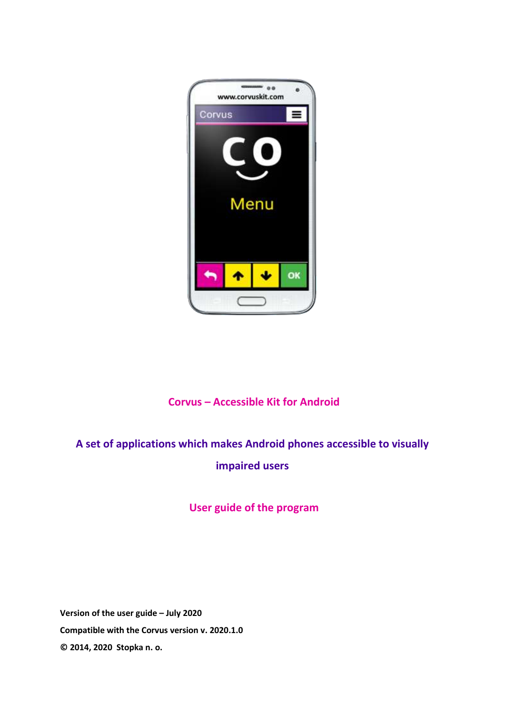

# **Corvus – Accessible Kit for Android**

# **A set of applications which makes Android phones accessible to visually impaired users**

# **User guide of the program**

**Version of the user guide – July 2020 Compatible with the Corvus version v. 2020.1.0 © 2014, 2020 Stopka n. o.**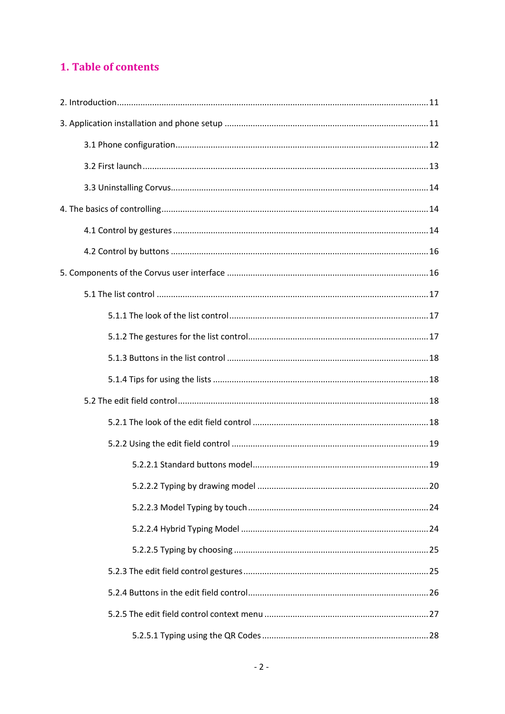# 1. Table of contents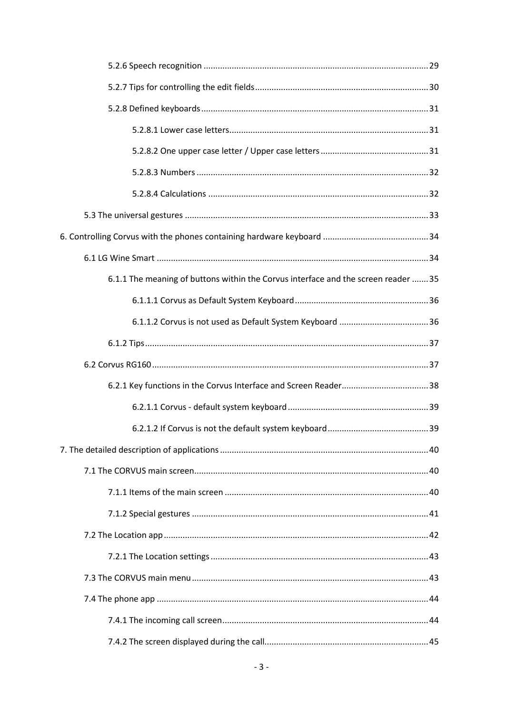| 6.1.1 The meaning of buttons within the Corvus interface and the screen reader  35 |
|------------------------------------------------------------------------------------|
|                                                                                    |
|                                                                                    |
|                                                                                    |
|                                                                                    |
|                                                                                    |
|                                                                                    |
|                                                                                    |
|                                                                                    |
|                                                                                    |
|                                                                                    |
|                                                                                    |
|                                                                                    |
|                                                                                    |
|                                                                                    |
|                                                                                    |
|                                                                                    |
|                                                                                    |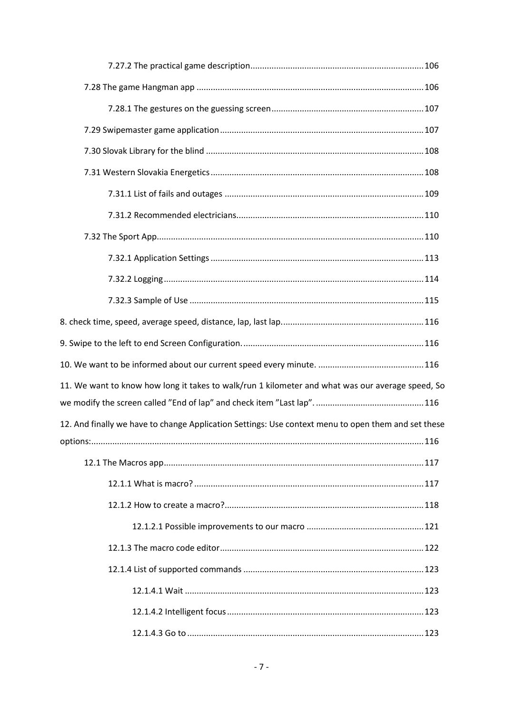| 11. We want to know how long it takes to walk/run 1 kilometer and what was our average speed, So    |  |
|-----------------------------------------------------------------------------------------------------|--|
|                                                                                                     |  |
| 12. And finally we have to change Application Settings: Use context menu to open them and set these |  |
|                                                                                                     |  |
|                                                                                                     |  |
|                                                                                                     |  |
|                                                                                                     |  |
|                                                                                                     |  |
|                                                                                                     |  |
|                                                                                                     |  |
|                                                                                                     |  |
|                                                                                                     |  |
|                                                                                                     |  |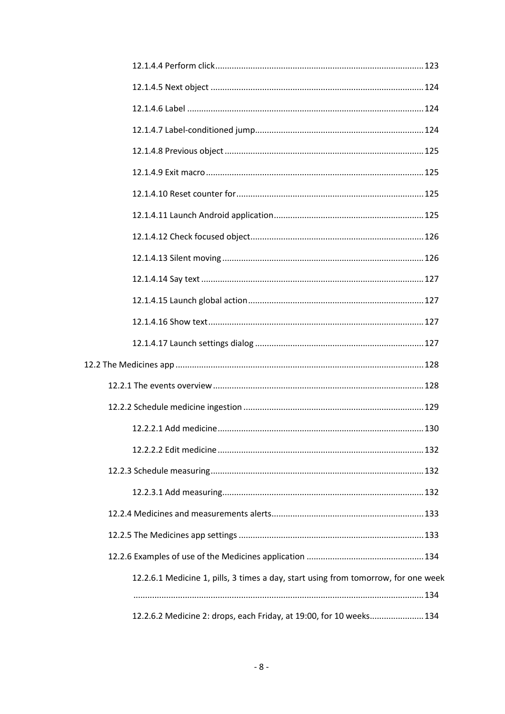| 12.2.6.1 Medicine 1, pills, 3 times a day, start using from tomorrow, for one week |  |
|------------------------------------------------------------------------------------|--|
|                                                                                    |  |
| 12.2.6.2 Medicine 2: drops, each Friday, at 19:00, for 10 weeks 134                |  |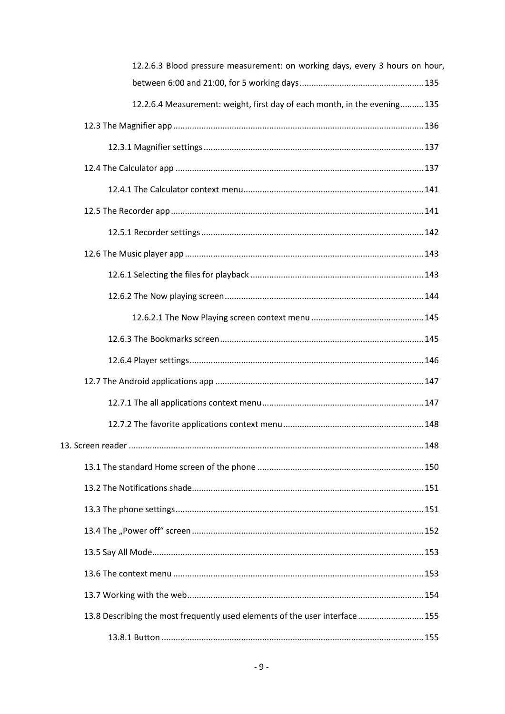| 12.2.6.3 Blood pressure measurement: on working days, every 3 hours on hour, |
|------------------------------------------------------------------------------|
|                                                                              |
| 12.2.6.4 Measurement: weight, first day of each month, in the evening 135    |
|                                                                              |
|                                                                              |
|                                                                              |
|                                                                              |
|                                                                              |
|                                                                              |
|                                                                              |
|                                                                              |
|                                                                              |
|                                                                              |
|                                                                              |
|                                                                              |
|                                                                              |
|                                                                              |
|                                                                              |
|                                                                              |
|                                                                              |
|                                                                              |
|                                                                              |
|                                                                              |
|                                                                              |
|                                                                              |
|                                                                              |
| 13.8 Describing the most frequently used elements of the user interface  155 |
|                                                                              |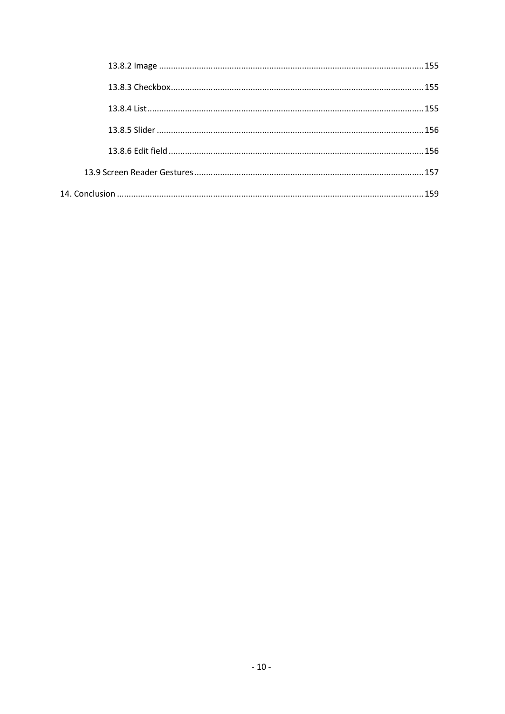| 155 |
|-----|
|     |
|     |
|     |
|     |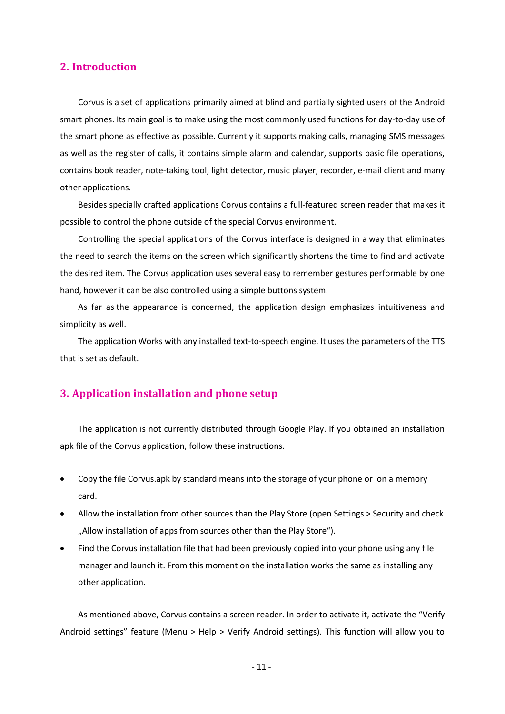# <span id="page-10-0"></span>**2. Introduction**

Corvus is a set of applications primarily aimed at blind and partially sighted users of the Android smart phones. Its main goal is to make using the most commonly used functions for day-to-day use of the smart phone as effective as possible. Currently it supports making calls, managing SMS messages as well as the register of calls, it contains simple alarm and calendar, supports basic file operations, contains book reader, note-taking tool, light detector, music player, recorder, e-mail client and many other applications.

Besides specially crafted applications Corvus contains a full-featured screen reader that makes it possible to control the phone outside of the special Corvus environment.

Controlling the special applications of the Corvus interface is designed in a way that eliminates the need to search the items on the screen which significantly shortens the time to find and activate the desired item. The Corvus application uses several easy to remember gestures performable by one hand, however it can be also controlled using a simple buttons system.

As far as the appearance is concerned, the application design emphasizes intuitiveness and simplicity as well.

The application Works with any installed text-to-speech engine. It uses the parameters of the TTS that is set as default.

# <span id="page-10-1"></span>**3. Application installation and phone setup**

The application is not currently distributed through Google Play. If you obtained an installation apk file of the Corvus application, follow these instructions.

- Copy the file Corvus.apk by standard means into the storage of your phone or on a memory card.
- Allow the installation from other sources than the Play Store (open Settings > Security and check "Allow installation of apps from sources other than the Play Store").
- Find the Corvus installation file that had been previously copied into your phone using any file manager and launch it. From this moment on the installation works the same as installing any other application.

As mentioned above, Corvus contains a screen reader. In order to activate it, activate the "Verify Android settings" feature (Menu > Help > Verify Android settings). This function will allow you to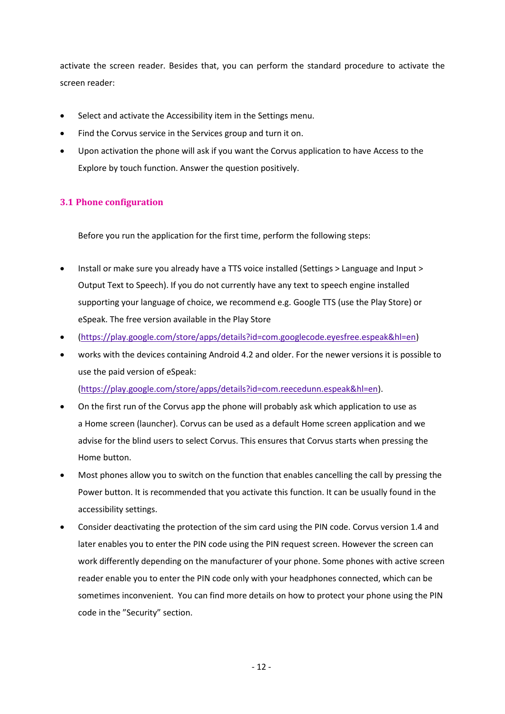activate the screen reader. Besides that, you can perform the standard procedure to activate the screen reader:

- Select and activate the Accessibility item in the Settings menu.
- Find the Corvus service in the Services group and turn it on.
- Upon activation the phone will ask if you want the Corvus application to have Access to the Explore by touch function. Answer the question positively.

# <span id="page-11-0"></span>**3.1 Phone configuration**

Before you run the application for the first time, perform the following steps:

- Install or make sure you already have a TTS voice installed (Settings > Language and Input > Output Text to Speech). If you do not currently have any text to speech engine installed supporting your language of choice, we recommend e.g. Google TTS (use the Play Store) or eSpeak. The free version available in the Play Store
- [\(https://play.google.com/store/apps/details?id=com.googlecode.eyesfree.espeak&hl=en\)](https://play.google.com/store/apps/details?id=com.googlecode.eyesfree.espeak&hl=en)
- works with the devices containing Android 4.2 and older. For the newer versions it is possible to use the paid version of eSpeak: [\(https://play.google.com/store/apps/details?id=com.reecedunn.espeak&hl=en\)](https://play.google.com/store/apps/details?id=com.reecedunn.espeak&hl=en).
- On the first run of the Corvus app the phone will probably ask which application to use as a Home screen (launcher). Corvus can be used as a default Home screen application and we advise for the blind users to select Corvus. This ensures that Corvus starts when pressing the Home button.
- Most phones allow you to switch on the function that enables cancelling the call by pressing the Power button. It is recommended that you activate this function. It can be usually found in the accessibility settings.
- Consider deactivating the protection of the sim card using the PIN code. Corvus version 1.4 and later enables you to enter the PIN code using the PIN request screen. However the screen can work differently depending on the manufacturer of your phone. Some phones with active screen reader enable you to enter the PIN code only with your headphones connected, which can be sometimes inconvenient. You can find more details on how to protect your phone using the PIN code in the "Security" section.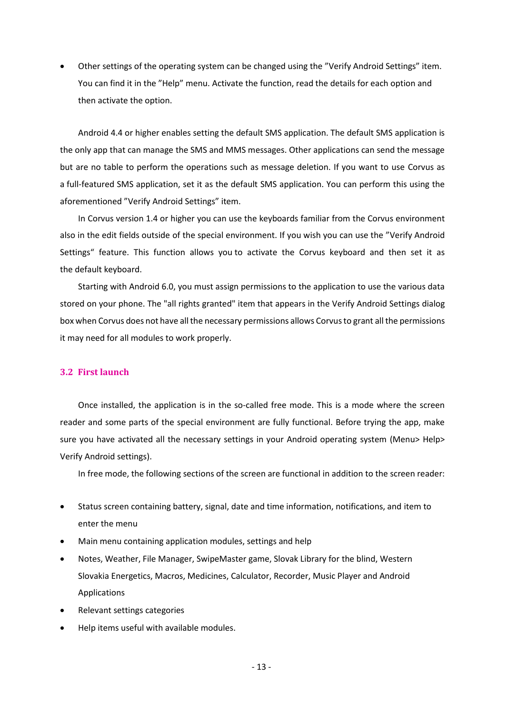• Other settings of the operating system can be changed using the "Verify Android Settings" item. You can find it in the "Help" menu. Activate the function, read the details for each option and then activate the option.

Android 4.4 or higher enables setting the default SMS application. The default SMS application is the only app that can manage the SMS and MMS messages. Other applications can send the message but are no table to perform the operations such as message deletion. If you want to use Corvus as a full-featured SMS application, set it as the default SMS application. You can perform this using the aforementioned "Verify Android Settings" item.

In Corvus version 1.4 or higher you can use the keyboards familiar from the Corvus environment also in the edit fields outside of the special environment. If you wish you can use the "Verify Android Settings" feature. This function allows you to activate the Corvus keyboard and then set it as the default keyboard.

Starting with Android 6.0, you must assign permissions to the application to use the various data stored on your phone. The "all rights granted" item that appears in the Verify Android Settings dialog box when Corvus does not have all the necessary permissions allows Corvusto grant all the permissions it may need for all modules to work properly.

### <span id="page-12-0"></span>**3.2 First launch**

Once installed, the application is in the so-called free mode. This is a mode where the screen reader and some parts of the special environment are fully functional. Before trying the app, make sure you have activated all the necessary settings in your Android operating system (Menu> Help> Verify Android settings).

In free mode, the following sections of the screen are functional in addition to the screen reader:

- Status screen containing battery, signal, date and time information, notifications, and item to enter the menu
- Main menu containing application modules, settings and help
- Notes, Weather, File Manager, SwipeMaster game, Slovak Library for the blind, Western Slovakia Energetics, Macros, Medicines, Calculator, Recorder, Music Player and Android Applications
- Relevant settings categories
- Help items useful with available modules.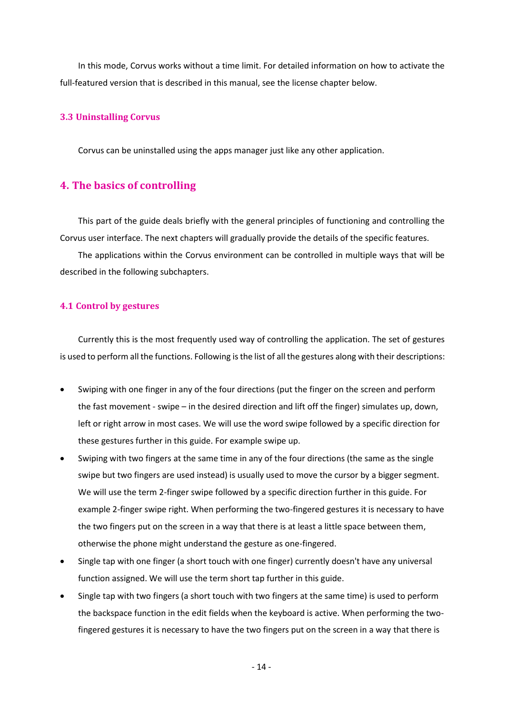In this mode, Corvus works without a time limit. For detailed information on how to activate the full-featured version that is described in this manual, see the license chapter below.

#### <span id="page-13-0"></span>**3.3 Uninstalling Corvus**

Corvus can be uninstalled using the apps manager just like any other application.

# <span id="page-13-1"></span>**4. The basics of controlling**

This part of the guide deals briefly with the general principles of functioning and controlling the Corvus user interface. The next chapters will gradually provide the details of the specific features.

The applications within the Corvus environment can be controlled in multiple ways that will be described in the following subchapters.

#### <span id="page-13-2"></span>**4.1 Control by gestures**

Currently this is the most frequently used way of controlling the application. The set of gestures is used to perform all the functions. Following is the list of all the gestures along with their descriptions:

- Swiping with one finger in any of the four directions (put the finger on the screen and perform the fast movement - swipe – in the desired direction and lift off the finger) simulates up, down, left or right arrow in most cases. We will use the word swipe followed by a specific direction for these gestures further in this guide. For example swipe up.
- Swiping with two fingers at the same time in any of the four directions (the same as the single swipe but two fingers are used instead) is usually used to move the cursor by a bigger segment. We will use the term 2-finger swipe followed by a specific direction further in this guide. For example 2-finger swipe right. When performing the two-fingered gestures it is necessary to have the two fingers put on the screen in a way that there is at least a little space between them, otherwise the phone might understand the gesture as one-fingered.
- Single tap with one finger (a short touch with one finger) currently doesn't have any universal function assigned. We will use the term short tap further in this guide.
- Single tap with two fingers (a short touch with two fingers at the same time) is used to perform the backspace function in the edit fields when the keyboard is active. When performing the twofingered gestures it is necessary to have the two fingers put on the screen in a way that there is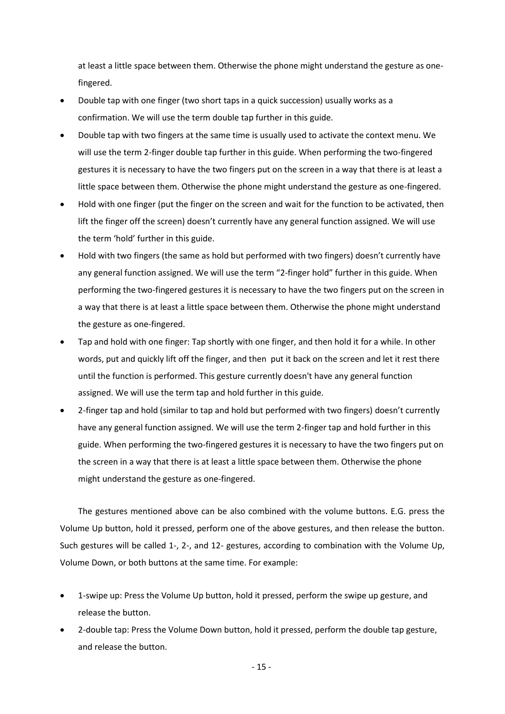at least a little space between them. Otherwise the phone might understand the gesture as onefingered.

- Double tap with one finger (two short taps in a quick succession) usually works as a confirmation. We will use the term double tap further in this guide.
- Double tap with two fingers at the same time is usually used to activate the context menu. We will use the term 2-finger double tap further in this guide. When performing the two-fingered gestures it is necessary to have the two fingers put on the screen in a way that there is at least a little space between them. Otherwise the phone might understand the gesture as one-fingered.
- Hold with one finger (put the finger on the screen and wait for the function to be activated, then lift the finger off the screen) doesn't currently have any general function assigned. We will use the term 'hold' further in this guide.
- Hold with two fingers (the same as hold but performed with two fingers) doesn't currently have any general function assigned. We will use the term "2-finger hold" further in this guide. When performing the two-fingered gestures it is necessary to have the two fingers put on the screen in a way that there is at least a little space between them. Otherwise the phone might understand the gesture as one-fingered.
- Tap and hold with one finger: Tap shortly with one finger, and then hold it for a while. In other words, put and quickly lift off the finger, and then put it back on the screen and let it rest there until the function is performed. This gesture currently doesn't have any general function assigned. We will use the term tap and hold further in this guide.
- 2-finger tap and hold (similar to tap and hold but performed with two fingers) doesn't currently have any general function assigned. We will use the term 2-finger tap and hold further in this guide. When performing the two-fingered gestures it is necessary to have the two fingers put on the screen in a way that there is at least a little space between them. Otherwise the phone might understand the gesture as one-fingered.

The gestures mentioned above can be also combined with the volume buttons. E.G. press the Volume Up button, hold it pressed, perform one of the above gestures, and then release the button. Such gestures will be called 1-, 2-, and 12- gestures, according to combination with the Volume Up, Volume Down, or both buttons at the same time. For example:

- 1-swipe up: Press the Volume Up button, hold it pressed, perform the swipe up gesture, and release the button.
- 2-double tap: Press the Volume Down button, hold it pressed, perform the double tap gesture, and release the button.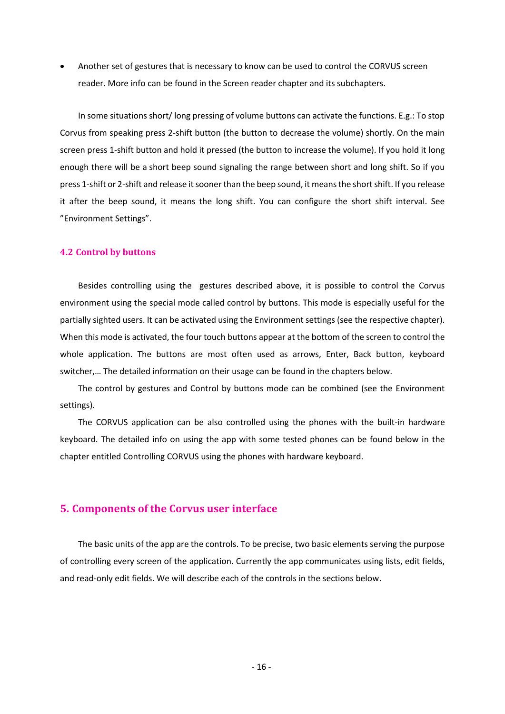• Another set of gestures that is necessary to know can be used to control the CORVUS screen reader. More info can be found in the Screen reader chapter and its subchapters.

In some situations short/ long pressing of volume buttons can activate the functions. E.g.: To stop Corvus from speaking press 2-shift button (the button to decrease the volume) shortly. On the main screen press 1-shift button and hold it pressed (the button to increase the volume). If you hold it long enough there will be a short beep sound signaling the range between short and long shift. So if you press 1-shift or 2-shift and release it sooner than the beep sound, it means the short shift. If you release it after the beep sound, it means the long shift. You can configure the short shift interval. See "Environment Settings".

#### <span id="page-15-0"></span>**4.2 Control by buttons**

Besides controlling using the gestures described above, it is possible to control the Corvus environment using the special mode called control by buttons. This mode is especially useful for the partially sighted users. It can be activated using the Environment settings (see the respective chapter). When this mode is activated, the four touch buttons appear at the bottom of the screen to control the whole application. The buttons are most often used as arrows, Enter, Back button, keyboard switcher,… The detailed information on their usage can be found in the chapters below.

The control by gestures and Control by buttons mode can be combined (see the Environment settings).

The CORVUS application can be also controlled using the phones with the built-in hardware keyboard. The detailed info on using the app with some tested phones can be found below in the chapter entitled Controlling CORVUS using the phones with hardware keyboard.

#### <span id="page-15-1"></span>**5. Components of the Corvus user interface**

The basic units of the app are the controls. To be precise, two basic elements serving the purpose of controlling every screen of the application. Currently the app communicates using lists, edit fields, and read-only edit fields. We will describe each of the controls in the sections below.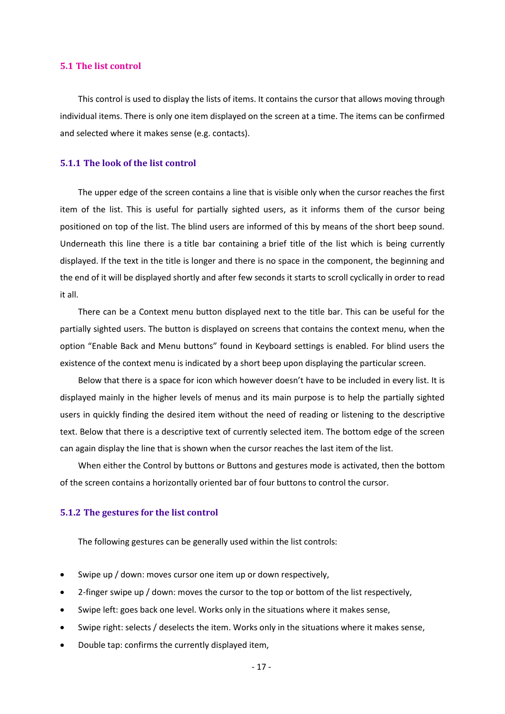#### <span id="page-16-0"></span>**5.1 The list control**

This control is used to display the lists of items. It contains the cursor that allows moving through individual items. There is only one item displayed on the screen at a time. The items can be confirmed and selected where it makes sense (e.g. contacts).

#### <span id="page-16-1"></span>**5.1.1 The look of the list control**

The upper edge of the screen contains a line that is visible only when the cursor reaches the first item of the list. This is useful for partially sighted users, as it informs them of the cursor being positioned on top of the list. The blind users are informed of this by means of the short beep sound. Underneath this line there is a title bar containing a brief title of the list which is being currently displayed. If the text in the title is longer and there is no space in the component, the beginning and the end of it will be displayed shortly and after few seconds it starts to scroll cyclically in order to read it all.

There can be a Context menu button displayed next to the title bar. This can be useful for the partially sighted users. The button is displayed on screens that contains the context menu, when the option "Enable Back and Menu buttons" found in Keyboard settings is enabled. For blind users the existence of the context menu is indicated by a short beep upon displaying the particular screen.

Below that there is a space for icon which however doesn't have to be included in every list. It is displayed mainly in the higher levels of menus and its main purpose is to help the partially sighted users in quickly finding the desired item without the need of reading or listening to the descriptive text. Below that there is a descriptive text of currently selected item. The bottom edge of the screen can again display the line that is shown when the cursor reaches the last item of the list.

When either the Control by buttons or Buttons and gestures mode is activated, then the bottom of the screen contains a horizontally oriented bar of four buttons to control the cursor.

#### <span id="page-16-2"></span>**5.1.2 The gestures for the list control**

The following gestures can be generally used within the list controls:

- Swipe up / down: moves cursor one item up or down respectively,
- 2-finger swipe up / down: moves the cursor to the top or bottom of the list respectively,
- Swipe left: goes back one level. Works only in the situations where it makes sense,
- Swipe right: selects / deselects the item. Works only in the situations where it makes sense,
- Double tap: confirms the currently displayed item,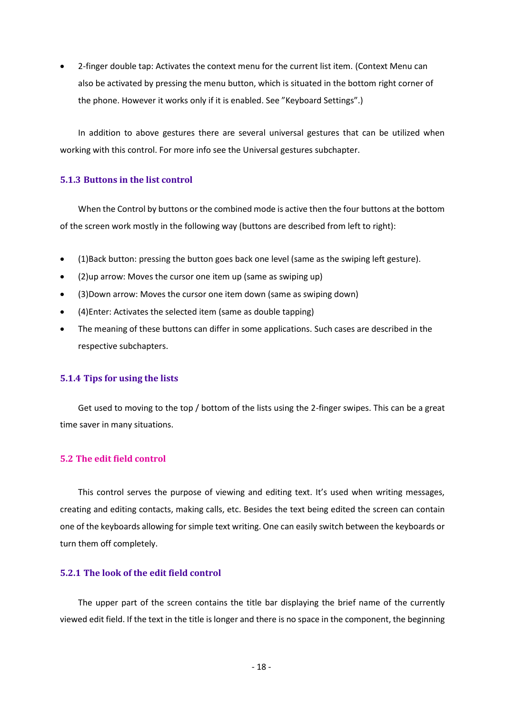• 2-finger double tap: Activates the context menu for the current list item. (Context Menu can also be activated by pressing the menu button, which is situated in the bottom right corner of the phone. However it works only if it is enabled. See "Keyboard Settings".)

In addition to above gestures there are several universal gestures that can be utilized when working with this control. For more info see the Universal gestures subchapter.

#### <span id="page-17-0"></span>**5.1.3 Buttons in the list control**

When the Control by buttons or the combined mode is active then the four buttons at the bottom of the screen work mostly in the following way (buttons are described from left to right):

- (1)Back button: pressing the button goes back one level (same as the swiping left gesture).
- (2)up arrow: Moves the cursor one item up (same as swiping up)
- (3)Down arrow: Moves the cursor one item down (same as swiping down)
- (4)Enter: Activates the selected item (same as double tapping)
- The meaning of these buttons can differ in some applications. Such cases are described in the respective subchapters.

# <span id="page-17-1"></span>**5.1.4 Tips for using the lists**

Get used to moving to the top / bottom of the lists using the 2-finger swipes. This can be a great time saver in many situations.

# <span id="page-17-2"></span>**5.2 The edit field control**

This control serves the purpose of viewing and editing text. It's used when writing messages, creating and editing contacts, making calls, etc. Besides the text being edited the screen can contain one of the keyboards allowing for simple text writing. One can easily switch between the keyboards or turn them off completely.

#### <span id="page-17-3"></span>**5.2.1 The look of the edit field control**

The upper part of the screen contains the title bar displaying the brief name of the currently viewed edit field. If the text in the title is longer and there is no space in the component, the beginning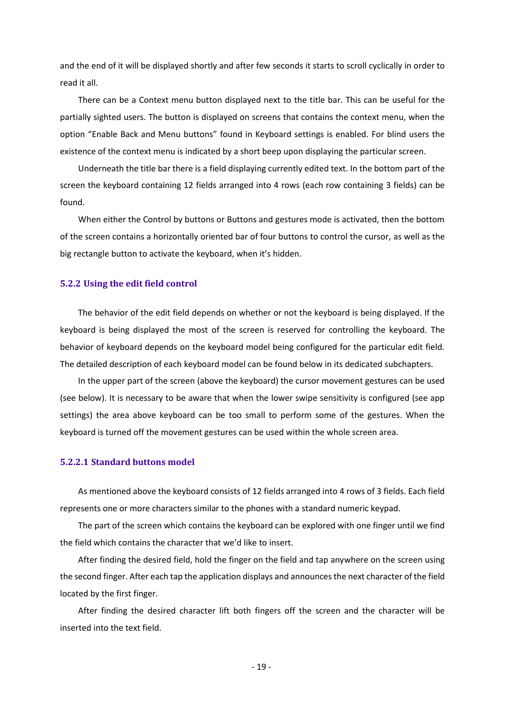and the end of it will be displayed shortly and after few seconds it starts to scroll cyclically in order to read it all.

There can be a Context menu button displayed next to the title bar. This can be useful for the partially sighted users. The button is displayed on screens that contains the context menu, when the option "Enable Back and Menu buttons" found in Keyboard settings is enabled. For blind users the existence of the context menu is indicated by a short beep upon displaying the particular screen.

Underneath the title bar there is a field displaying currently edited text. In the bottom part of the screen the keyboard containing 12 fields arranged into 4 rows (each row containing 3 fields) can be found.

When either the Control by buttons or Buttons and gestures mode is activated, then the bottom of the screen contains a horizontally oriented bar of four buttons to control the cursor, as well as the big rectangle button to activate the keyboard, when it's hidden.

#### <span id="page-18-0"></span>**5.2.2 Using the edit field control**

The behavior of the edit field depends on whether or not the keyboard is being displayed. If the keyboard is being displayed the most of the screen is reserved for controlling the keyboard. The behavior of keyboard depends on the keyboard model being configured for the particular edit field. The detailed description of each keyboard model can be found below in its dedicated subchapters.

In the upper part of the screen (above the keyboard) the cursor movement gestures can be used (see below). It is necessary to be aware that when the lower swipe sensitivity is configured (see app settings) the area above keyboard can be too small to perform some of the gestures. When the keyboard is turned off the movement gestures can be used within the whole screen area.

#### <span id="page-18-1"></span>**5.2.2.1 Standard buttons model**

As mentioned above the keyboard consists of 12 fields arranged into 4 rows of 3 fields. Each field represents one or more characters similar to the phones with a standard numeric keypad.

The part of the screen which contains the keyboard can be explored with one finger until we find the field which contains the character that we'd like to insert.

After finding the desired field, hold the finger on the field and tap anywhere on the screen using the second finger. After each tap the application displays and announces the next character of the field located by the first finger.

After finding the desired character lift both fingers off the screen and the character will be inserted into the text field.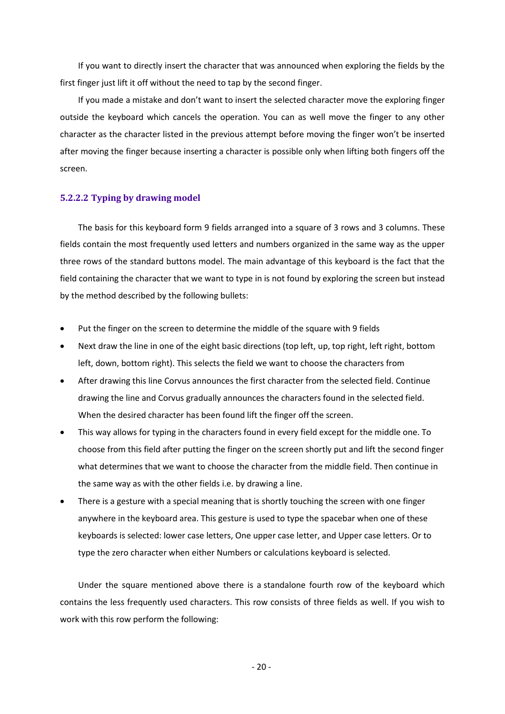If you want to directly insert the character that was announced when exploring the fields by the first finger just lift it off without the need to tap by the second finger.

If you made a mistake and don't want to insert the selected character move the exploring finger outside the keyboard which cancels the operation. You can as well move the finger to any other character as the character listed in the previous attempt before moving the finger won't be inserted after moving the finger because inserting a character is possible only when lifting both fingers off the screen.

#### <span id="page-19-0"></span>**5.2.2.2 Typing by drawing model**

The basis for this keyboard form 9 fields arranged into a square of 3 rows and 3 columns. These fields contain the most frequently used letters and numbers organized in the same way as the upper three rows of the standard buttons model. The main advantage of this keyboard is the fact that the field containing the character that we want to type in is not found by exploring the screen but instead by the method described by the following bullets:

- Put the finger on the screen to determine the middle of the square with 9 fields
- Next draw the line in one of the eight basic directions (top left, up, top right, left right, bottom left, down, bottom right). This selects the field we want to choose the characters from
- After drawing this line Corvus announces the first character from the selected field. Continue drawing the line and Corvus gradually announces the characters found in the selected field. When the desired character has been found lift the finger off the screen.
- This way allows for typing in the characters found in every field except for the middle one. To choose from this field after putting the finger on the screen shortly put and lift the second finger what determines that we want to choose the character from the middle field. Then continue in the same way as with the other fields i.e. by drawing a line.
- There is a gesture with a special meaning that is shortly touching the screen with one finger anywhere in the keyboard area. This gesture is used to type the spacebar when one of these keyboards is selected: lower case letters, One upper case letter, and Upper case letters. Or to type the zero character when either Numbers or calculations keyboard is selected.

Under the square mentioned above there is a standalone fourth row of the keyboard which contains the less frequently used characters. This row consists of three fields as well. If you wish to work with this row perform the following: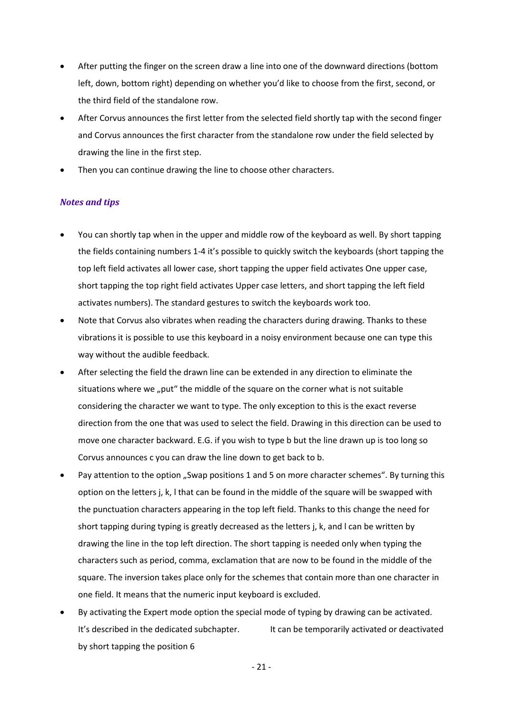- After putting the finger on the screen draw a line into one of the downward directions (bottom left, down, bottom right) depending on whether you'd like to choose from the first, second, or the third field of the standalone row.
- After Corvus announces the first letter from the selected field shortly tap with the second finger and Corvus announces the first character from the standalone row under the field selected by drawing the line in the first step.
- Then you can continue drawing the line to choose other characters.

# *Notes and tips*

- You can shortly tap when in the upper and middle row of the keyboard as well. By short tapping the fields containing numbers 1-4 it's possible to quickly switch the keyboards (short tapping the top left field activates all lower case, short tapping the upper field activates One upper case, short tapping the top right field activates Upper case letters, and short tapping the left field activates numbers). The standard gestures to switch the keyboards work too.
- Note that Corvus also vibrates when reading the characters during drawing. Thanks to these vibrations it is possible to use this keyboard in a noisy environment because one can type this way without the audible feedback.
- After selecting the field the drawn line can be extended in any direction to eliminate the situations where we "put" the middle of the square on the corner what is not suitable considering the character we want to type. The only exception to this is the exact reverse direction from the one that was used to select the field. Drawing in this direction can be used to move one character backward. E.G. if you wish to type b but the line drawn up is too long so Corvus announces c you can draw the line down to get back to b.
- Pay attention to the option "Swap positions 1 and 5 on more character schemes". By turning this option on the letters j, k, l that can be found in the middle of the square will be swapped with the punctuation characters appearing in the top left field. Thanks to this change the need for short tapping during typing is greatly decreased as the letters j, k, and l can be written by drawing the line in the top left direction. The short tapping is needed only when typing the characters such as period, comma, exclamation that are now to be found in the middle of the square. The inversion takes place only for the schemes that contain more than one character in one field. It means that the numeric input keyboard is excluded.
- By activating the Expert mode option the special mode of typing by drawing can be activated. It's described in the dedicated subchapter. It can be temporarily activated or deactivated by short tapping the position 6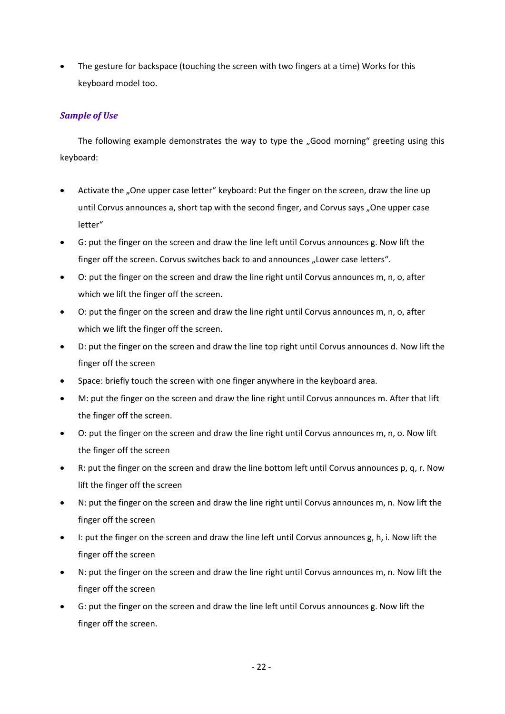The gesture for backspace (touching the screen with two fingers at a time) Works for this keyboard model too.

# *Sample of Use*

The following example demonstrates the way to type the "Good morning" greeting using this keyboard:

- Activate the "One upper case letter" keyboard: Put the finger on the screen, draw the line up until Corvus announces a, short tap with the second finger, and Corvus says "One upper case letter"
- G: put the finger on the screen and draw the line left until Corvus announces g. Now lift the finger off the screen. Corvus switches back to and announces "Lower case letters".
- O: put the finger on the screen and draw the line right until Corvus announces m, n, o, after which we lift the finger off the screen.
- O: put the finger on the screen and draw the line right until Corvus announces m, n, o, after which we lift the finger off the screen.
- D: put the finger on the screen and draw the line top right until Corvus announces d. Now lift the finger off the screen
- Space: briefly touch the screen with one finger anywhere in the keyboard area.
- M: put the finger on the screen and draw the line right until Corvus announces m. After that lift the finger off the screen.
- O: put the finger on the screen and draw the line right until Corvus announces m, n, o. Now lift the finger off the screen
- R: put the finger on the screen and draw the line bottom left until Corvus announces p, q, r. Now lift the finger off the screen
- N: put the finger on the screen and draw the line right until Corvus announces m, n. Now lift the finger off the screen
- I: put the finger on the screen and draw the line left until Corvus announces g, h, i. Now lift the finger off the screen
- N: put the finger on the screen and draw the line right until Corvus announces m, n. Now lift the finger off the screen
- G: put the finger on the screen and draw the line left until Corvus announces g. Now lift the finger off the screen.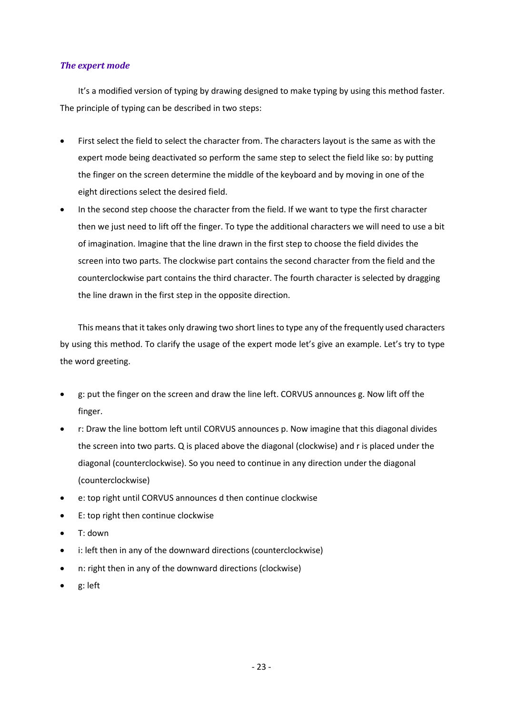### *The expert mode*

It's a modified version of typing by drawing designed to make typing by using this method faster. The principle of typing can be described in two steps:

- First select the field to select the character from. The characters layout is the same as with the expert mode being deactivated so perform the same step to select the field like so: by putting the finger on the screen determine the middle of the keyboard and by moving in one of the eight directions select the desired field.
- In the second step choose the character from the field. If we want to type the first character then we just need to lift off the finger. To type the additional characters we will need to use a bit of imagination. Imagine that the line drawn in the first step to choose the field divides the screen into two parts. The clockwise part contains the second character from the field and the counterclockwise part contains the third character. The fourth character is selected by dragging the line drawn in the first step in the opposite direction.

This means that it takes only drawing two short lines to type any of the frequently used characters by using this method. To clarify the usage of the expert mode let's give an example. Let's try to type the word greeting.

- g: put the finger on the screen and draw the line left. CORVUS announces g. Now lift off the finger.
- r: Draw the line bottom left until CORVUS announces p. Now imagine that this diagonal divides the screen into two parts. Q is placed above the diagonal (clockwise) and r is placed under the diagonal (counterclockwise). So you need to continue in any direction under the diagonal (counterclockwise)
- e: top right until CORVUS announces d then continue clockwise
- E: top right then continue clockwise
- T: down
- i: left then in any of the downward directions (counterclockwise)
- n: right then in any of the downward directions (clockwise)
- g: left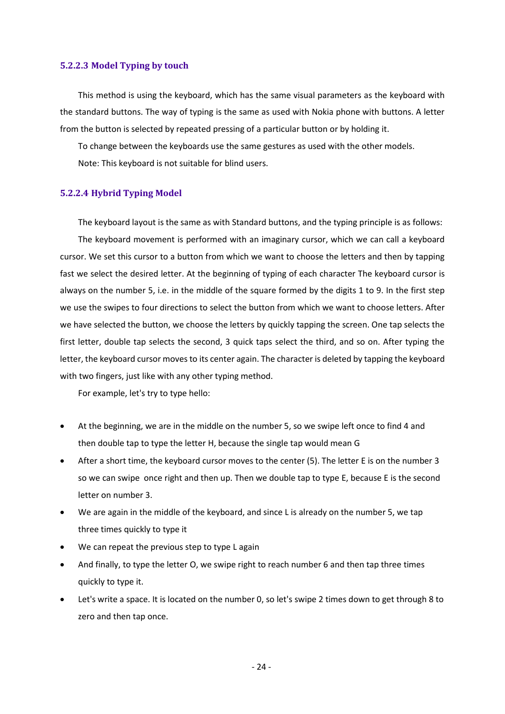#### <span id="page-23-0"></span>**5.2.2.3 Model Typing by touch**

This method is using the keyboard, which has the same visual parameters as the keyboard with the standard buttons. The way of typing is the same as used with Nokia phone with buttons. A letter from the button is selected by repeated pressing of a particular button or by holding it.

To change between the keyboards use the same gestures as used with the other models. Note: This keyboard is not suitable for blind users.

#### <span id="page-23-1"></span>**5.2.2.4 Hybrid Typing Model**

The keyboard layout is the same as with Standard buttons, and the typing principle is as follows: The keyboard movement is performed with an imaginary cursor, which we can call a keyboard cursor. We set this cursor to a button from which we want to choose the letters and then by tapping fast we select the desired letter. At the beginning of typing of each character The keyboard cursor is always on the number 5, i.e. in the middle of the square formed by the digits 1 to 9. In the first step we use the swipes to four directions to select the button from which we want to choose letters. After we have selected the button, we choose the letters by quickly tapping the screen. One tap selects the first letter, double tap selects the second, 3 quick taps select the third, and so on. After typing the letter, the keyboard cursor moves to its center again. The character is deleted by tapping the keyboard with two fingers, just like with any other typing method.

For example, let's try to type hello:

- At the beginning, we are in the middle on the number 5, so we swipe left once to find 4 and then double tap to type the letter H, because the single tap would mean G
- After a short time, the keyboard cursor moves to the center (5). The letter E is on the number 3 so we can swipe once right and then up. Then we double tap to type E, because E is the second letter on number 3.
- We are again in the middle of the keyboard, and since L is already on the number 5, we tap three times quickly to type it
- We can repeat the previous step to type L again
- And finally, to type the letter O, we swipe right to reach number 6 and then tap three times quickly to type it.
- Let's write a space. It is located on the number 0, so let's swipe 2 times down to get through 8 to zero and then tap once.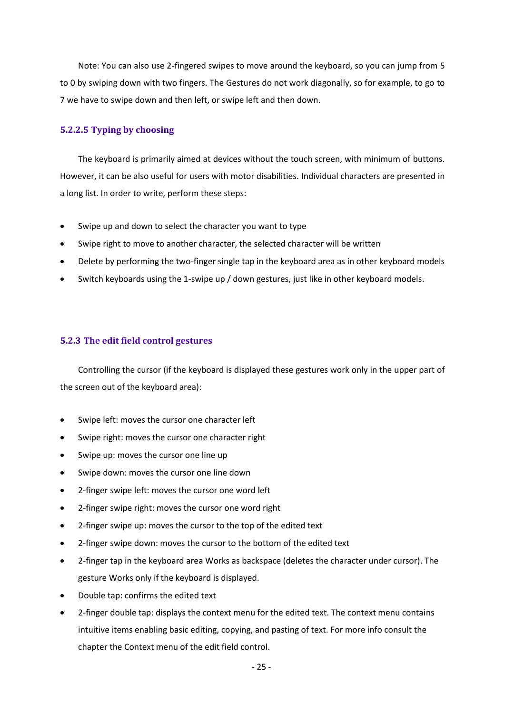Note: You can also use 2-fingered swipes to move around the keyboard, so you can jump from 5 to 0 by swiping down with two fingers. The Gestures do not work diagonally, so for example, to go to 7 we have to swipe down and then left, or swipe left and then down.

#### <span id="page-24-0"></span>**5.2.2.5 Typing by choosing**

The keyboard is primarily aimed at devices without the touch screen, with minimum of buttons. However, it can be also useful for users with motor disabilities. Individual characters are presented in a long list. In order to write, perform these steps:

- Swipe up and down to select the character you want to type
- Swipe right to move to another character, the selected character will be written
- Delete by performing the two-finger single tap in the keyboard area as in other keyboard models
- Switch keyboards using the 1-swipe up / down gestures, just like in other keyboard models.

### <span id="page-24-1"></span>**5.2.3 The edit field control gestures**

Controlling the cursor (if the keyboard is displayed these gestures work only in the upper part of the screen out of the keyboard area):

- Swipe left: moves the cursor one character left
- Swipe right: moves the cursor one character right
- Swipe up: moves the cursor one line up
- Swipe down: moves the cursor one line down
- 2-finger swipe left: moves the cursor one word left
- 2-finger swipe right: moves the cursor one word right
- 2-finger swipe up: moves the cursor to the top of the edited text
- 2-finger swipe down: moves the cursor to the bottom of the edited text
- 2-finger tap in the keyboard area Works as backspace (deletes the character under cursor). The gesture Works only if the keyboard is displayed.
- Double tap: confirms the edited text
- 2-finger double tap: displays the context menu for the edited text. The context menu contains intuitive items enabling basic editing, copying, and pasting of text. For more info consult the chapter the Context menu of the edit field control.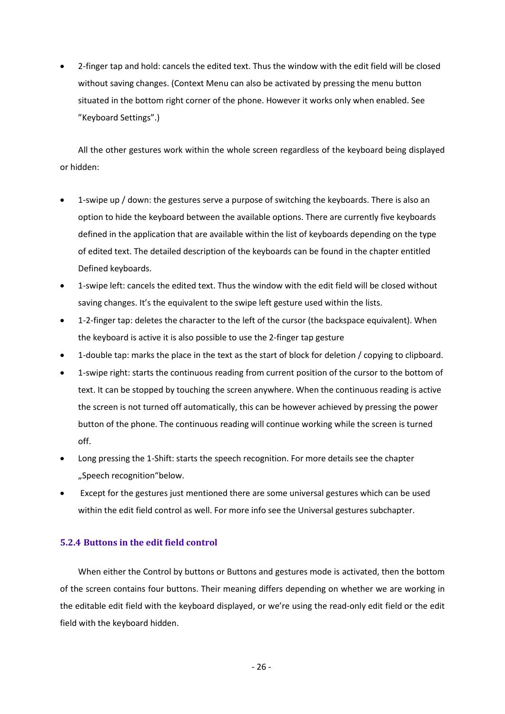• 2-finger tap and hold: cancels the edited text. Thus the window with the edit field will be closed without saving changes. (Context Menu can also be activated by pressing the menu button situated in the bottom right corner of the phone. However it works only when enabled. See "Keyboard Settings".)

All the other gestures work within the whole screen regardless of the keyboard being displayed or hidden:

- 1-swipe up / down: the gestures serve a purpose of switching the keyboards. There is also an option to hide the keyboard between the available options. There are currently five keyboards defined in the application that are available within the list of keyboards depending on the type of edited text. The detailed description of the keyboards can be found in the chapter entitled Defined keyboards.
- 1-swipe left: cancels the edited text. Thus the window with the edit field will be closed without saving changes. It's the equivalent to the swipe left gesture used within the lists.
- 1-2-finger tap: deletes the character to the left of the cursor (the backspace equivalent). When the keyboard is active it is also possible to use the 2-finger tap gesture
- 1-double tap: marks the place in the text as the start of block for deletion / copying to clipboard.
- 1-swipe right: starts the continuous reading from current position of the cursor to the bottom of text. It can be stopped by touching the screen anywhere. When the continuous reading is active the screen is not turned off automatically, this can be however achieved by pressing the power button of the phone. The continuous reading will continue working while the screen is turned off.
- Long pressing the 1-Shift: starts the speech recognition. For more details see the chapter "Speech recognition"below.
- Except for the gestures just mentioned there are some universal gestures which can be used within the edit field control as well. For more info see the Universal gestures subchapter.

# <span id="page-25-0"></span>**5.2.4 Buttons in the edit field control**

When either the Control by buttons or Buttons and gestures mode is activated, then the bottom of the screen contains four buttons. Their meaning differs depending on whether we are working in the editable edit field with the keyboard displayed, or we're using the read-only edit field or the edit field with the keyboard hidden.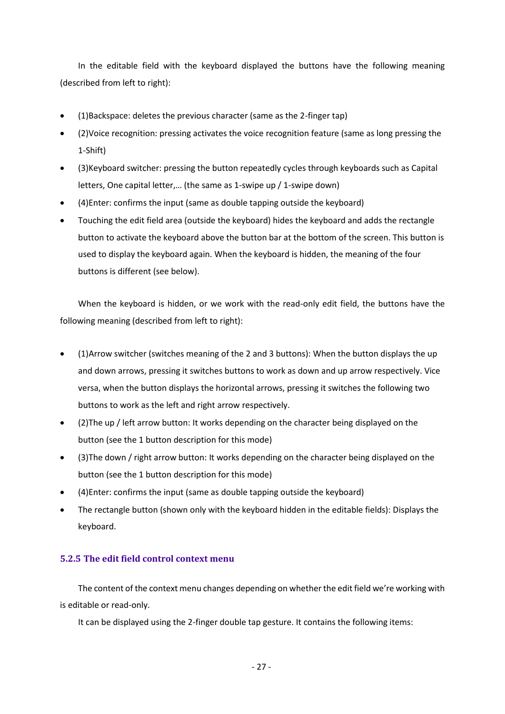In the editable field with the keyboard displayed the buttons have the following meaning (described from left to right):

- (1)Backspace: deletes the previous character (same as the 2-finger tap)
- (2)Voice recognition: pressing activates the voice recognition feature (same as long pressing the 1-Shift)
- (3)Keyboard switcher: pressing the button repeatedly cycles through keyboards such as Capital letters, One capital letter,… (the same as 1-swipe up / 1-swipe down)
- (4)Enter: confirms the input (same as double tapping outside the keyboard)
- Touching the edit field area (outside the keyboard) hides the keyboard and adds the rectangle button to activate the keyboard above the button bar at the bottom of the screen. This button is used to display the keyboard again. When the keyboard is hidden, the meaning of the four buttons is different (see below).

When the keyboard is hidden, or we work with the read-only edit field, the buttons have the following meaning (described from left to right):

- (1)Arrow switcher (switches meaning of the 2 and 3 buttons): When the button displays the up and down arrows, pressing it switches buttons to work as down and up arrow respectively. Vice versa, when the button displays the horizontal arrows, pressing it switches the following two buttons to work as the left and right arrow respectively.
- (2)The up / left arrow button: It works depending on the character being displayed on the button (see the 1 button description for this mode)
- (3)The down / right arrow button: It works depending on the character being displayed on the button (see the 1 button description for this mode)
- (4)Enter: confirms the input (same as double tapping outside the keyboard)
- The rectangle button (shown only with the keyboard hidden in the editable fields): Displays the keyboard.

# <span id="page-26-0"></span>**5.2.5 The edit field control context menu**

The content of the context menu changes depending on whether the edit field we're working with is editable or read-only.

It can be displayed using the 2-finger double tap gesture. It contains the following items: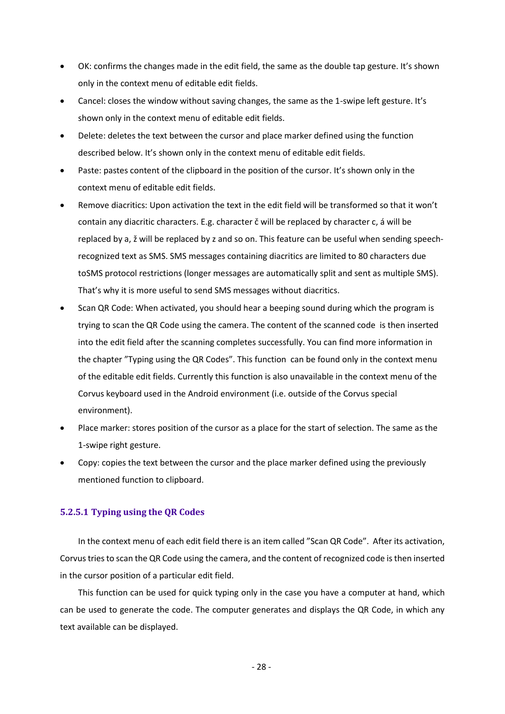- OK: confirms the changes made in the edit field, the same as the double tap gesture. It's shown only in the context menu of editable edit fields.
- Cancel: closes the window without saving changes, the same as the 1-swipe left gesture. It's shown only in the context menu of editable edit fields.
- Delete: deletes the text between the cursor and place marker defined using the function described below. It's shown only in the context menu of editable edit fields.
- Paste: pastes content of the clipboard in the position of the cursor. It's shown only in the context menu of editable edit fields.
- Remove diacritics: Upon activation the text in the edit field will be transformed so that it won't contain any diacritic characters. E.g. character č will be replaced by character c, á will be replaced by a, ž will be replaced by z and so on. This feature can be useful when sending speechrecognized text as SMS. SMS messages containing diacritics are limited to 80 characters due toSMS protocol restrictions (longer messages are automatically split and sent as multiple SMS). That's why it is more useful to send SMS messages without diacritics.
- Scan QR Code: When activated, you should hear a beeping sound during which the program is trying to scan the QR Code using the camera. The content of the scanned code is then inserted into the edit field after the scanning completes successfully. You can find more information in the chapter "Typing using the QR Codes". This function can be found only in the context menu of the editable edit fields. Currently this function is also unavailable in the context menu of the Corvus keyboard used in the Android environment (i.e. outside of the Corvus special environment).
- Place marker: stores position of the cursor as a place for the start of selection. The same as the 1-swipe right gesture.
- Copy: copies the text between the cursor and the place marker defined using the previously mentioned function to clipboard.

#### <span id="page-27-0"></span>**5.2.5.1 Typing using the QR Codes**

In the context menu of each edit field there is an item called "Scan QR Code". After its activation, Corvustries to scan the QR Code using the camera, and the content of recognized code is then inserted in the cursor position of a particular edit field.

This function can be used for quick typing only in the case you have a computer at hand, which can be used to generate the code. The computer generates and displays the QR Code, in which any text available can be displayed.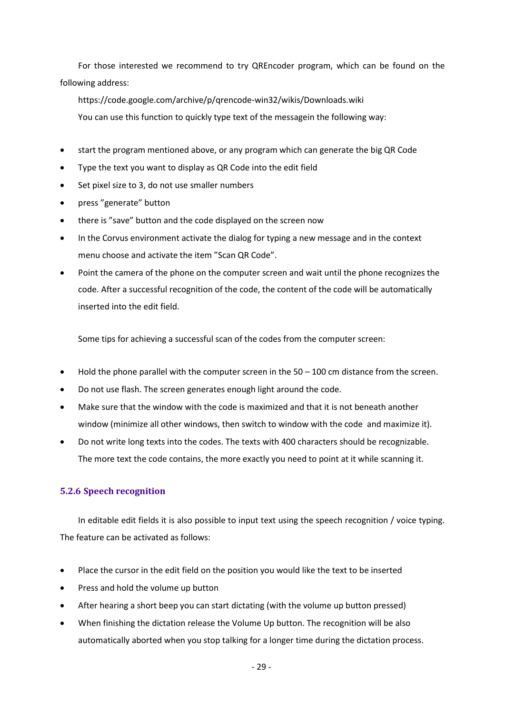For those interested we recommend to try QREncoder program, which can be found on the following address:

https://code.google.com/archive/p/qrencode-win32/wikis/Downloads.wiki You can use this function to quickly type text of the messagein the following way:

- start the program mentioned above, or any program which can generate the big QR Code
- Type the text you want to display as QR Code into the edit field
- Set pixel size to 3, do not use smaller numbers
- press "generate" button
- there is "save" button and the code displayed on the screen now
- In the Corvus environment activate the dialog for typing a new message and in the context menu choose and activate the item "Scan QR Code".
- Point the camera of the phone on the computer screen and wait until the phone recognizes the code. After a successful recognition of the code, the content of the code will be automatically inserted into the edit field.

Some tips for achieving a successful scan of the codes from the computer screen:

- Hold the phone parallel with the computer screen in the 50 100 cm distance from the screen.
- Do not use flash. The screen generates enough light around the code.
- Make sure that the window with the code is maximized and that it is not beneath another window (minimize all other windows, then switch to window with the code and maximize it).
- Do not write long texts into the codes. The texts with 400 characters should be recognizable. The more text the code contains, the more exactly you need to point at it while scanning it.

# <span id="page-28-0"></span>**5.2.6 Speech recognition**

In editable edit fields it is also possible to input text using the speech recognition / voice typing. The feature can be activated as follows:

- Place the cursor in the edit field on the position you would like the text to be inserted
- Press and hold the volume up button
- After hearing a short beep you can start dictating (with the volume up button pressed)
- When finishing the dictation release the Volume Up button. The recognition will be also automatically aborted when you stop talking for a longer time during the dictation process.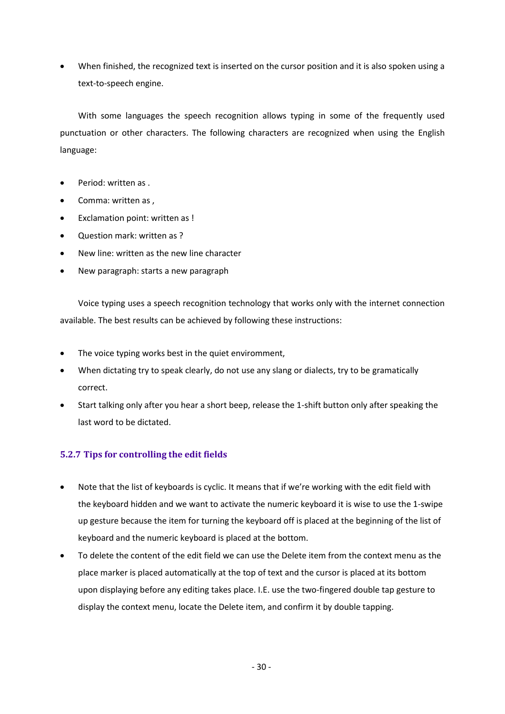• When finished, the recognized text is inserted on the cursor position and it is also spoken using a text-to-speech engine.

With some languages the speech recognition allows typing in some of the frequently used punctuation or other characters. The following characters are recognized when using the English language:

- Period: written as .
- Comma: written as ,
- Exclamation point: written as !
- Question mark: written as ?
- New line: written as the new line character
- New paragraph: starts a new paragraph

Voice typing uses a speech recognition technology that works only with the internet connection available. The best results can be achieved by following these instructions:

- The voice typing works best in the quiet enviromment,
- When dictating try to speak clearly, do not use any slang or dialects, try to be gramatically correct.
- Start talking only after you hear a short beep, release the 1-shift button only after speaking the last word to be dictated.

# <span id="page-29-0"></span>**5.2.7 Tips for controlling the edit fields**

- Note that the list of keyboards is cyclic. It means that if we're working with the edit field with the keyboard hidden and we want to activate the numeric keyboard it is wise to use the 1-swipe up gesture because the item for turning the keyboard off is placed at the beginning of the list of keyboard and the numeric keyboard is placed at the bottom.
- To delete the content of the edit field we can use the Delete item from the context menu as the place marker is placed automatically at the top of text and the cursor is placed at its bottom upon displaying before any editing takes place. I.E. use the two-fingered double tap gesture to display the context menu, locate the Delete item, and confirm it by double tapping.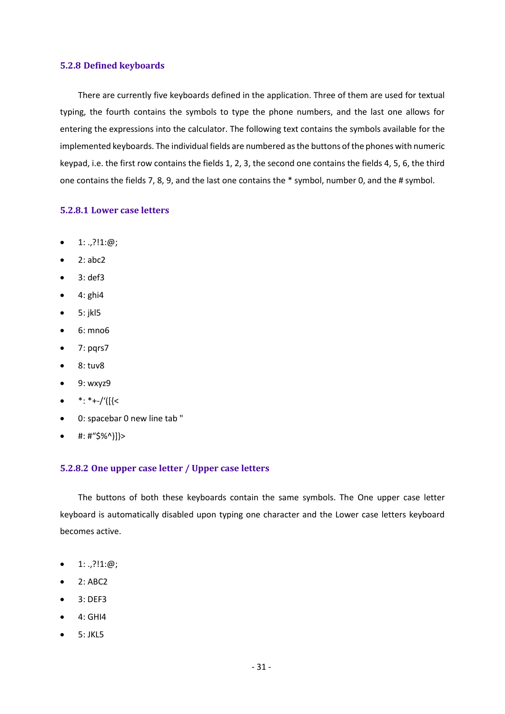#### <span id="page-30-0"></span>**5.2.8 Defined keyboards**

There are currently five keyboards defined in the application. Three of them are used for textual typing, the fourth contains the symbols to type the phone numbers, and the last one allows for entering the expressions into the calculator. The following text contains the symbols available for the implemented keyboards. The individual fields are numbered as the buttons of the phones with numeric keypad, i.e. the first row contains the fields 1, 2, 3, the second one contains the fields 4, 5, 6, the third one contains the fields 7, 8, 9, and the last one contains the \* symbol, number 0, and the # symbol.

#### <span id="page-30-1"></span>**5.2.8.1 Lower case letters**

- $1: ., ?!1: @;$
- $\bullet$  2: abc2
- 3: def3
- $\bullet$  4: ghi4
- 5: jkl5
- 6: mno6
- $7: pqrs7$
- 8: tuv8
- 9: wxyz9
- $\bullet$  \*: \*+-/'([{<
- 0: spacebar 0 new line tab "
- $\bullet$  #: #"\$%^)]}>

#### <span id="page-30-2"></span>**5.2.8.2 One upper case letter / Upper case letters**

The buttons of both these keyboards contain the same symbols. The One upper case letter keyboard is automatically disabled upon typing one character and the Lower case letters keyboard becomes active.

- $1: ., ?!1: @;$
- 2: ABC2
- 3: DEF3
- 4: GHI4
- 5: JKL5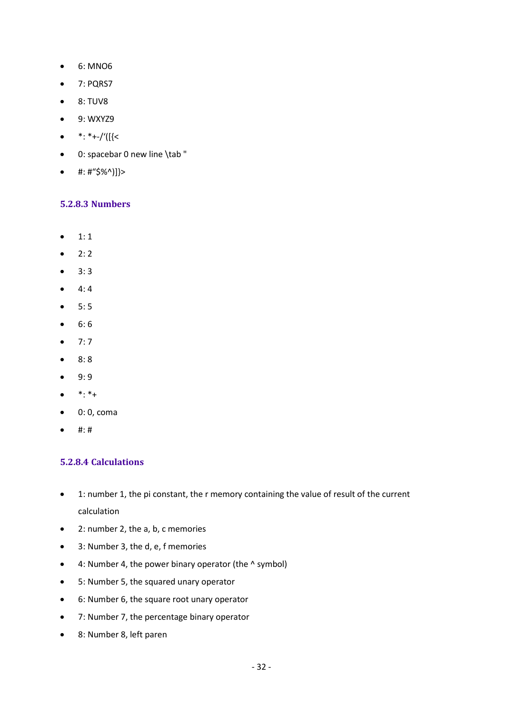- 6: MNO6
- 7: PQRS7
- 8: TUV8
- 9: WXYZ9
- $\bullet$  \*: \*+-/'([{<
- 0: spacebar 0 new line \tab "
- $\#:\#``\$$ %^)]}>

# <span id="page-31-0"></span>**5.2.8.3 Numbers**

- $1:1$
- $2:2$
- $3:3$
- $4:4$
- $5:5$
- 6: 6
- $7:7$
- $8:8$
- 9: 9
- $\bullet$  \*: \*+
- $\bullet$  0: 0, coma
- $•$  #:#

# <span id="page-31-1"></span>**5.2.8.4 Calculations**

- 1: number 1, the pi constant, the r memory containing the value of result of the current calculation
- 2: number 2, the a, b, c memories
- 3: Number 3, the d, e, f memories
- 4: Number 4, the power binary operator (the ^ symbol)
- 5: Number 5, the squared unary operator
- 6: Number 6, the square root unary operator
- 7: Number 7, the percentage binary operator
- 8: Number 8, left paren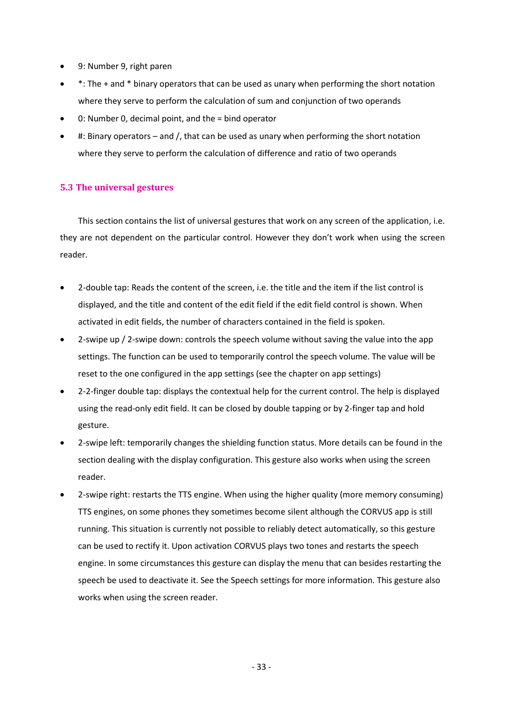- 9: Number 9, right paren
- \*: The + and \* binary operators that can be used as unary when performing the short notation where they serve to perform the calculation of sum and conjunction of two operands
- 0: Number 0, decimal point, and the = bind operator
- #: Binary operators and /, that can be used as unary when performing the short notation where they serve to perform the calculation of difference and ratio of two operands

# <span id="page-32-0"></span>**5.3 The universal gestures**

This section contains the list of universal gestures that work on any screen of the application, i.e. they are not dependent on the particular control. However they don't work when using the screen reader.

- 2-double tap: Reads the content of the screen, i.e. the title and the item if the list control is displayed, and the title and content of the edit field if the edit field control is shown. When activated in edit fields, the number of characters contained in the field is spoken.
- 2-swipe up / 2-swipe down: controls the speech volume without saving the value into the app settings. The function can be used to temporarily control the speech volume. The value will be reset to the one configured in the app settings (see the chapter on app settings)
- 2-2-finger double tap: displays the contextual help for the current control. The help is displayed using the read-only edit field. It can be closed by double tapping or by 2-finger tap and hold gesture.
- 2-swipe left: temporarily changes the shielding function status. More details can be found in the section dealing with the display configuration. This gesture also works when using the screen reader.
- 2-swipe right: restarts the TTS engine. When using the higher quality (more memory consuming) TTS engines, on some phones they sometimes become silent although the CORVUS app is still running. This situation is currently not possible to reliably detect automatically, so this gesture can be used to rectify it. Upon activation CORVUS plays two tones and restarts the speech engine. In some circumstances this gesture can display the menu that can besides restarting the speech be used to deactivate it. See the Speech settings for more information. This gesture also works when using the screen reader.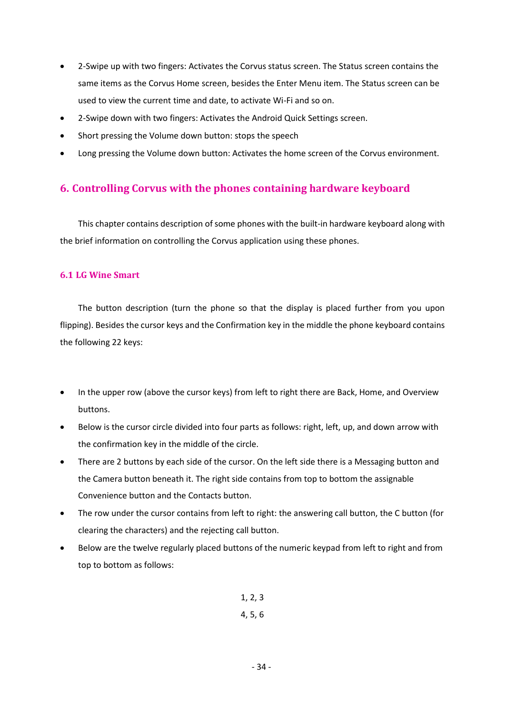- 2-Swipe up with two fingers: Activates the Corvus status screen. The Status screen contains the same items as the Corvus Home screen, besides the Enter Menu item. The Status screen can be used to view the current time and date, to activate Wi-Fi and so on.
- 2-Swipe down with two fingers: Activates the Android Quick Settings screen.
- Short pressing the Volume down button: stops the speech
- Long pressing the Volume down button: Activates the home screen of the Corvus environment.

# <span id="page-33-0"></span>**6. Controlling Corvus with the phones containing hardware keyboard**

This chapter contains description of some phones with the built-in hardware keyboard along with the brief information on controlling the Corvus application using these phones.

### <span id="page-33-1"></span>**6.1 LG Wine Smart**

The button description (turn the phone so that the display is placed further from you upon flipping). Besides the cursor keys and the Confirmation key in the middle the phone keyboard contains the following 22 keys:

- In the upper row (above the cursor keys) from left to right there are Back, Home, and Overview buttons.
- Below is the cursor circle divided into four parts as follows: right, left, up, and down arrow with the confirmation key in the middle of the circle.
- There are 2 buttons by each side of the cursor. On the left side there is a Messaging button and the Camera button beneath it. The right side contains from top to bottom the assignable Convenience button and the Contacts button.
- The row under the cursor contains from left to right: the answering call button, the C button (for clearing the characters) and the rejecting call button.
- Below are the twelve regularly placed buttons of the numeric keypad from left to right and from top to bottom as follows:

1, 2, 3 4, 5, 6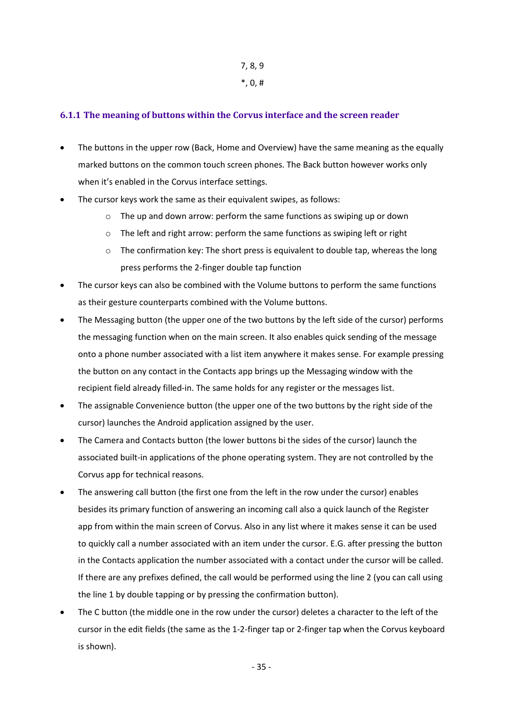# 7, 8, 9

 $*$ , 0, #

# <span id="page-34-0"></span>**6.1.1 The meaning of buttons within the Corvus interface and the screen reader**

- The buttons in the upper row (Back, Home and Overview) have the same meaning as the equally marked buttons on the common touch screen phones. The Back button however works only when it's enabled in the Corvus interface settings.
- The cursor keys work the same as their equivalent swipes, as follows:
	- o The up and down arrow: perform the same functions as swiping up or down
	- o The left and right arrow: perform the same functions as swiping left or right
	- $\circ$  The confirmation key: The short press is equivalent to double tap, whereas the long press performs the 2-finger double tap function
- The cursor keys can also be combined with the Volume buttons to perform the same functions as their gesture counterparts combined with the Volume buttons.
- The Messaging button (the upper one of the two buttons by the left side of the cursor) performs the messaging function when on the main screen. It also enables quick sending of the message onto a phone number associated with a list item anywhere it makes sense. For example pressing the button on any contact in the Contacts app brings up the Messaging window with the recipient field already filled-in. The same holds for any register or the messages list.
- The assignable Convenience button (the upper one of the two buttons by the right side of the cursor) launches the Android application assigned by the user.
- The Camera and Contacts button (the lower buttons bi the sides of the cursor) launch the associated built-in applications of the phone operating system. They are not controlled by the Corvus app for technical reasons.
- The answering call button (the first one from the left in the row under the cursor) enables besides its primary function of answering an incoming call also a quick launch of the Register app from within the main screen of Corvus. Also in any list where it makes sense it can be used to quickly call a number associated with an item under the cursor. E.G. after pressing the button in the Contacts application the number associated with a contact under the cursor will be called. If there are any prefixes defined, the call would be performed using the line 2 (you can call using the line 1 by double tapping or by pressing the confirmation button).
- The C button (the middle one in the row under the cursor) deletes a character to the left of the cursor in the edit fields (the same as the 1-2-finger tap or 2-finger tap when the Corvus keyboard is shown).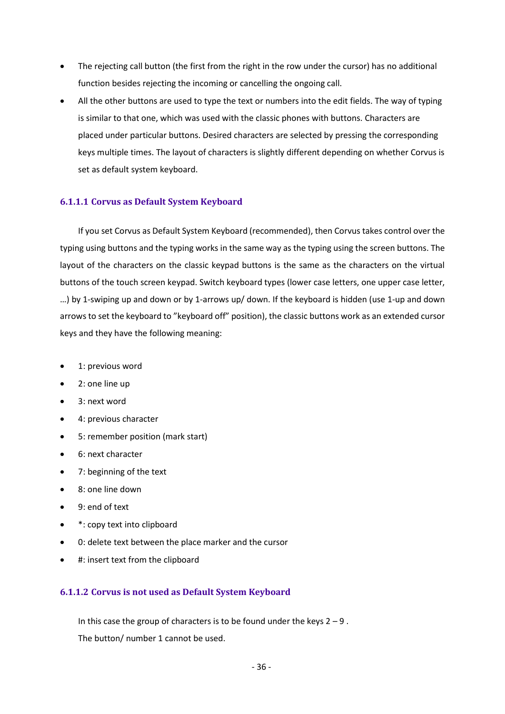- The rejecting call button (the first from the right in the row under the cursor) has no additional function besides rejecting the incoming or cancelling the ongoing call.
- All the other buttons are used to type the text or numbers into the edit fields. The way of typing is similar to that one, which was used with the classic phones with buttons. Characters are placed under particular buttons. Desired characters are selected by pressing the corresponding keys multiple times. The layout of characters is slightly different depending on whether Corvus is set as default system keyboard.

### <span id="page-35-0"></span>**6.1.1.1 Corvus as Default System Keyboard**

If you set Corvus as Default System Keyboard (recommended), then Corvus takes control over the typing using buttons and the typing works in the same way as the typing using the screen buttons. The layout of the characters on the classic keypad buttons is the same as the characters on the virtual buttons of the touch screen keypad. Switch keyboard types (lower case letters, one upper case letter, …) by 1-swiping up and down or by 1-arrows up/ down. If the keyboard is hidden (use 1-up and down arrows to set the keyboard to "keyboard off" position), the classic buttons work as an extended cursor keys and they have the following meaning:

- 1: previous word
- 2: one line up
- 3: next word
- 4: previous character
- 5: remember position (mark start)
- 6: next character
- 7: beginning of the text
- 8: one line down
- 9: end of text
- \*: copy text into clipboard
- 0: delete text between the place marker and the cursor
- #: insert text from the clipboard

# <span id="page-35-1"></span>**6.1.1.2 Corvus is not used as Default System Keyboard**

In this case the group of characters is to be found under the keys  $2 - 9$ . The button/ number 1 cannot be used.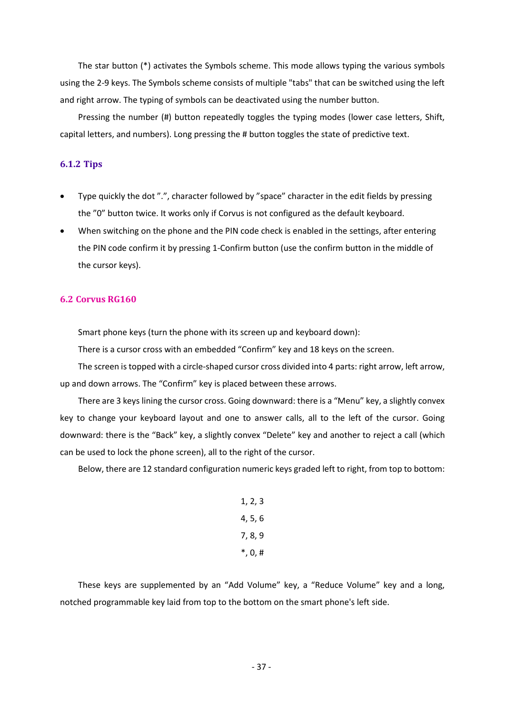The star button (\*) activates the Symbols scheme. This mode allows typing the various symbols using the 2-9 keys. The Symbols scheme consists of multiple "tabs" that can be switched using the left and right arrow. The typing of symbols can be deactivated using the number button.

Pressing the number (#) button repeatedly toggles the typing modes (lower case letters, Shift, capital letters, and numbers). Long pressing the # button toggles the state of predictive text.

## **6.1.2 Tips**

- Type quickly the dot ".", character followed by "space" character in the edit fields by pressing the "0" button twice. It works only if Corvus is not configured as the default keyboard.
- When switching on the phone and the PIN code check is enabled in the settings, after entering the PIN code confirm it by pressing 1-Confirm button (use the confirm button in the middle of the cursor keys).

### **6.2 Corvus RG160**

Smart phone keys (turn the phone with its screen up and keyboard down):

There is a cursor cross with an embedded "Confirm" key and 18 keys on the screen.

The screen is topped with a circle-shaped cursor cross divided into 4 parts: right arrow, left arrow, up and down arrows. The "Confirm" key is placed between these arrows.

There are 3 keys lining the cursor cross. Going downward: there is a "Menu" key, a slightly convex key to change your keyboard layout and one to answer calls, all to the left of the cursor. Going downward: there is the "Back" key, a slightly convex "Delete" key and another to reject a call (which can be used to lock the phone screen), all to the right of the cursor.

Below, there are 12 standard configuration numeric keys graded left to right, from top to bottom:

1, 2, 3 4, 5, 6 7, 8, 9 \*, 0, #

These keys are supplemented by an "Add Volume" key, a "Reduce Volume" key and a long, notched programmable key laid from top to the bottom on the smart phone's left side.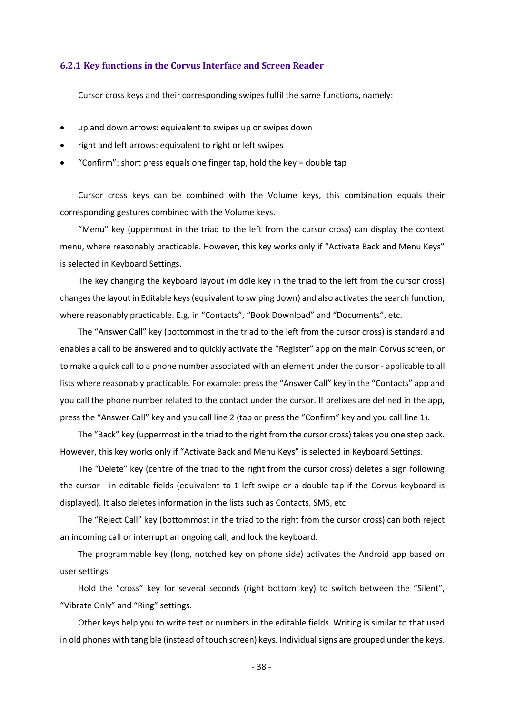#### **6.2.1 Key functions in the Corvus Interface and Screen Reader**

Cursor cross keys and their corresponding swipes fulfil the same functions, namely:

- up and down arrows: equivalent to swipes up or swipes down
- right and left arrows: equivalent to right or left swipes
- "Confirm": short press equals one finger tap, hold the key = double tap

Cursor cross keys can be combined with the Volume keys, this combination equals their corresponding gestures combined with the Volume keys.

"Menu" key (uppermost in the triad to the left from the cursor cross) can display the context menu, where reasonably practicable. However, this key works only if "Activate Back and Menu Keys" is selected in Keyboard Settings.

The key changing the keyboard layout (middle key in the triad to the left from the cursor cross) changes the layout in Editable keys (equivalent to swiping down) and also activates the search function, where reasonably practicable. E.g. in "Contacts", "Book Download" and "Documents", etc.

The "Answer Call" key (bottommost in the triad to the left from the cursor cross) is standard and enables a call to be answered and to quickly activate the "Register" app on the main Corvus screen, or to make a quick call to a phone number associated with an element under the cursor - applicable to all lists where reasonably practicable. For example: press the "Answer Call" key in the "Contacts" app and you call the phone number related to the contact under the cursor. If prefixes are defined in the app, press the "Answer Call" key and you call line 2 (tap or press the "Confirm" key and you call line 1).

The "Back" key (uppermost in the triad to the right from the cursor cross) takes you one step back. However, this key works only if "Activate Back and Menu Keys" is selected in Keyboard Settings.

The "Delete" key (centre of the triad to the right from the cursor cross) deletes a sign following the cursor - in editable fields (equivalent to 1 left swipe or a double tap if the Corvus keyboard is displayed). It also deletes information in the lists such as Contacts, SMS, etc.

The "Reject Call" key (bottommost in the triad to the right from the cursor cross) can both reject an incoming call or interrupt an ongoing call, and lock the keyboard.

The programmable key (long, notched key on phone side) activates the Android app based on user settings

Hold the "cross" key for several seconds (right bottom key) to switch between the "Silent", "Vibrate Only" and "Ring" settings.

Other keys help you to write text or numbers in the editable fields. Writing is similar to that used in old phones with tangible (instead of touch screen) keys. Individual signs are grouped under the keys.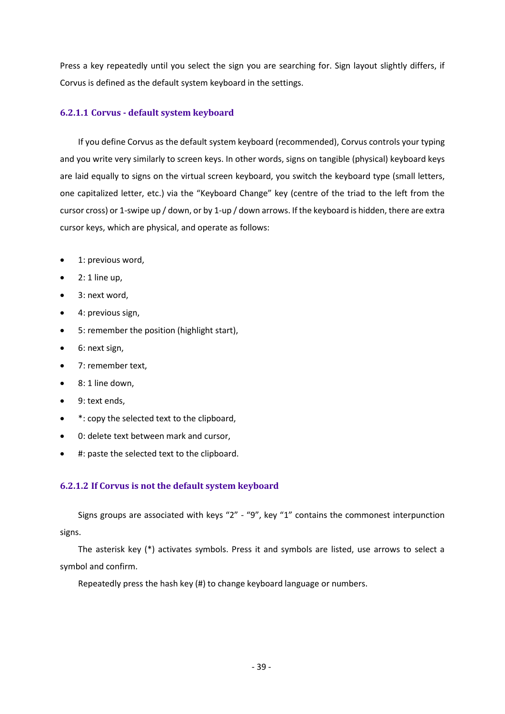Press a key repeatedly until you select the sign you are searching for. Sign layout slightly differs, if Corvus is defined as the default system keyboard in the settings.

# **6.2.1.1 Corvus - default system keyboard**

If you define Corvus as the default system keyboard (recommended), Corvus controls your typing and you write very similarly to screen keys. In other words, signs on tangible (physical) keyboard keys are laid equally to signs on the virtual screen keyboard, you switch the keyboard type (small letters, one capitalized letter, etc.) via the "Keyboard Change" key (centre of the triad to the left from the cursor cross) or 1-swipe up / down, or by 1-up / down arrows. If the keyboard is hidden, there are extra cursor keys, which are physical, and operate as follows:

- 1: previous word,
- $\bullet$  2: 1 line up,
- 3: next word,
- 4: previous sign,
- 5: remember the position (highlight start),
- 6: next sign,
- 7: remember text,
- 8: 1 line down,
- 9: text ends,
- \*: copy the selected text to the clipboard,
- 0: delete text between mark and cursor,
- #: paste the selected text to the clipboard.

# **6.2.1.2 If Corvus is not the default system keyboard**

Signs groups are associated with keys "2" - "9", key "1" contains the commonest interpunction signs.

The asterisk key (\*) activates symbols. Press it and symbols are listed, use arrows to select a symbol and confirm.

Repeatedly press the hash key (#) to change keyboard language or numbers.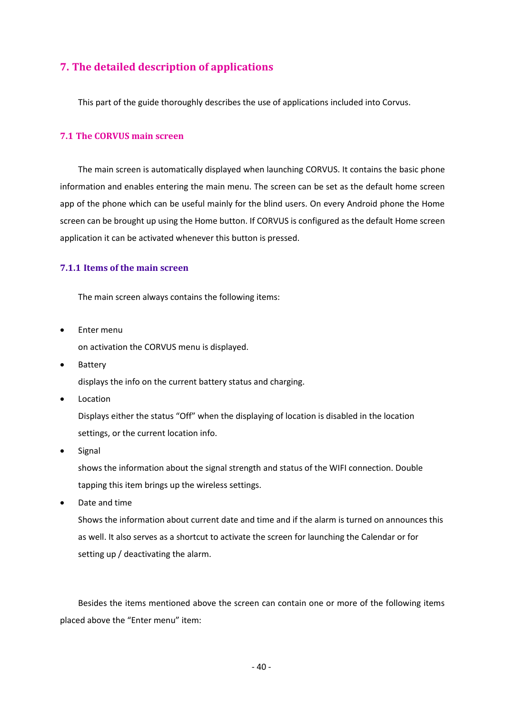# **7. The detailed description of applications**

This part of the guide thoroughly describes the use of applications included into Corvus.

### **7.1 The CORVUS main screen**

The main screen is automatically displayed when launching CORVUS. It contains the basic phone information and enables entering the main menu. The screen can be set as the default home screen app of the phone which can be useful mainly for the blind users. On every Android phone the Home screen can be brought up using the Home button. If CORVUS is configured as the default Home screen application it can be activated whenever this button is pressed.

## **7.1.1 Items of the main screen**

The main screen always contains the following items:

- Enter menu on activation the CORVUS menu is displayed.
- Battery

displays the info on the current battery status and charging.

• Location

Displays either the status "Off" when the displaying of location is disabled in the location settings, or the current location info.

• Signal

shows the information about the signal strength and status of the WIFI connection. Double tapping this item brings up the wireless settings.

• Date and time

Shows the information about current date and time and if the alarm is turned on announces this as well. It also serves as a shortcut to activate the screen for launching the Calendar or for setting up / deactivating the alarm.

Besides the items mentioned above the screen can contain one or more of the following items placed above the "Enter menu" item: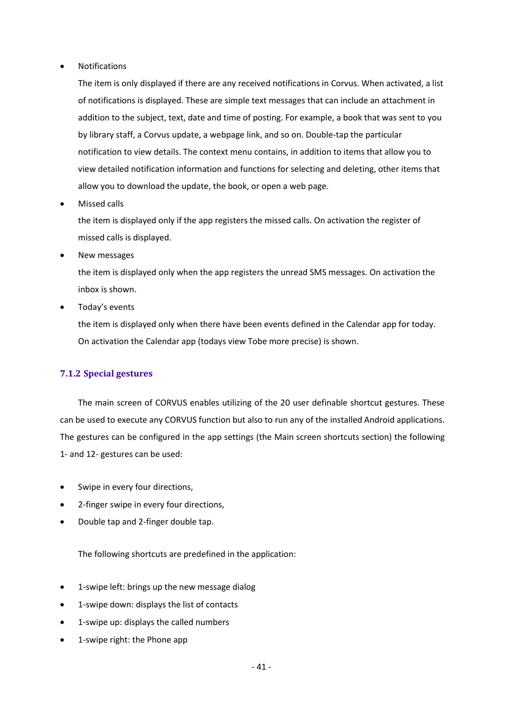**Notifications** 

The item is only displayed if there are any received notifications in Corvus. When activated, a list of notifications is displayed. These are simple text messages that can include an attachment in addition to the subject, text, date and time of posting. For example, a book that was sent to you by library staff, a Corvus update, a webpage link, and so on. Double-tap the particular notification to view details. The context menu contains, in addition to items that allow you to view detailed notification information and functions for selecting and deleting, other items that allow you to download the update, the book, or open a web page.

• Missed calls

the item is displayed only if the app registers the missed calls. On activation the register of missed calls is displayed.

• New messages

the item is displayed only when the app registers the unread SMS messages. On activation the inbox is shown.

Today's events

the item is displayed only when there have been events defined in the Calendar app for today. On activation the Calendar app (todays view Tobe more precise) is shown.

# **7.1.2 Special gestures**

The main screen of CORVUS enables utilizing of the 20 user definable shortcut gestures. These can be used to execute any CORVUS function but also to run any of the installed Android applications. The gestures can be configured in the app settings (the Main screen shortcuts section) the following 1- and 12- gestures can be used:

- Swipe in every four directions,
- 2-finger swipe in every four directions,
- Double tap and 2-finger double tap.

The following shortcuts are predefined in the application:

- 1-swipe left: brings up the new message dialog
- 1-swipe down: displays the list of contacts
- 1-swipe up: displays the called numbers
- 1-swipe right: the Phone app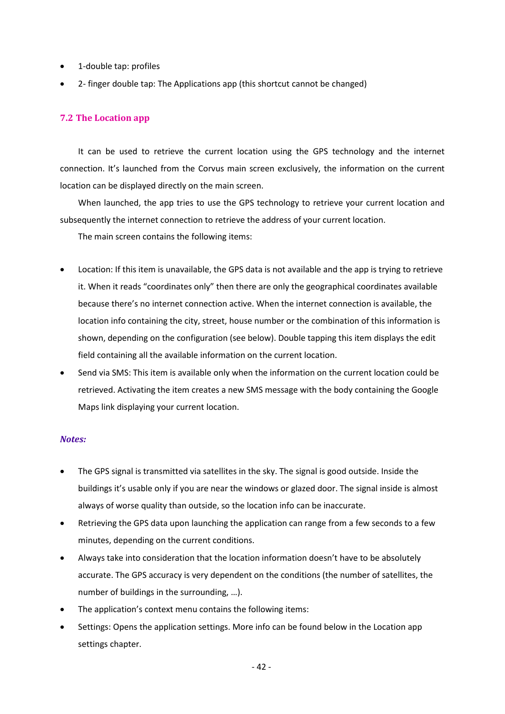- 1-double tap: profiles
- 2- finger double tap: The Applications app (this shortcut cannot be changed)

## **7.2 The Location app**

It can be used to retrieve the current location using the GPS technology and the internet connection. It's launched from the Corvus main screen exclusively, the information on the current location can be displayed directly on the main screen.

When launched, the app tries to use the GPS technology to retrieve your current location and subsequently the internet connection to retrieve the address of your current location.

The main screen contains the following items:

- Location: If this item is unavailable, the GPS data is not available and the app is trying to retrieve it. When it reads "coordinates only" then there are only the geographical coordinates available because there's no internet connection active. When the internet connection is available, the location info containing the city, street, house number or the combination of this information is shown, depending on the configuration (see below). Double tapping this item displays the edit field containing all the available information on the current location.
- Send via SMS: This item is available only when the information on the current location could be retrieved. Activating the item creates a new SMS message with the body containing the Google Maps link displaying your current location.

## *Notes:*

- The GPS signal is transmitted via satellites in the sky. The signal is good outside. Inside the buildings it's usable only if you are near the windows or glazed door. The signal inside is almost always of worse quality than outside, so the location info can be inaccurate.
- Retrieving the GPS data upon launching the application can range from a few seconds to a few minutes, depending on the current conditions.
- Always take into consideration that the location information doesn't have to be absolutely accurate. The GPS accuracy is very dependent on the conditions (the number of satellites, the number of buildings in the surrounding, …).
- The application's context menu contains the following items:
- Settings: Opens the application settings. More info can be found below in the Location app settings chapter.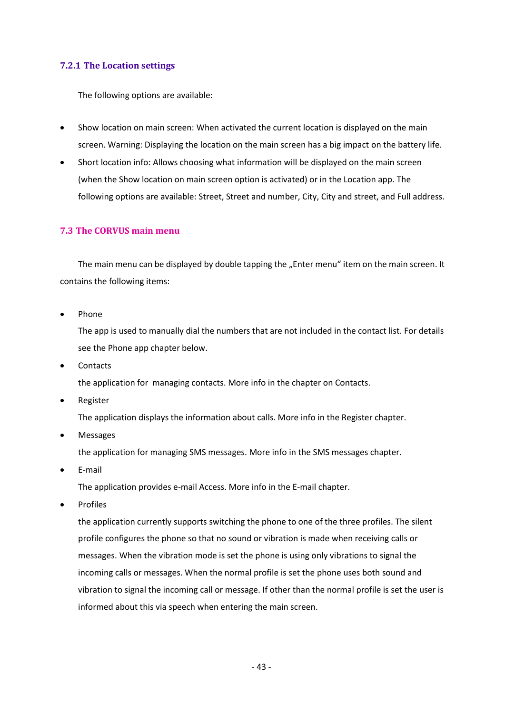## **7.2.1 The Location settings**

The following options are available:

- Show location on main screen: When activated the current location is displayed on the main screen. Warning: Displaying the location on the main screen has a big impact on the battery life.
- Short location info: Allows choosing what information will be displayed on the main screen (when the Show location on main screen option is activated) or in the Location app. The following options are available: Street, Street and number, City, City and street, and Full address.

## **7.3 The CORVUS main menu**

The main menu can be displayed by double tapping the "Enter menu" item on the main screen. It contains the following items:

• Phone

The app is used to manually dial the numbers that are not included in the contact list. For details see the Phone app chapter below.

• Contacts

the application for managing contacts. More info in the chapter on Contacts.

• Register

The application displays the information about calls. More info in the Register chapter.

• Messages

the application for managing SMS messages. More info in the SMS messages chapter.

• E-mail

The application provides e-mail Access. More info in the E-mail chapter.

**Profiles** 

the application currently supports switching the phone to one of the three profiles. The silent profile configures the phone so that no sound or vibration is made when receiving calls or messages. When the vibration mode is set the phone is using only vibrations to signal the incoming calls or messages. When the normal profile is set the phone uses both sound and vibration to signal the incoming call or message. If other than the normal profile is set the user is informed about this via speech when entering the main screen.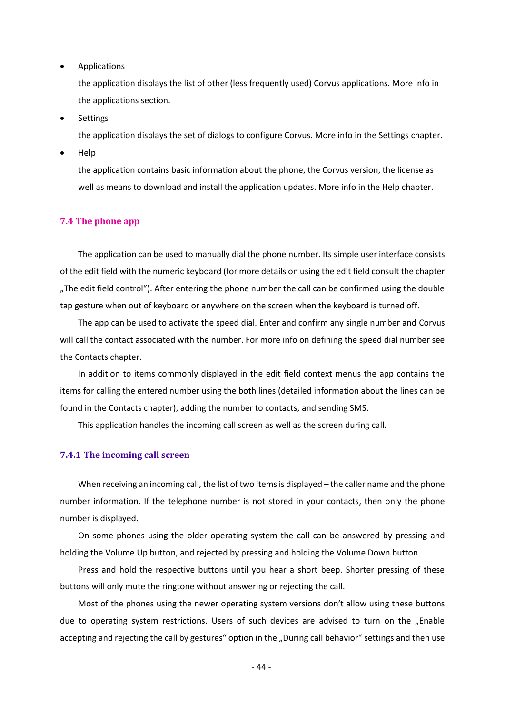• Applications

the application displays the list of other (less frequently used) Corvus applications. More info in the applications section.

• Settings

the application displays the set of dialogs to configure Corvus. More info in the Settings chapter.

• Help

the application contains basic information about the phone, the Corvus version, the license as well as means to download and install the application updates. More info in the Help chapter.

#### **7.4 The phone app**

The application can be used to manually dial the phone number. Its simple user interface consists of the edit field with the numeric keyboard (for more details on using the edit field consult the chapter "The edit field control"). After entering the phone number the call can be confirmed using the double tap gesture when out of keyboard or anywhere on the screen when the keyboard is turned off.

The app can be used to activate the speed dial. Enter and confirm any single number and Corvus will call the contact associated with the number. For more info on defining the speed dial number see the Contacts chapter.

In addition to items commonly displayed in the edit field context menus the app contains the items for calling the entered number using the both lines (detailed information about the lines can be found in the Contacts chapter), adding the number to contacts, and sending SMS.

This application handles the incoming call screen as well as the screen during call.

#### **7.4.1 The incoming call screen**

When receiving an incoming call, the list of two items is displayed – the caller name and the phone number information. If the telephone number is not stored in your contacts, then only the phone number is displayed.

On some phones using the older operating system the call can be answered by pressing and holding the Volume Up button, and rejected by pressing and holding the Volume Down button.

Press and hold the respective buttons until you hear a short beep. Shorter pressing of these buttons will only mute the ringtone without answering or rejecting the call.

Most of the phones using the newer operating system versions don't allow using these buttons due to operating system restrictions. Users of such devices are advised to turn on the "Enable accepting and rejecting the call by gestures" option in the "During call behavior" settings and then use

- 44 -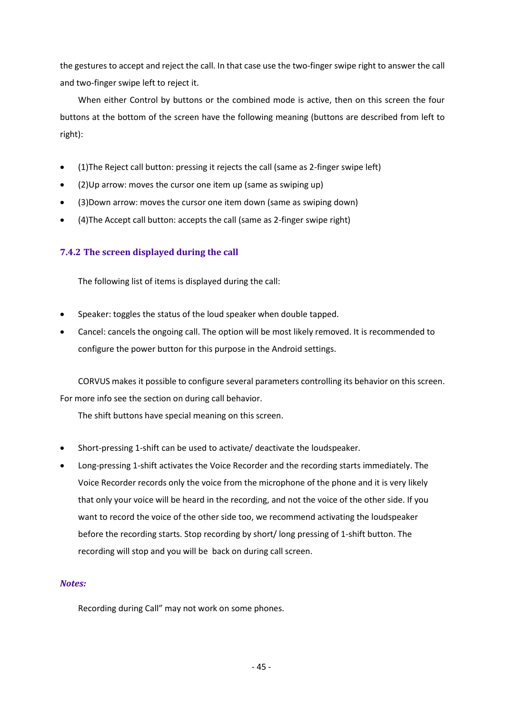the gestures to accept and reject the call. In that case use the two-finger swipe right to answer the call and two-finger swipe left to reject it.

When either Control by buttons or the combined mode is active, then on this screen the four buttons at the bottom of the screen have the following meaning (buttons are described from left to right):

- (1)The Reject call button: pressing it rejects the call (same as 2-finger swipe left)
- (2)Up arrow: moves the cursor one item up (same as swiping up)
- (3)Down arrow: moves the cursor one item down (same as swiping down)
- (4)The Accept call button: accepts the call (same as 2-finger swipe right)

# **7.4.2 The screen displayed during the call**

The following list of items is displayed during the call:

- Speaker: toggles the status of the loud speaker when double tapped.
- Cancel: cancels the ongoing call. The option will be most likely removed. It is recommended to configure the power button for this purpose in the Android settings.

CORVUS makes it possible to configure several parameters controlling its behavior on this screen. For more info see the section on during call behavior.

The shift buttons have special meaning on this screen.

- Short-pressing 1-shift can be used to activate/ deactivate the loudspeaker.
- Long-pressing 1-shift activates the Voice Recorder and the recording starts immediately. The Voice Recorder records only the voice from the microphone of the phone and it is very likely that only your voice will be heard in the recording, and not the voice of the other side. If you want to record the voice of the other side too, we recommend activating the loudspeaker before the recording starts. Stop recording by short/ long pressing of 1-shift button. The recording will stop and you will be back on during call screen.

## *Notes:*

Recording during Call" may not work on some phones.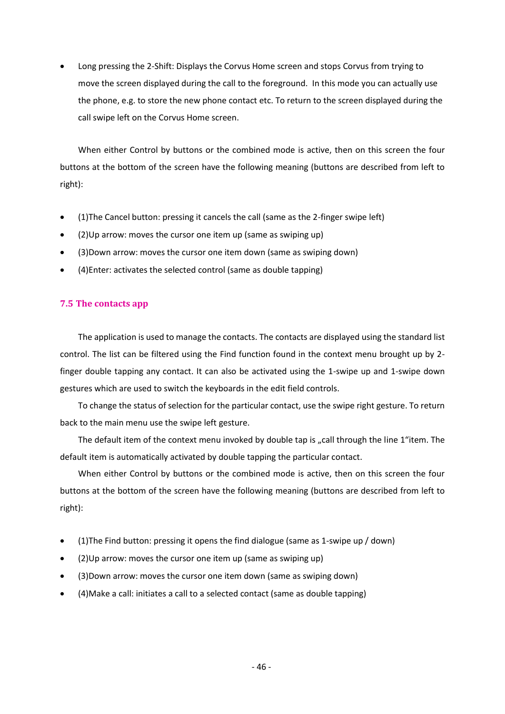• Long pressing the 2-Shift: Displays the Corvus Home screen and stops Corvus from trying to move the screen displayed during the call to the foreground. In this mode you can actually use the phone, e.g. to store the new phone contact etc. To return to the screen displayed during the call swipe left on the Corvus Home screen.

When either Control by buttons or the combined mode is active, then on this screen the four buttons at the bottom of the screen have the following meaning (buttons are described from left to right):

- (1)The Cancel button: pressing it cancels the call (same as the 2-finger swipe left)
- (2)Up arrow: moves the cursor one item up (same as swiping up)
- (3)Down arrow: moves the cursor one item down (same as swiping down)
- (4)Enter: activates the selected control (same as double tapping)

## **7.5 The contacts app**

The application is used to manage the contacts. The contacts are displayed using the standard list control. The list can be filtered using the Find function found in the context menu brought up by 2 finger double tapping any contact. It can also be activated using the 1-swipe up and 1-swipe down gestures which are used to switch the keyboards in the edit field controls.

To change the status of selection for the particular contact, use the swipe right gesture. To return back to the main menu use the swipe left gesture.

The default item of the context menu invoked by double tap is "call through the line 1"item. The default item is automatically activated by double tapping the particular contact.

When either Control by buttons or the combined mode is active, then on this screen the four buttons at the bottom of the screen have the following meaning (buttons are described from left to right):

- (1)The Find button: pressing it opens the find dialogue (same as 1-swipe up / down)
- (2)Up arrow: moves the cursor one item up (same as swiping up)
- (3)Down arrow: moves the cursor one item down (same as swiping down)
- (4)Make a call: initiates a call to a selected contact (same as double tapping)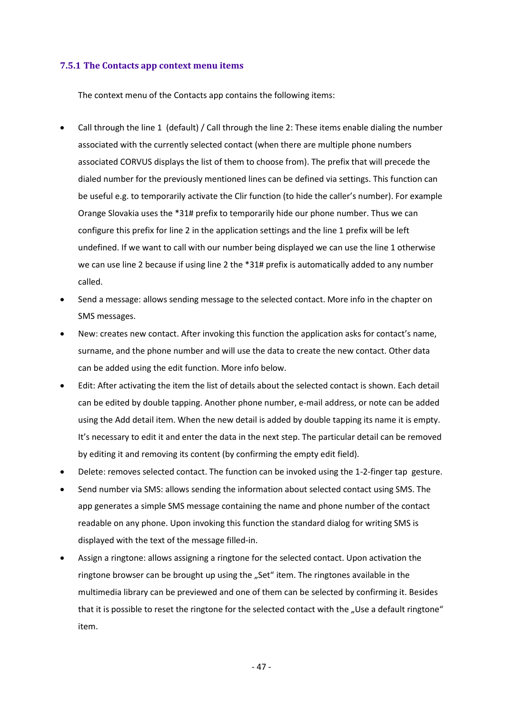#### **7.5.1 The Contacts app context menu items**

The context menu of the Contacts app contains the following items:

- Call through the line 1 (default) / Call through the line 2: These items enable dialing the number associated with the currently selected contact (when there are multiple phone numbers associated CORVUS displays the list of them to choose from). The prefix that will precede the dialed number for the previously mentioned lines can be defined via settings. This function can be useful e.g. to temporarily activate the Clir function (to hide the caller's number). For example Orange Slovakia uses the \*31# prefix to temporarily hide our phone number. Thus we can configure this prefix for line 2 in the application settings and the line 1 prefix will be left undefined. If we want to call with our number being displayed we can use the line 1 otherwise we can use line 2 because if using line 2 the \*31# prefix is automatically added to any number called.
- Send a message: allows sending message to the selected contact. More info in the chapter on SMS messages.
- New: creates new contact. After invoking this function the application asks for contact's name, surname, and the phone number and will use the data to create the new contact. Other data can be added using the edit function. More info below.
- Edit: After activating the item the list of details about the selected contact is shown. Each detail can be edited by double tapping. Another phone number, e-mail address, or note can be added using the Add detail item. When the new detail is added by double tapping its name it is empty. It's necessary to edit it and enter the data in the next step. The particular detail can be removed by editing it and removing its content (by confirming the empty edit field).
- Delete: removes selected contact. The function can be invoked using the 1-2-finger tap gesture.
- Send number via SMS: allows sending the information about selected contact using SMS. The app generates a simple SMS message containing the name and phone number of the contact readable on any phone. Upon invoking this function the standard dialog for writing SMS is displayed with the text of the message filled-in.
- Assign a ringtone: allows assigning a ringtone for the selected contact. Upon activation the ringtone browser can be brought up using the "Set" item. The ringtones available in the multimedia library can be previewed and one of them can be selected by confirming it. Besides that it is possible to reset the ringtone for the selected contact with the "Use a default ringtone" item.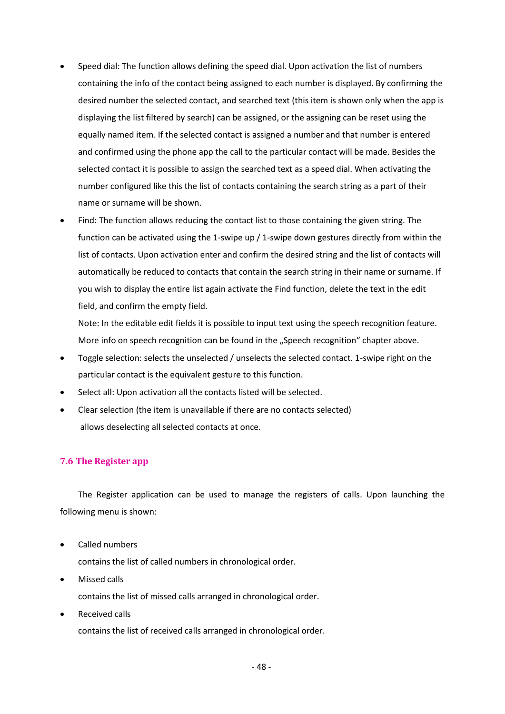- Speed dial: The function allows defining the speed dial. Upon activation the list of numbers containing the info of the contact being assigned to each number is displayed. By confirming the desired number the selected contact, and searched text (this item is shown only when the app is displaying the list filtered by search) can be assigned, or the assigning can be reset using the equally named item. If the selected contact is assigned a number and that number is entered and confirmed using the phone app the call to the particular contact will be made. Besides the selected contact it is possible to assign the searched text as a speed dial. When activating the number configured like this the list of contacts containing the search string as a part of their name or surname will be shown.
- Find: The function allows reducing the contact list to those containing the given string. The function can be activated using the 1-swipe up / 1-swipe down gestures directly from within the list of contacts. Upon activation enter and confirm the desired string and the list of contacts will automatically be reduced to contacts that contain the search string in their name or surname. If you wish to display the entire list again activate the Find function, delete the text in the edit field, and confirm the empty field.

Note: In the editable edit fields it is possible to input text using the speech recognition feature. More info on speech recognition can be found in the "Speech recognition" chapter above.

- Toggle selection: selects the unselected / unselects the selected contact. 1-swipe right on the particular contact is the equivalent gesture to this function.
- Select all: Upon activation all the contacts listed will be selected.
- Clear selection (the item is unavailable if there are no contacts selected) allows deselecting all selected contacts at once.

# **7.6 The Register app**

The Register application can be used to manage the registers of calls. Upon launching the following menu is shown:

• Called numbers

contains the list of called numbers in chronological order.

• Missed calls

contains the list of missed calls arranged in chronological order.

• Received calls

contains the list of received calls arranged in chronological order.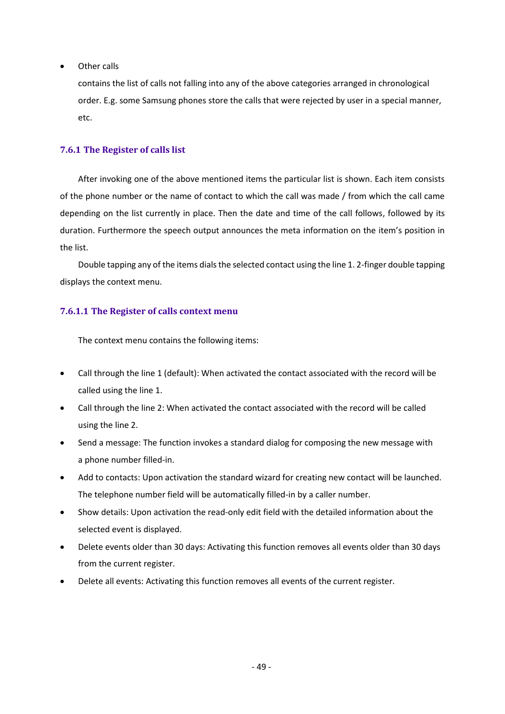• Other calls

contains the list of calls not falling into any of the above categories arranged in chronological order. E.g. some Samsung phones store the calls that were rejected by user in a special manner, etc.

## **7.6.1 The Register of calls list**

After invoking one of the above mentioned items the particular list is shown. Each item consists of the phone number or the name of contact to which the call was made / from which the call came depending on the list currently in place. Then the date and time of the call follows, followed by its duration. Furthermore the speech output announces the meta information on the item's position in the list.

Double tapping any of the items dials the selected contact using the line 1. 2-finger double tapping displays the context menu.

# **7.6.1.1 The Register of calls context menu**

The context menu contains the following items:

- Call through the line 1 (default): When activated the contact associated with the record will be called using the line 1.
- Call through the line 2: When activated the contact associated with the record will be called using the line 2.
- Send a message: The function invokes a standard dialog for composing the new message with a phone number filled-in.
- Add to contacts: Upon activation the standard wizard for creating new contact will be launched. The telephone number field will be automatically filled-in by a caller number.
- Show details: Upon activation the read-only edit field with the detailed information about the selected event is displayed.
- Delete events older than 30 days: Activating this function removes all events older than 30 days from the current register.
- Delete all events: Activating this function removes all events of the current register.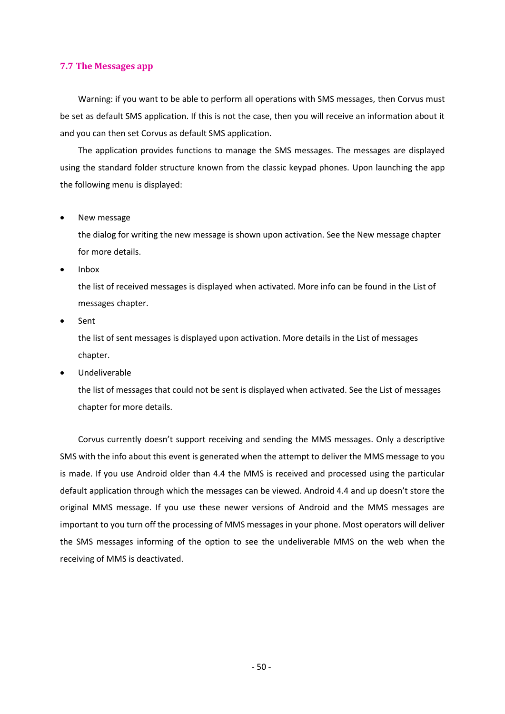#### **7.7 The Messages app**

Warning: if you want to be able to perform all operations with SMS messages, then Corvus must be set as default SMS application. If this is not the case, then you will receive an information about it and you can then set Corvus as default SMS application.

The application provides functions to manage the SMS messages. The messages are displayed using the standard folder structure known from the classic keypad phones. Upon launching the app the following menu is displayed:

• New message

the dialog for writing the new message is shown upon activation. See the New message chapter for more details.

• Inbox

the list of received messages is displayed when activated. More info can be found in the List of messages chapter.

- **Sent** the list of sent messages is displayed upon activation. More details in the List of messages chapter.
- Undeliverable

the list of messages that could not be sent is displayed when activated. See the List of messages chapter for more details.

Corvus currently doesn't support receiving and sending the MMS messages. Only a descriptive SMS with the info about this event is generated when the attempt to deliver the MMS message to you is made. If you use Android older than 4.4 the MMS is received and processed using the particular default application through which the messages can be viewed. Android 4.4 and up doesn't store the original MMS message. If you use these newer versions of Android and the MMS messages are important to you turn off the processing of MMS messages in your phone. Most operators will deliver the SMS messages informing of the option to see the undeliverable MMS on the web when the receiving of MMS is deactivated.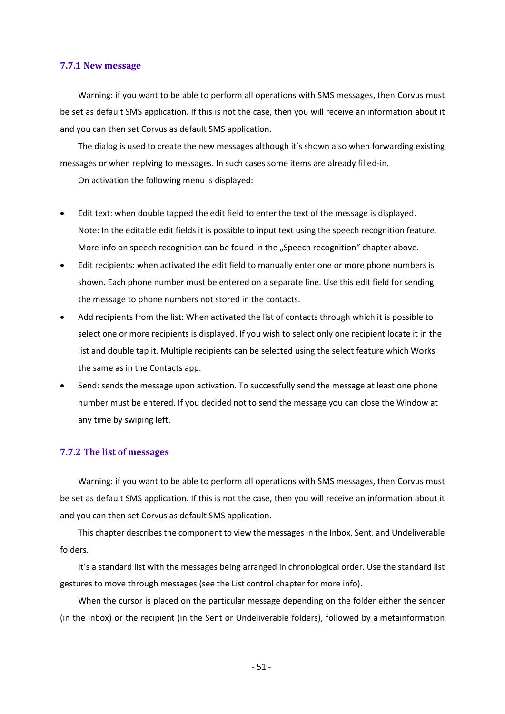#### **7.7.1 New message**

Warning: if you want to be able to perform all operations with SMS messages, then Corvus must be set as default SMS application. If this is not the case, then you will receive an information about it and you can then set Corvus as default SMS application.

The dialog is used to create the new messages although it's shown also when forwarding existing messages or when replying to messages. In such cases some items are already filled-in.

On activation the following menu is displayed:

- Edit text: when double tapped the edit field to enter the text of the message is displayed. Note: In the editable edit fields it is possible to input text using the speech recognition feature. More info on speech recognition can be found in the "Speech recognition" chapter above.
- Edit recipients: when activated the edit field to manually enter one or more phone numbers is shown. Each phone number must be entered on a separate line. Use this edit field for sending the message to phone numbers not stored in the contacts.
- Add recipients from the list: When activated the list of contacts through which it is possible to select one or more recipients is displayed. If you wish to select only one recipient locate it in the list and double tap it. Multiple recipients can be selected using the select feature which Works the same as in the Contacts app.
- Send: sends the message upon activation. To successfully send the message at least one phone number must be entered. If you decided not to send the message you can close the Window at any time by swiping left.

#### **7.7.2 The list of messages**

Warning: if you want to be able to perform all operations with SMS messages, then Corvus must be set as default SMS application. If this is not the case, then you will receive an information about it and you can then set Corvus as default SMS application.

This chapter describes the component to view the messages in the Inbox, Sent, and Undeliverable folders.

It's a standard list with the messages being arranged in chronological order. Use the standard list gestures to move through messages (see the List control chapter for more info).

When the cursor is placed on the particular message depending on the folder either the sender (in the inbox) or the recipient (in the Sent or Undeliverable folders), followed by a metainformation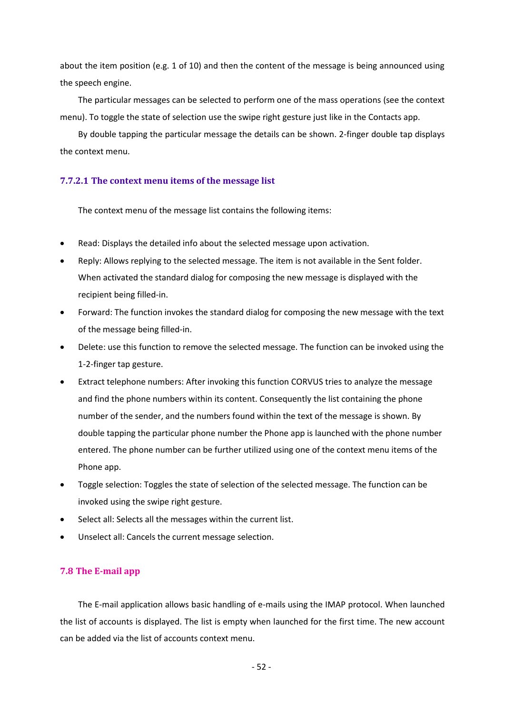about the item position (e.g. 1 of 10) and then the content of the message is being announced using the speech engine.

The particular messages can be selected to perform one of the mass operations (see the context menu). To toggle the state of selection use the swipe right gesture just like in the Contacts app.

By double tapping the particular message the details can be shown. 2-finger double tap displays the context menu.

### **7.7.2.1 The context menu items of the message list**

The context menu of the message list contains the following items:

- Read: Displays the detailed info about the selected message upon activation.
- Reply: Allows replying to the selected message. The item is not available in the Sent folder. When activated the standard dialog for composing the new message is displayed with the recipient being filled-in.
- Forward: The function invokes the standard dialog for composing the new message with the text of the message being filled-in.
- Delete: use this function to remove the selected message. The function can be invoked using the 1-2-finger tap gesture.
- Extract telephone numbers: After invoking this function CORVUS tries to analyze the message and find the phone numbers within its content. Consequently the list containing the phone number of the sender, and the numbers found within the text of the message is shown. By double tapping the particular phone number the Phone app is launched with the phone number entered. The phone number can be further utilized using one of the context menu items of the Phone app.
- Toggle selection: Toggles the state of selection of the selected message. The function can be invoked using the swipe right gesture.
- Select all: Selects all the messages within the current list.
- Unselect all: Cancels the current message selection.

#### **7.8 The E-mail app**

The E-mail application allows basic handling of e-mails using the IMAP protocol. When launched the list of accounts is displayed. The list is empty when launched for the first time. The new account can be added via the list of accounts context menu.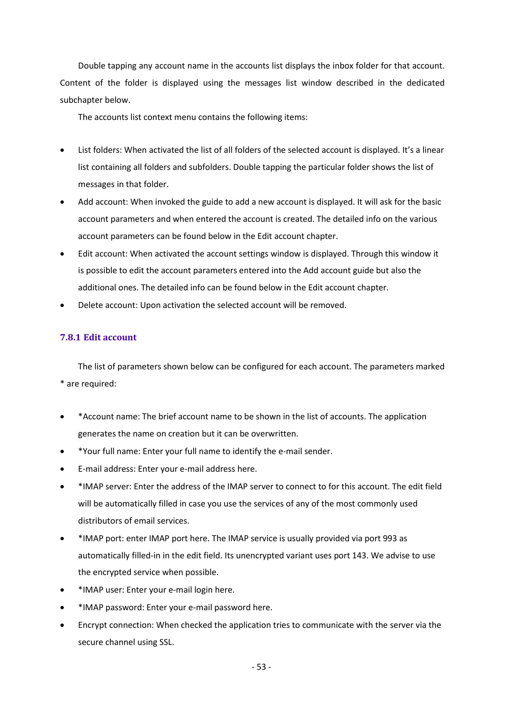Double tapping any account name in the accounts list displays the inbox folder for that account. Content of the folder is displayed using the messages list window described in the dedicated subchapter below.

The accounts list context menu contains the following items:

- List folders: When activated the list of all folders of the selected account is displayed. It's a linear list containing all folders and subfolders. Double tapping the particular folder shows the list of messages in that folder.
- Add account: When invoked the guide to add a new account is displayed. It will ask for the basic account parameters and when entered the account is created. The detailed info on the various account parameters can be found below in the Edit account chapter.
- Edit account: When activated the account settings window is displayed. Through this window it is possible to edit the account parameters entered into the Add account guide but also the additional ones. The detailed info can be found below in the Edit account chapter.
- Delete account: Upon activation the selected account will be removed.

## **7.8.1 Edit account**

The list of parameters shown below can be configured for each account. The parameters marked \* are required:

- \*Account name: The brief account name to be shown in the list of accounts. The application generates the name on creation but it can be overwritten.
- \*Your full name: Enter your full name to identify the e-mail sender.
- E-mail address: Enter your e-mail address here.
- \*IMAP server: Enter the address of the IMAP server to connect to for this account. The edit field will be automatically filled in case you use the services of any of the most commonly used distributors of email services.
- \*IMAP port: enter IMAP port here. The IMAP service is usually provided via port 993 as automatically filled-in in the edit field. Its unencrypted variant uses port 143. We advise to use the encrypted service when possible.
- \*IMAP user: Enter your e-mail login here.
- \*IMAP password: Enter your e-mail password here.
- Encrypt connection: When checked the application tries to communicate with the server via the secure channel using SSL.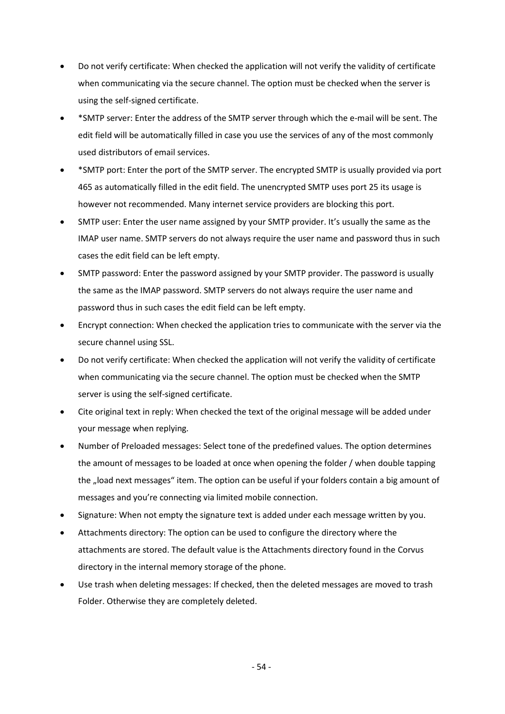- Do not verify certificate: When checked the application will not verify the validity of certificate when communicating via the secure channel. The option must be checked when the server is using the self-signed certificate.
- \*SMTP server: Enter the address of the SMTP server through which the e-mail will be sent. The edit field will be automatically filled in case you use the services of any of the most commonly used distributors of email services.
- \*SMTP port: Enter the port of the SMTP server. The encrypted SMTP is usually provided via port 465 as automatically filled in the edit field. The unencrypted SMTP uses port 25 its usage is however not recommended. Many internet service providers are blocking this port.
- SMTP user: Enter the user name assigned by your SMTP provider. It's usually the same as the IMAP user name. SMTP servers do not always require the user name and password thus in such cases the edit field can be left empty.
- SMTP password: Enter the password assigned by your SMTP provider. The password is usually the same as the IMAP password. SMTP servers do not always require the user name and password thus in such cases the edit field can be left empty.
- Encrypt connection: When checked the application tries to communicate with the server via the secure channel using SSL.
- Do not verify certificate: When checked the application will not verify the validity of certificate when communicating via the secure channel. The option must be checked when the SMTP server is using the self-signed certificate.
- Cite original text in reply: When checked the text of the original message will be added under your message when replying.
- Number of Preloaded messages: Select tone of the predefined values. The option determines the amount of messages to be loaded at once when opening the folder / when double tapping the "load next messages" item. The option can be useful if your folders contain a big amount of messages and you're connecting via limited mobile connection.
- Signature: When not empty the signature text is added under each message written by you.
- Attachments directory: The option can be used to configure the directory where the attachments are stored. The default value is the Attachments directory found in the Corvus directory in the internal memory storage of the phone.
- Use trash when deleting messages: If checked, then the deleted messages are moved to trash Folder. Otherwise they are completely deleted.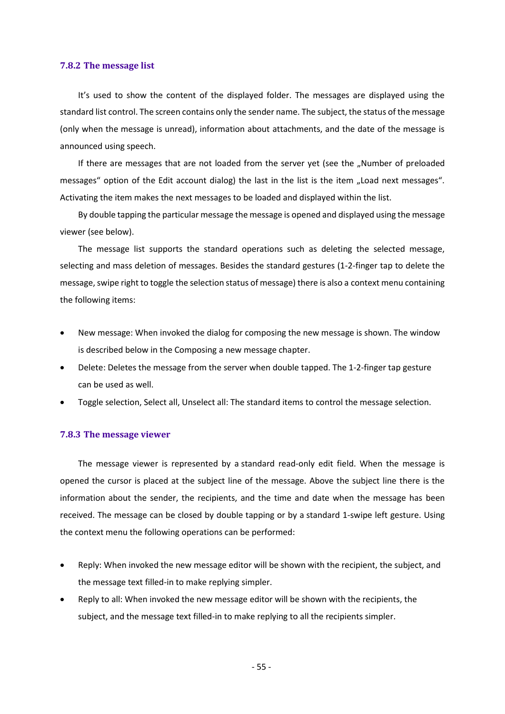#### **7.8.2 The message list**

It's used to show the content of the displayed folder. The messages are displayed using the standard list control. The screen contains only the sender name. The subject, the status of the message (only when the message is unread), information about attachments, and the date of the message is announced using speech.

If there are messages that are not loaded from the server yet (see the "Number of preloaded messages" option of the Edit account dialog) the last in the list is the item "Load next messages". Activating the item makes the next messages to be loaded and displayed within the list.

By double tapping the particular message the message is opened and displayed using the message viewer (see below).

The message list supports the standard operations such as deleting the selected message, selecting and mass deletion of messages. Besides the standard gestures (1-2-finger tap to delete the message, swipe right to toggle the selection status of message) there is also a context menu containing the following items:

- New message: When invoked the dialog for composing the new message is shown. The window is described below in the Composing a new message chapter.
- Delete: Deletes the message from the server when double tapped. The 1-2-finger tap gesture can be used as well.
- Toggle selection, Select all, Unselect all: The standard items to control the message selection.

#### **7.8.3 The message viewer**

The message viewer is represented by a standard read-only edit field. When the message is opened the cursor is placed at the subject line of the message. Above the subject line there is the information about the sender, the recipients, and the time and date when the message has been received. The message can be closed by double tapping or by a standard 1-swipe left gesture. Using the context menu the following operations can be performed:

- Reply: When invoked the new message editor will be shown with the recipient, the subject, and the message text filled-in to make replying simpler.
- Reply to all: When invoked the new message editor will be shown with the recipients, the subject, and the message text filled-in to make replying to all the recipients simpler.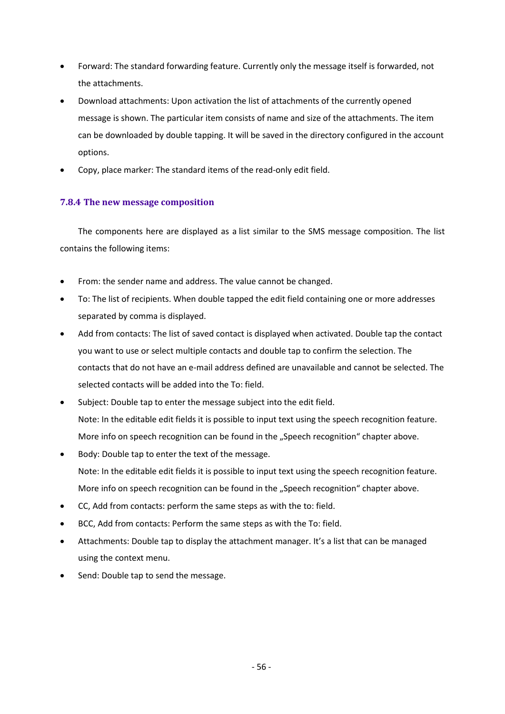- Forward: The standard forwarding feature. Currently only the message itself is forwarded, not the attachments.
- Download attachments: Upon activation the list of attachments of the currently opened message is shown. The particular item consists of name and size of the attachments. The item can be downloaded by double tapping. It will be saved in the directory configured in the account options.
- Copy, place marker: The standard items of the read-only edit field.

# **7.8.4 The new message composition**

The components here are displayed as a list similar to the SMS message composition. The list contains the following items:

- From: the sender name and address. The value cannot be changed.
- To: The list of recipients. When double tapped the edit field containing one or more addresses separated by comma is displayed.
- Add from contacts: The list of saved contact is displayed when activated. Double tap the contact you want to use or select multiple contacts and double tap to confirm the selection. The contacts that do not have an e-mail address defined are unavailable and cannot be selected. The selected contacts will be added into the To: field.
- Subject: Double tap to enter the message subject into the edit field. Note: In the editable edit fields it is possible to input text using the speech recognition feature. More info on speech recognition can be found in the "Speech recognition" chapter above.
- Body: Double tap to enter the text of the message. Note: In the editable edit fields it is possible to input text using the speech recognition feature. More info on speech recognition can be found in the "Speech recognition" chapter above.
- CC, Add from contacts: perform the same steps as with the to: field.
- BCC, Add from contacts: Perform the same steps as with the To: field.
- Attachments: Double tap to display the attachment manager. It's a list that can be managed using the context menu.
- Send: Double tap to send the message.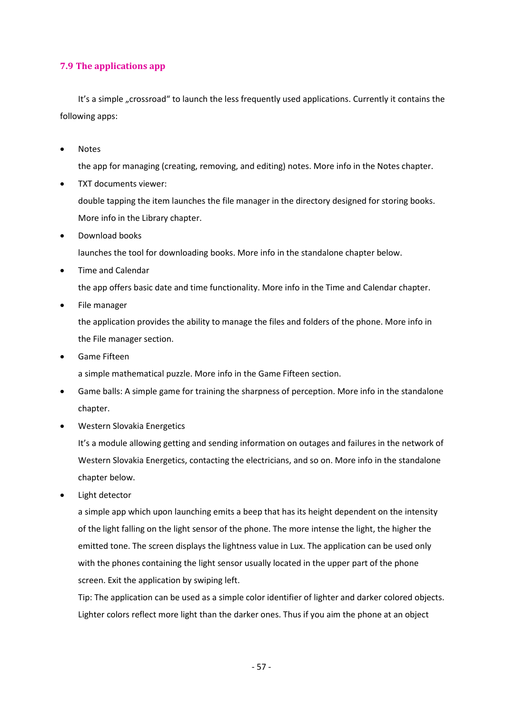## **7.9 The applications app**

It's a simple "crossroad" to launch the less frequently used applications. Currently it contains the following apps:

• Notes

the app for managing (creating, removing, and editing) notes. More info in the Notes chapter.

• TXT documents viewer:

double tapping the item launches the file manager in the directory designed for storing books. More info in the Library chapter.

• Download books

launches the tool for downloading books. More info in the standalone chapter below.

• Time and Calendar

the app offers basic date and time functionality. More info in the Time and Calendar chapter.

• File manager

the application provides the ability to manage the files and folders of the phone. More info in the File manager section.

• Game Fifteen

a simple mathematical puzzle. More info in the Game Fifteen section.

- Game balls: A simple game for training the sharpness of perception. More info in the standalone chapter.
- Western Slovakia Energetics

It's a module allowing getting and sending information on outages and failures in the network of Western Slovakia Energetics, contacting the electricians, and so on. More info in the standalone chapter below.

• Light detector

a simple app which upon launching emits a beep that has its height dependent on the intensity of the light falling on the light sensor of the phone. The more intense the light, the higher the emitted tone. The screen displays the lightness value in Lux. The application can be used only with the phones containing the light sensor usually located in the upper part of the phone screen. Exit the application by swiping left.

Tip: The application can be used as a simple color identifier of lighter and darker colored objects. Lighter colors reflect more light than the darker ones. Thus if you aim the phone at an object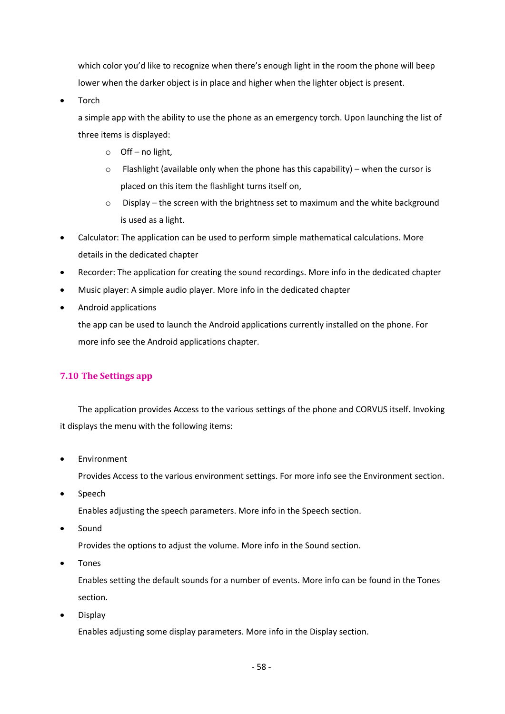which color you'd like to recognize when there's enough light in the room the phone will beep lower when the darker object is in place and higher when the lighter object is present.

• Torch

a simple app with the ability to use the phone as an emergency torch. Upon launching the list of three items is displayed:

- o Off no light,
- $\circ$  Flashlight (available only when the phone has this capability) when the cursor is placed on this item the flashlight turns itself on,
- o Display the screen with the brightness set to maximum and the white background is used as a light.
- Calculator: The application can be used to perform simple mathematical calculations. More details in the dedicated chapter
- Recorder: The application for creating the sound recordings. More info in the dedicated chapter
- Music player: A simple audio player. More info in the dedicated chapter
- Android applications

the app can be used to launch the Android applications currently installed on the phone. For more info see the Android applications chapter.

# **7.10 The Settings app**

The application provides Access to the various settings of the phone and CORVUS itself. Invoking it displays the menu with the following items:

**Environment** 

Provides Access to the various environment settings. For more info see the Environment section.

• Speech

Enables adjusting the speech parameters. More info in the Speech section.

• Sound

Provides the options to adjust the volume. More info in the Sound section.

• Tones

Enables setting the default sounds for a number of events. More info can be found in the Tones section.

• Display

Enables adjusting some display parameters. More info in the Display section.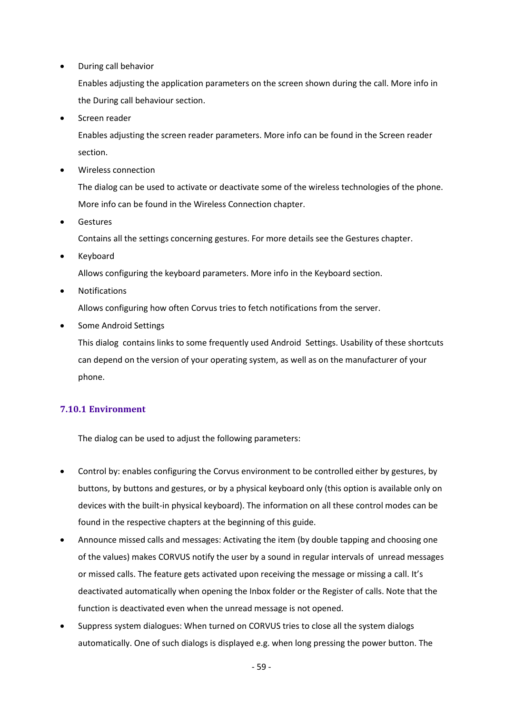• During call behavior

Enables adjusting the application parameters on the screen shown during the call. More info in the During call behaviour section.

Screen reader

Enables adjusting the screen reader parameters. More info can be found in the Screen reader section.

• Wireless connection

The dialog can be used to activate or deactivate some of the wireless technologies of the phone. More info can be found in the Wireless Connection chapter.

**Gestures** 

Contains all the settings concerning gestures. For more details see the Gestures chapter.

**Keyboard** 

Allows configuring the keyboard parameters. More info in the Keyboard section.

• Notifications

Allows configuring how often Corvus tries to fetch notifications from the server.

• Some Android Settings

This dialog contains links to some frequently used Android Settings. Usability of these shortcuts can depend on the version of your operating system, as well as on the manufacturer of your phone.

# **7.10.1 Environment**

The dialog can be used to adjust the following parameters:

- Control by: enables configuring the Corvus environment to be controlled either by gestures, by buttons, by buttons and gestures, or by a physical keyboard only (this option is available only on devices with the built-in physical keyboard). The information on all these control modes can be found in the respective chapters at the beginning of this guide.
- Announce missed calls and messages: Activating the item (by double tapping and choosing one of the values) makes CORVUS notify the user by a sound in regular intervals of unread messages or missed calls. The feature gets activated upon receiving the message or missing a call. It's deactivated automatically when opening the Inbox folder or the Register of calls. Note that the function is deactivated even when the unread message is not opened.
- Suppress system dialogues: When turned on CORVUS tries to close all the system dialogs automatically. One of such dialogs is displayed e.g. when long pressing the power button. The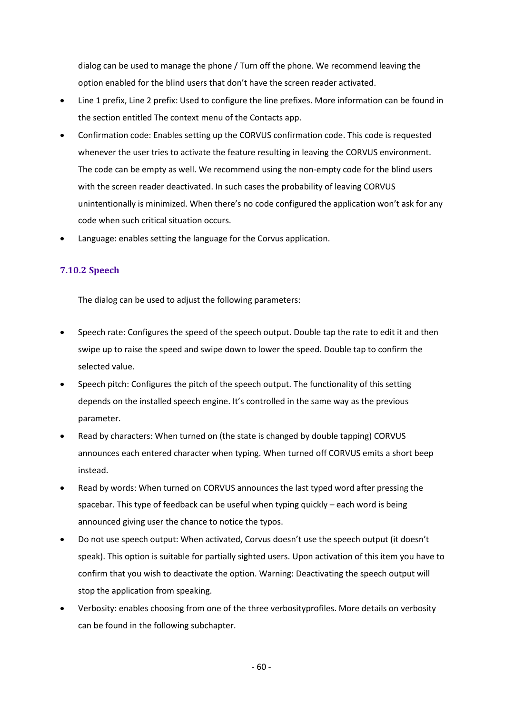dialog can be used to manage the phone / Turn off the phone. We recommend leaving the option enabled for the blind users that don't have the screen reader activated.

- Line 1 prefix, Line 2 prefix: Used to configure the line prefixes. More information can be found in the section entitled The context menu of the Contacts app.
- Confirmation code: Enables setting up the CORVUS confirmation code. This code is requested whenever the user tries to activate the feature resulting in leaving the CORVUS environment. The code can be empty as well. We recommend using the non-empty code for the blind users with the screen reader deactivated. In such cases the probability of leaving CORVUS unintentionally is minimized. When there's no code configured the application won't ask for any code when such critical situation occurs.
- Language: enables setting the language for the Corvus application.

# **7.10.2 Speech**

The dialog can be used to adjust the following parameters:

- Speech rate: Configures the speed of the speech output. Double tap the rate to edit it and then swipe up to raise the speed and swipe down to lower the speed. Double tap to confirm the selected value.
- Speech pitch: Configures the pitch of the speech output. The functionality of this setting depends on the installed speech engine. It's controlled in the same way as the previous parameter.
- Read by characters: When turned on (the state is changed by double tapping) CORVUS announces each entered character when typing. When turned off CORVUS emits a short beep instead.
- Read by words: When turned on CORVUS announces the last typed word after pressing the spacebar. This type of feedback can be useful when typing quickly – each word is being announced giving user the chance to notice the typos.
- Do not use speech output: When activated, Corvus doesn't use the speech output (it doesn't speak). This option is suitable for partially sighted users. Upon activation of this item you have to confirm that you wish to deactivate the option. Warning: Deactivating the speech output will stop the application from speaking.
- Verbosity: enables choosing from one of the three verbosityprofiles. More details on verbosity can be found in the following subchapter.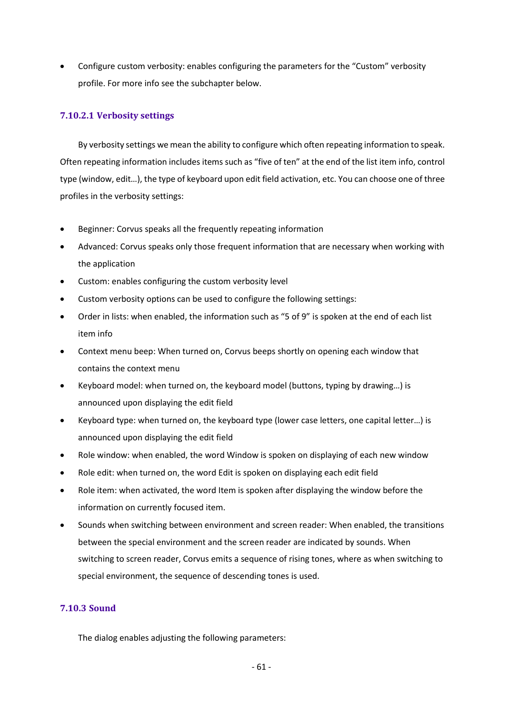• Configure custom verbosity: enables configuring the parameters for the "Custom" verbosity profile. For more info see the subchapter below.

## **7.10.2.1 Verbosity settings**

By verbosity settings we mean the ability to configure which often repeating information to speak. Often repeating information includes items such as "five of ten" at the end of the list item info, control type (window, edit…), the type of keyboard upon edit field activation, etc. You can choose one of three profiles in the verbosity settings:

- Beginner: Corvus speaks all the frequently repeating information
- Advanced: Corvus speaks only those frequent information that are necessary when working with the application
- Custom: enables configuring the custom verbosity level
- Custom verbosity options can be used to configure the following settings:
- Order in lists: when enabled, the information such as "5 of 9" is spoken at the end of each list item info
- Context menu beep: When turned on, Corvus beeps shortly on opening each window that contains the context menu
- Keyboard model: when turned on, the keyboard model (buttons, typing by drawing…) is announced upon displaying the edit field
- Keyboard type: when turned on, the keyboard type (lower case letters, one capital letter…) is announced upon displaying the edit field
- Role window: when enabled, the word Window is spoken on displaying of each new window
- Role edit: when turned on, the word Edit is spoken on displaying each edit field
- Role item: when activated, the word Item is spoken after displaying the window before the information on currently focused item.
- Sounds when switching between environment and screen reader: When enabled, the transitions between the special environment and the screen reader are indicated by sounds. When switching to screen reader, Corvus emits a sequence of rising tones, where as when switching to special environment, the sequence of descending tones is used.

# **7.10.3 Sound**

The dialog enables adjusting the following parameters: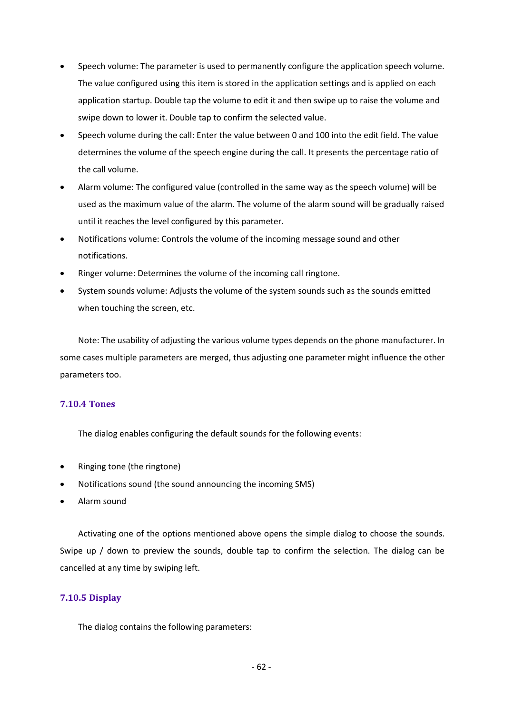- Speech volume: The parameter is used to permanently configure the application speech volume. The value configured using this item is stored in the application settings and is applied on each application startup. Double tap the volume to edit it and then swipe up to raise the volume and swipe down to lower it. Double tap to confirm the selected value.
- Speech volume during the call: Enter the value between 0 and 100 into the edit field. The value determines the volume of the speech engine during the call. It presents the percentage ratio of the call volume.
- Alarm volume: The configured value (controlled in the same way as the speech volume) will be used as the maximum value of the alarm. The volume of the alarm sound will be gradually raised until it reaches the level configured by this parameter.
- Notifications volume: Controls the volume of the incoming message sound and other notifications.
- Ringer volume: Determines the volume of the incoming call ringtone.
- System sounds volume: Adjusts the volume of the system sounds such as the sounds emitted when touching the screen, etc.

Note: The usability of adjusting the various volume types depends on the phone manufacturer. In some cases multiple parameters are merged, thus adjusting one parameter might influence the other parameters too.

## **7.10.4 Tones**

The dialog enables configuring the default sounds for the following events:

- Ringing tone (the ringtone)
- Notifications sound (the sound announcing the incoming SMS)
- Alarm sound

Activating one of the options mentioned above opens the simple dialog to choose the sounds. Swipe up / down to preview the sounds, double tap to confirm the selection. The dialog can be cancelled at any time by swiping left.

## **7.10.5 Display**

The dialog contains the following parameters: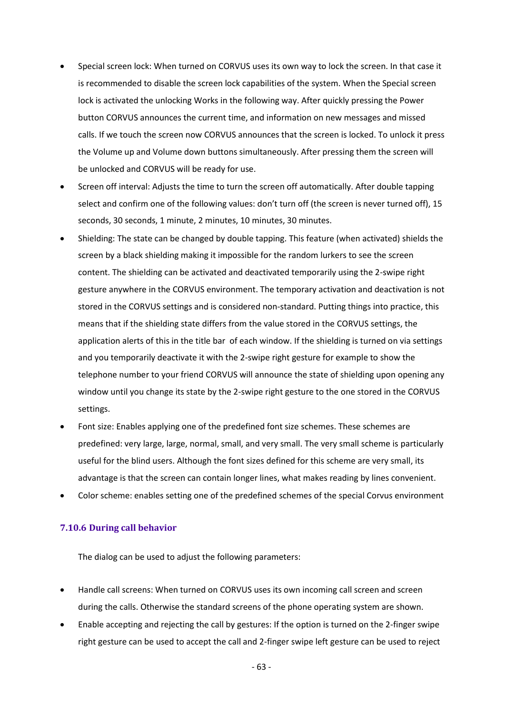- Special screen lock: When turned on CORVUS uses its own way to lock the screen. In that case it is recommended to disable the screen lock capabilities of the system. When the Special screen lock is activated the unlocking Works in the following way. After quickly pressing the Power button CORVUS announces the current time, and information on new messages and missed calls. If we touch the screen now CORVUS announces that the screen is locked. To unlock it press the Volume up and Volume down buttons simultaneously. After pressing them the screen will be unlocked and CORVUS will be ready for use.
- Screen off interval: Adjusts the time to turn the screen off automatically. After double tapping select and confirm one of the following values: don't turn off (the screen is never turned off), 15 seconds, 30 seconds, 1 minute, 2 minutes, 10 minutes, 30 minutes.
- Shielding: The state can be changed by double tapping. This feature (when activated) shields the screen by a black shielding making it impossible for the random lurkers to see the screen content. The shielding can be activated and deactivated temporarily using the 2-swipe right gesture anywhere in the CORVUS environment. The temporary activation and deactivation is not stored in the CORVUS settings and is considered non-standard. Putting things into practice, this means that if the shielding state differs from the value stored in the CORVUS settings, the application alerts of this in the title bar of each window. If the shielding is turned on via settings and you temporarily deactivate it with the 2-swipe right gesture for example to show the telephone number to your friend CORVUS will announce the state of shielding upon opening any window until you change its state by the 2-swipe right gesture to the one stored in the CORVUS settings.
- Font size: Enables applying one of the predefined font size schemes. These schemes are predefined: very large, large, normal, small, and very small. The very small scheme is particularly useful for the blind users. Although the font sizes defined for this scheme are very small, its advantage is that the screen can contain longer lines, what makes reading by lines convenient.
- Color scheme: enables setting one of the predefined schemes of the special Corvus environment

#### **7.10.6 During call behavior**

The dialog can be used to adjust the following parameters:

- Handle call screens: When turned on CORVUS uses its own incoming call screen and screen during the calls. Otherwise the standard screens of the phone operating system are shown.
- Enable accepting and rejecting the call by gestures: If the option is turned on the 2-finger swipe right gesture can be used to accept the call and 2-finger swipe left gesture can be used to reject

- 63 -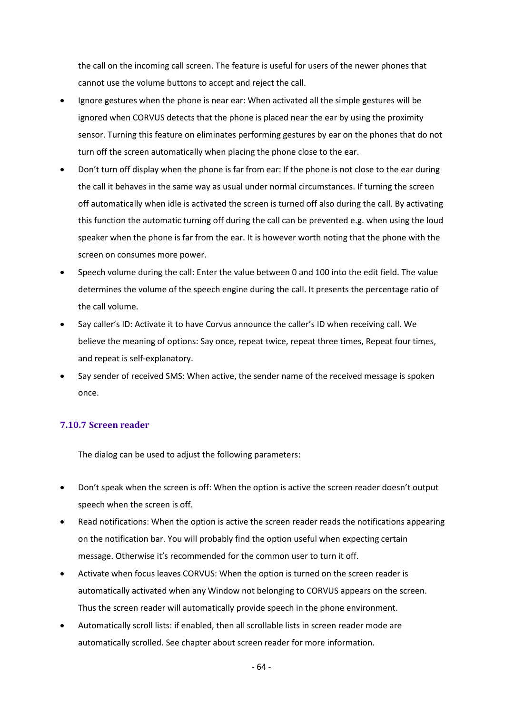the call on the incoming call screen. The feature is useful for users of the newer phones that cannot use the volume buttons to accept and reject the call.

- Ignore gestures when the phone is near ear: When activated all the simple gestures will be ignored when CORVUS detects that the phone is placed near the ear by using the proximity sensor. Turning this feature on eliminates performing gestures by ear on the phones that do not turn off the screen automatically when placing the phone close to the ear.
- Don't turn off display when the phone is far from ear: If the phone is not close to the ear during the call it behaves in the same way as usual under normal circumstances. If turning the screen off automatically when idle is activated the screen is turned off also during the call. By activating this function the automatic turning off during the call can be prevented e.g. when using the loud speaker when the phone is far from the ear. It is however worth noting that the phone with the screen on consumes more power.
- Speech volume during the call: Enter the value between 0 and 100 into the edit field. The value determines the volume of the speech engine during the call. It presents the percentage ratio of the call volume.
- Say caller's ID: Activate it to have Corvus announce the caller's ID when receiving call. We believe the meaning of options: Say once, repeat twice, repeat three times, Repeat four times, and repeat is self-explanatory.
- Say sender of received SMS: When active, the sender name of the received message is spoken once.

# **7.10.7 Screen reader**

The dialog can be used to adjust the following parameters:

- Don't speak when the screen is off: When the option is active the screen reader doesn't output speech when the screen is off.
- Read notifications: When the option is active the screen reader reads the notifications appearing on the notification bar. You will probably find the option useful when expecting certain message. Otherwise it's recommended for the common user to turn it off.
- Activate when focus leaves CORVUS: When the option is turned on the screen reader is automatically activated when any Window not belonging to CORVUS appears on the screen. Thus the screen reader will automatically provide speech in the phone environment.
- Automatically scroll lists: if enabled, then all scrollable lists in screen reader mode are automatically scrolled. See chapter about screen reader for more information.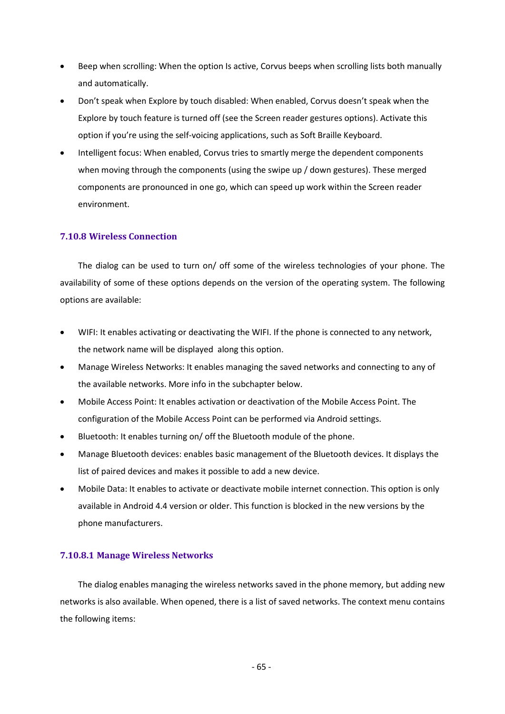- Beep when scrolling: When the option Is active, Corvus beeps when scrolling lists both manually and automatically.
- Don't speak when Explore by touch disabled: When enabled, Corvus doesn't speak when the Explore by touch feature is turned off (see the Screen reader gestures options). Activate this option if you're using the self-voicing applications, such as Soft Braille Keyboard.
- Intelligent focus: When enabled, Corvus tries to smartly merge the dependent components when moving through the components (using the swipe up / down gestures). These merged components are pronounced in one go, which can speed up work within the Screen reader environment.

## **7.10.8 Wireless Connection**

The dialog can be used to turn on/ off some of the wireless technologies of your phone. The availability of some of these options depends on the version of the operating system. The following options are available:

- WIFI: It enables activating or deactivating the WIFI. If the phone is connected to any network, the network name will be displayed along this option.
- Manage Wireless Networks: It enables managing the saved networks and connecting to any of the available networks. More info in the subchapter below.
- Mobile Access Point: It enables activation or deactivation of the Mobile Access Point. The configuration of the Mobile Access Point can be performed via Android settings.
- Bluetooth: It enables turning on/ off the Bluetooth module of the phone.
- Manage Bluetooth devices: enables basic management of the Bluetooth devices. It displays the list of paired devices and makes it possible to add a new device.
- Mobile Data: It enables to activate or deactivate mobile internet connection. This option is only available in Android 4.4 version or older. This function is blocked in the new versions by the phone manufacturers.

#### **7.10.8.1 Manage Wireless Networks**

The dialog enables managing the wireless networks saved in the phone memory, but adding new networks is also available. When opened, there is a list of saved networks. The context menu contains the following items: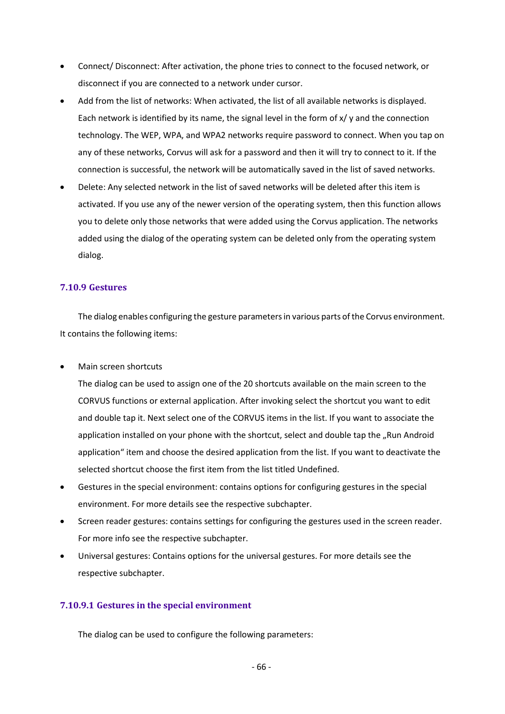- Connect/ Disconnect: After activation, the phone tries to connect to the focused network, or disconnect if you are connected to a network under cursor.
- Add from the list of networks: When activated, the list of all available networks is displayed. Each network is identified by its name, the signal level in the form of x/ y and the connection technology. The WEP, WPA, and WPA2 networks require password to connect. When you tap on any of these networks, Corvus will ask for a password and then it will try to connect to it. If the connection is successful, the network will be automatically saved in the list of saved networks.
- Delete: Any selected network in the list of saved networks will be deleted after this item is activated. If you use any of the newer version of the operating system, then this function allows you to delete only those networks that were added using the Corvus application. The networks added using the dialog of the operating system can be deleted only from the operating system dialog.

### **7.10.9 Gestures**

The dialog enables configuring the gesture parameters in various parts of the Corvus environment. It contains the following items:

• Main screen shortcuts

The dialog can be used to assign one of the 20 shortcuts available on the main screen to the CORVUS functions or external application. After invoking select the shortcut you want to edit and double tap it. Next select one of the CORVUS items in the list. If you want to associate the application installed on your phone with the shortcut, select and double tap the "Run Android application" item and choose the desired application from the list. If you want to deactivate the selected shortcut choose the first item from the list titled Undefined.

- Gestures in the special environment: contains options for configuring gestures in the special environment. For more details see the respective subchapter.
- Screen reader gestures: contains settings for configuring the gestures used in the screen reader. For more info see the respective subchapter.
- Universal gestures: Contains options for the universal gestures. For more details see the respective subchapter.

## **7.10.9.1 Gestures in the special environment**

The dialog can be used to configure the following parameters: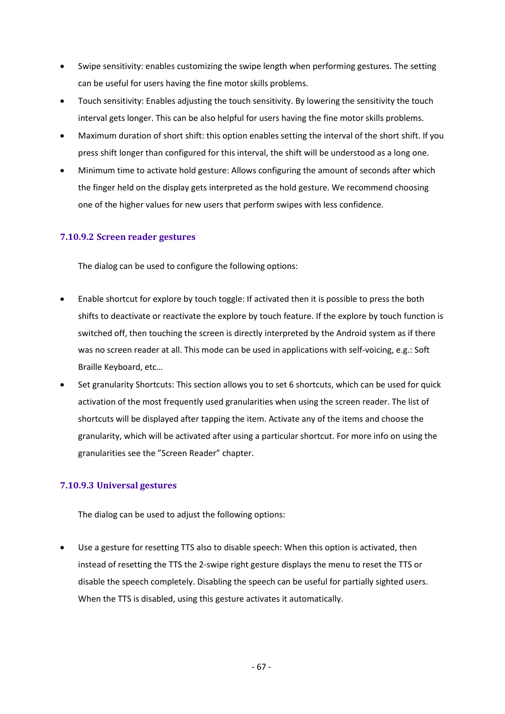- Swipe sensitivity: enables customizing the swipe length when performing gestures. The setting can be useful for users having the fine motor skills problems.
- Touch sensitivity: Enables adjusting the touch sensitivity. By lowering the sensitivity the touch interval gets longer. This can be also helpful for users having the fine motor skills problems.
- Maximum duration of short shift: this option enables setting the interval of the short shift. If you press shift longer than configured for this interval, the shift will be understood as a long one.
- Minimum time to activate hold gesture: Allows configuring the amount of seconds after which the finger held on the display gets interpreted as the hold gesture. We recommend choosing one of the higher values for new users that perform swipes with less confidence.

# **7.10.9.2 Screen reader gestures**

The dialog can be used to configure the following options:

- Enable shortcut for explore by touch toggle: If activated then it is possible to press the both shifts to deactivate or reactivate the explore by touch feature. If the explore by touch function is switched off, then touching the screen is directly interpreted by the Android system as if there was no screen reader at all. This mode can be used in applications with self-voicing, e.g.: Soft Braille Keyboard, etc…
- Set granularity Shortcuts: This section allows you to set 6 shortcuts, which can be used for quick activation of the most frequently used granularities when using the screen reader. The list of shortcuts will be displayed after tapping the item. Activate any of the items and choose the granularity, which will be activated after using a particular shortcut. For more info on using the granularities see the "Screen Reader" chapter.

# **7.10.9.3 Universal gestures**

The dialog can be used to adjust the following options:

• Use a gesture for resetting TTS also to disable speech: When this option is activated, then instead of resetting the TTS the 2-swipe right gesture displays the menu to reset the TTS or disable the speech completely. Disabling the speech can be useful for partially sighted users. When the TTS is disabled, using this gesture activates it automatically.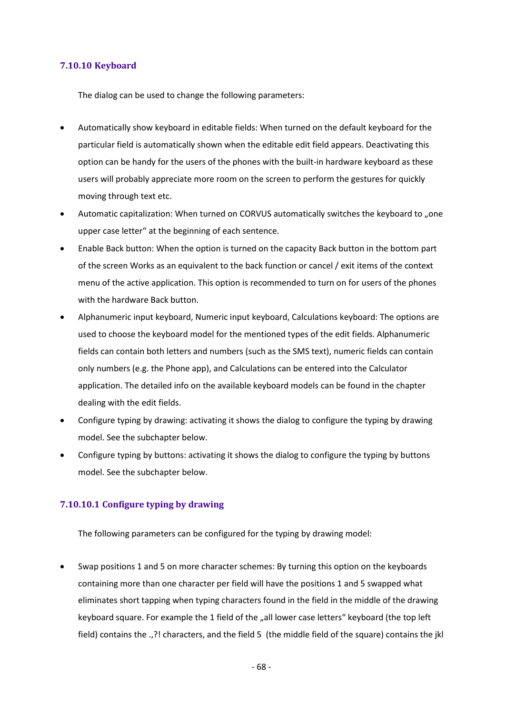## **7.10.10 Keyboard**

The dialog can be used to change the following parameters:

- Automatically show keyboard in editable fields: When turned on the default keyboard for the particular field is automatically shown when the editable edit field appears. Deactivating this option can be handy for the users of the phones with the built-in hardware keyboard as these users will probably appreciate more room on the screen to perform the gestures for quickly moving through text etc.
- Automatic capitalization: When turned on CORVUS automatically switches the keyboard to "one upper case letter" at the beginning of each sentence.
- Enable Back button: When the option is turned on the capacity Back button in the bottom part of the screen Works as an equivalent to the back function or cancel / exit items of the context menu of the active application. This option is recommended to turn on for users of the phones with the hardware Back button.
- Alphanumeric input keyboard, Numeric input keyboard, Calculations keyboard: The options are used to choose the keyboard model for the mentioned types of the edit fields. Alphanumeric fields can contain both letters and numbers (such as the SMS text), numeric fields can contain only numbers (e.g. the Phone app), and Calculations can be entered into the Calculator application. The detailed info on the available keyboard models can be found in the chapter dealing with the edit fields.
- Configure typing by drawing: activating it shows the dialog to configure the typing by drawing model. See the subchapter below.
- Configure typing by buttons: activating it shows the dialog to configure the typing by buttons model. See the subchapter below.

## **7.10.10.1 Configure typing by drawing**

The following parameters can be configured for the typing by drawing model:

• Swap positions 1 and 5 on more character schemes: By turning this option on the keyboards containing more than one character per field will have the positions 1 and 5 swapped what eliminates short tapping when typing characters found in the field in the middle of the drawing keyboard square. For example the 1 field of the "all lower case letters" keyboard (the top left field) contains the .,?! characters, and the field 5 (the middle field of the square) contains the jkl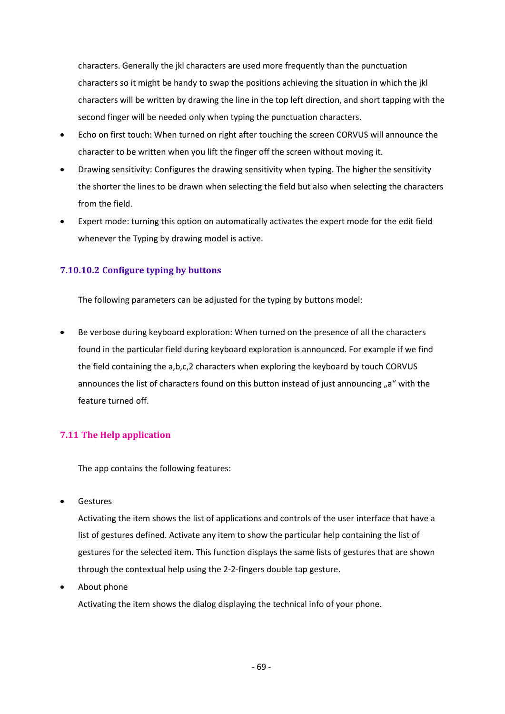characters. Generally the jkl characters are used more frequently than the punctuation characters so it might be handy to swap the positions achieving the situation in which the jkl characters will be written by drawing the line in the top left direction, and short tapping with the second finger will be needed only when typing the punctuation characters.

- Echo on first touch: When turned on right after touching the screen CORVUS will announce the character to be written when you lift the finger off the screen without moving it.
- Drawing sensitivity: Configures the drawing sensitivity when typing. The higher the sensitivity the shorter the lines to be drawn when selecting the field but also when selecting the characters from the field.
- Expert mode: turning this option on automatically activates the expert mode for the edit field whenever the Typing by drawing model is active.

# **7.10.10.2 Configure typing by buttons**

The following parameters can be adjusted for the typing by buttons model:

Be verbose during keyboard exploration: When turned on the presence of all the characters found in the particular field during keyboard exploration is announced. For example if we find the field containing the a,b,c,2 characters when exploring the keyboard by touch CORVUS announces the list of characters found on this button instead of just announcing "a" with the feature turned off.

# **7.11 The Help application**

The app contains the following features:

• Gestures

Activating the item shows the list of applications and controls of the user interface that have a list of gestures defined. Activate any item to show the particular help containing the list of gestures for the selected item. This function displays the same lists of gestures that are shown through the contextual help using the 2-2-fingers double tap gesture.

About phone

Activating the item shows the dialog displaying the technical info of your phone.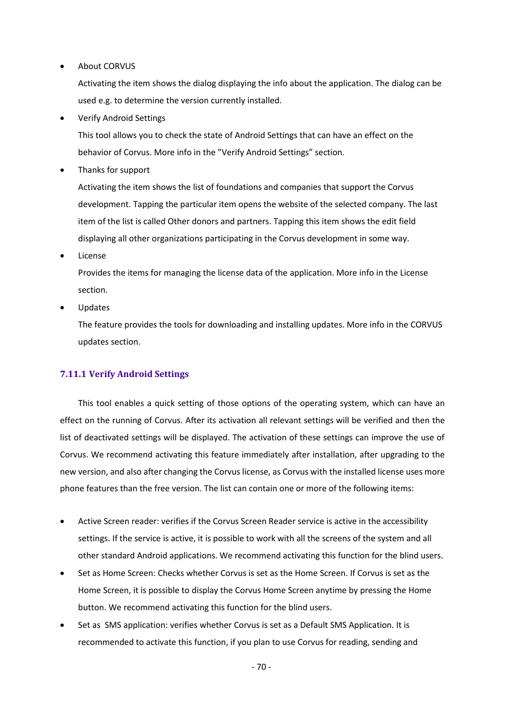**About CORVUS** 

Activating the item shows the dialog displaying the info about the application. The dialog can be used e.g. to determine the version currently installed.

• Verify Android Settings

This tool allows you to check the state of Android Settings that can have an effect on the behavior of Corvus. More info in the "Verify Android Settings" section.

• Thanks for support

Activating the item shows the list of foundations and companies that support the Corvus development. Tapping the particular item opens the website of the selected company. The last item of the list is called Other donors and partners. Tapping this item shows the edit field displaying all other organizations participating in the Corvus development in some way.

**License** 

Provides the items for managing the license data of the application. More info in the License section.

• Updates

The feature provides the tools for downloading and installing updates. More info in the CORVUS updates section.

# **7.11.1 Verify Android Settings**

This tool enables a quick setting of those options of the operating system, which can have an effect on the running of Corvus. After its activation all relevant settings will be verified and then the list of deactivated settings will be displayed. The activation of these settings can improve the use of Corvus. We recommend activating this feature immediately after installation, after upgrading to the new version, and also after changing the Corvus license, as Corvus with the installed license uses more phone features than the free version. The list can contain one or more of the following items:

- Active Screen reader: verifies if the Corvus Screen Reader service is active in the accessibility settings. If the service is active, it is possible to work with all the screens of the system and all other standard Android applications. We recommend activating this function for the blind users.
- Set as Home Screen: Checks whether Corvus is set as the Home Screen. If Corvus is set as the Home Screen, it is possible to display the Corvus Home Screen anytime by pressing the Home button. We recommend activating this function for the blind users.
- Set as SMS application: verifies whether Corvus is set as a Default SMS Application. It is recommended to activate this function, if you plan to use Corvus for reading, sending and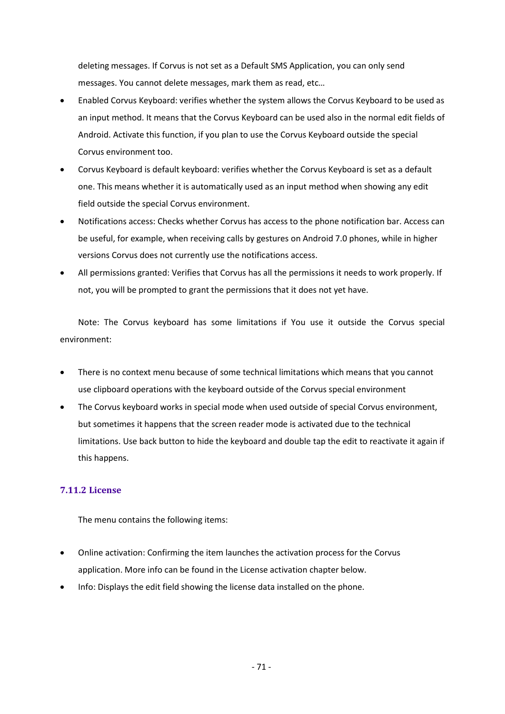deleting messages. If Corvus is not set as a Default SMS Application, you can only send messages. You cannot delete messages, mark them as read, etc…

- Enabled Corvus Keyboard: verifies whether the system allows the Corvus Keyboard to be used as an input method. It means that the Corvus Keyboard can be used also in the normal edit fields of Android. Activate this function, if you plan to use the Corvus Keyboard outside the special Corvus environment too.
- Corvus Keyboard is default keyboard: verifies whether the Corvus Keyboard is set as a default one. This means whether it is automatically used as an input method when showing any edit field outside the special Corvus environment.
- Notifications access: Checks whether Corvus has access to the phone notification bar. Access can be useful, for example, when receiving calls by gestures on Android 7.0 phones, while in higher versions Corvus does not currently use the notifications access.
- All permissions granted: Verifies that Corvus has all the permissions it needs to work properly. If not, you will be prompted to grant the permissions that it does not yet have.

Note: The Corvus keyboard has some limitations if You use it outside the Corvus special environment:

- There is no context menu because of some technical limitations which means that you cannot use clipboard operations with the keyboard outside of the Corvus special environment
- The Corvus keyboard works in special mode when used outside of special Corvus environment, but sometimes it happens that the screen reader mode is activated due to the technical limitations. Use back button to hide the keyboard and double tap the edit to reactivate it again if this happens.

# **7.11.2 License**

The menu contains the following items:

- Online activation: Confirming the item launches the activation process for the Corvus application. More info can be found in the License activation chapter below.
- Info: Displays the edit field showing the license data installed on the phone.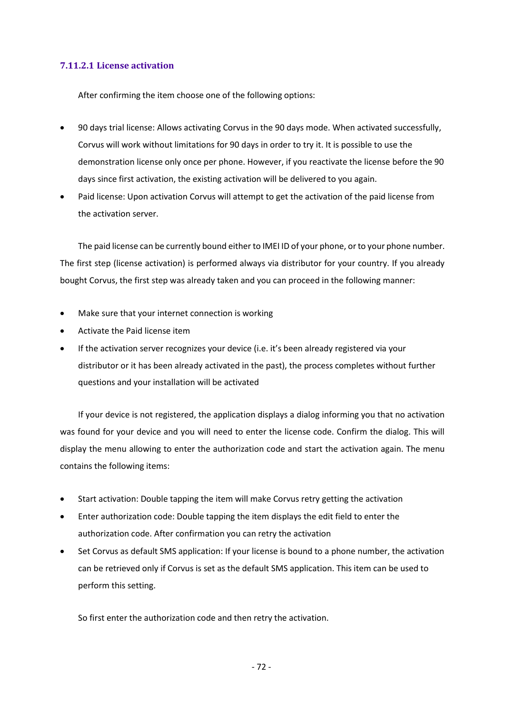## **7.11.2.1 License activation**

After confirming the item choose one of the following options:

- 90 days trial license: Allows activating Corvus in the 90 days mode. When activated successfully, Corvus will work without limitations for 90 days in order to try it. It is possible to use the demonstration license only once per phone. However, if you reactivate the license before the 90 days since first activation, the existing activation will be delivered to you again.
- Paid license: Upon activation Corvus will attempt to get the activation of the paid license from the activation server.

The paid license can be currently bound either to IMEI ID of your phone, or to your phone number. The first step (license activation) is performed always via distributor for your country. If you already bought Corvus, the first step was already taken and you can proceed in the following manner:

- Make sure that your internet connection is working
- Activate the Paid license item
- If the activation server recognizes your device (i.e. it's been already registered via your distributor or it has been already activated in the past), the process completes without further questions and your installation will be activated

If your device is not registered, the application displays a dialog informing you that no activation was found for your device and you will need to enter the license code. Confirm the dialog. This will display the menu allowing to enter the authorization code and start the activation again. The menu contains the following items:

- Start activation: Double tapping the item will make Corvus retry getting the activation
- Enter authorization code: Double tapping the item displays the edit field to enter the authorization code. After confirmation you can retry the activation
- Set Corvus as default SMS application: If your license is bound to a phone number, the activation can be retrieved only if Corvus is set as the default SMS application. This item can be used to perform this setting.

So first enter the authorization code and then retry the activation.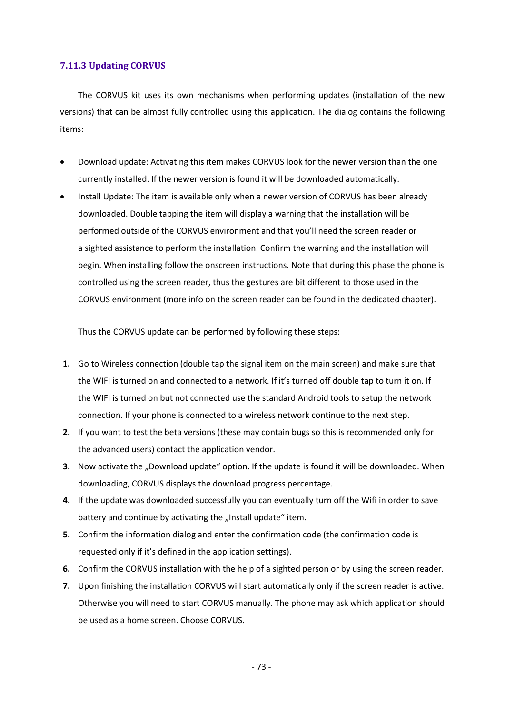# **7.11.3 Updating CORVUS**

The CORVUS kit uses its own mechanisms when performing updates (installation of the new versions) that can be almost fully controlled using this application. The dialog contains the following items:

- Download update: Activating this item makes CORVUS look for the newer version than the one currently installed. If the newer version is found it will be downloaded automatically.
- Install Update: The item is available only when a newer version of CORVUS has been already downloaded. Double tapping the item will display a warning that the installation will be performed outside of the CORVUS environment and that you'll need the screen reader or a sighted assistance to perform the installation. Confirm the warning and the installation will begin. When installing follow the onscreen instructions. Note that during this phase the phone is controlled using the screen reader, thus the gestures are bit different to those used in the CORVUS environment (more info on the screen reader can be found in the dedicated chapter).

Thus the CORVUS update can be performed by following these steps:

- **1.** Go to Wireless connection (double tap the signal item on the main screen) and make sure that the WIFI is turned on and connected to a network. If it's turned off double tap to turn it on. If the WIFI is turned on but not connected use the standard Android tools to setup the network connection. If your phone is connected to a wireless network continue to the next step.
- **2.** If you want to test the beta versions (these may contain bugs so this is recommended only for the advanced users) contact the application vendor.
- **3.** Now activate the "Download update" option. If the update is found it will be downloaded. When downloading, CORVUS displays the download progress percentage.
- **4.** If the update was downloaded successfully you can eventually turn off the Wifi in order to save battery and continue by activating the "Install update" item.
- **5.** Confirm the information dialog and enter the confirmation code (the confirmation code is requested only if it's defined in the application settings).
- **6.** Confirm the CORVUS installation with the help of a sighted person or by using the screen reader.
- **7.** Upon finishing the installation CORVUS will start automatically only if the screen reader is active. Otherwise you will need to start CORVUS manually. The phone may ask which application should be used as a home screen. Choose CORVUS.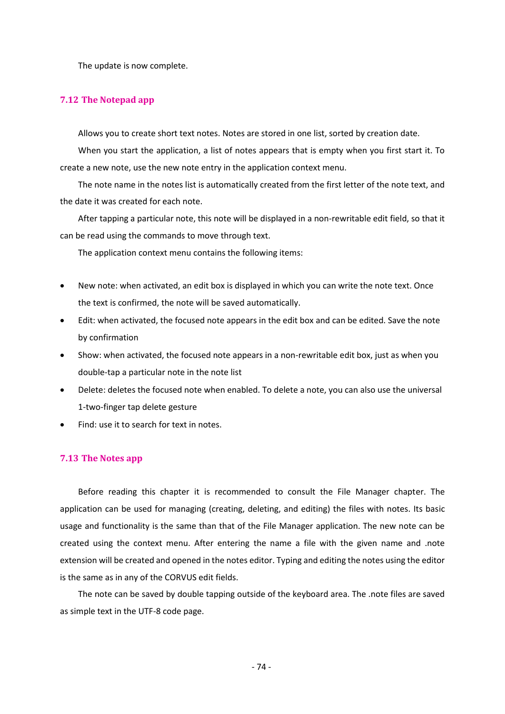The update is now complete.

### **7.12 The Notepad app**

Allows you to create short text notes. Notes are stored in one list, sorted by creation date.

When you start the application, a list of notes appears that is empty when you first start it. To create a new note, use the new note entry in the application context menu.

The note name in the notes list is automatically created from the first letter of the note text, and the date it was created for each note.

After tapping a particular note, this note will be displayed in a non-rewritable edit field, so that it can be read using the commands to move through text.

The application context menu contains the following items:

- New note: when activated, an edit box is displayed in which you can write the note text. Once the text is confirmed, the note will be saved automatically.
- Edit: when activated, the focused note appears in the edit box and can be edited. Save the note by confirmation
- Show: when activated, the focused note appears in a non-rewritable edit box, just as when you double-tap a particular note in the note list
- Delete: deletes the focused note when enabled. To delete a note, you can also use the universal 1-two-finger tap delete gesture
- Find: use it to search for text in notes.

### **7.13 The Notes app**

Before reading this chapter it is recommended to consult the File Manager chapter. The application can be used for managing (creating, deleting, and editing) the files with notes. Its basic usage and functionality is the same than that of the File Manager application. The new note can be created using the context menu. After entering the name a file with the given name and .note extension will be created and opened in the notes editor. Typing and editing the notes using the editor is the same as in any of the CORVUS edit fields.

The note can be saved by double tapping outside of the keyboard area. The .note files are saved as simple text in the UTF-8 code page.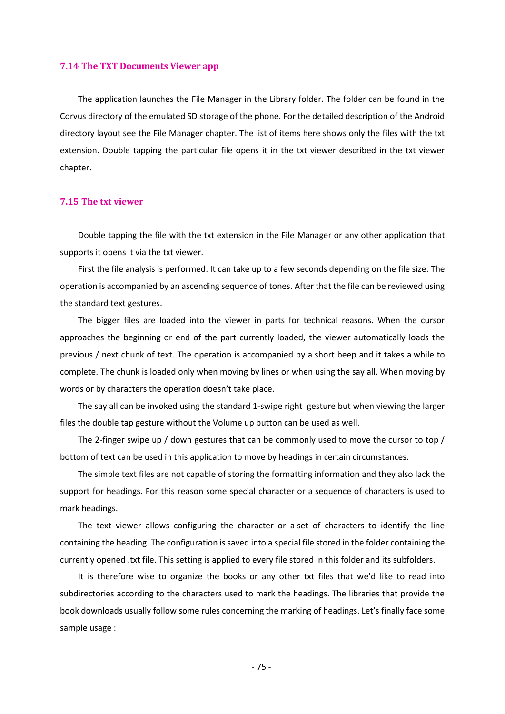#### **7.14 The TXT Documents Viewer app**

The application launches the File Manager in the Library folder. The folder can be found in the Corvus directory of the emulated SD storage of the phone. For the detailed description of the Android directory layout see the File Manager chapter. The list of items here shows only the files with the txt extension. Double tapping the particular file opens it in the txt viewer described in the txt viewer chapter.

### **7.15 The txt viewer**

Double tapping the file with the txt extension in the File Manager or any other application that supports it opens it via the txt viewer.

First the file analysis is performed. It can take up to a few seconds depending on the file size. The operation is accompanied by an ascending sequence of tones. After that the file can be reviewed using the standard text gestures.

The bigger files are loaded into the viewer in parts for technical reasons. When the cursor approaches the beginning or end of the part currently loaded, the viewer automatically loads the previous / next chunk of text. The operation is accompanied by a short beep and it takes a while to complete. The chunk is loaded only when moving by lines or when using the say all. When moving by words or by characters the operation doesn't take place.

The say all can be invoked using the standard 1-swipe right gesture but when viewing the larger files the double tap gesture without the Volume up button can be used as well.

The 2-finger swipe up / down gestures that can be commonly used to move the cursor to top / bottom of text can be used in this application to move by headings in certain circumstances.

The simple text files are not capable of storing the formatting information and they also lack the support for headings. For this reason some special character or a sequence of characters is used to mark headings.

The text viewer allows configuring the character or a set of characters to identify the line containing the heading. The configuration is saved into a special file stored in the folder containing the currently opened .txt file. This setting is applied to every file stored in this folder and its subfolders.

It is therefore wise to organize the books or any other txt files that we'd like to read into subdirectories according to the characters used to mark the headings. The libraries that provide the book downloads usually follow some rules concerning the marking of headings. Let's finally face some sample usage :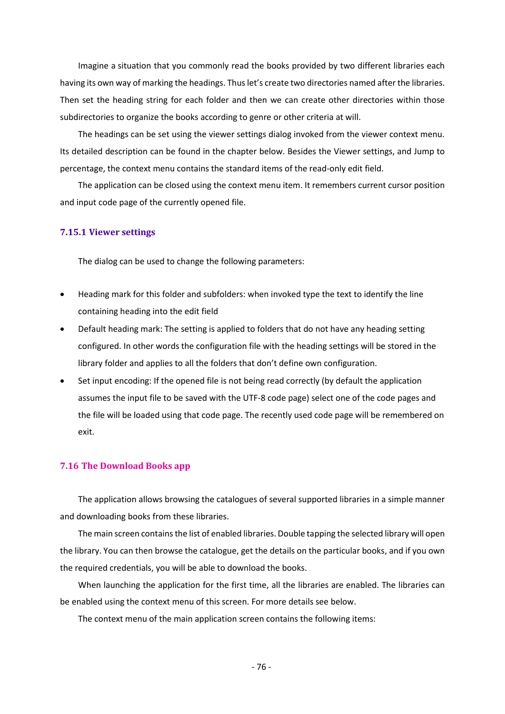Imagine a situation that you commonly read the books provided by two different libraries each having its own way of marking the headings. Thus let's create two directories named after the libraries. Then set the heading string for each folder and then we can create other directories within those subdirectories to organize the books according to genre or other criteria at will.

The headings can be set using the viewer settings dialog invoked from the viewer context menu. Its detailed description can be found in the chapter below. Besides the Viewer settings, and Jump to percentage, the context menu contains the standard items of the read-only edit field.

The application can be closed using the context menu item. It remembers current cursor position and input code page of the currently opened file.

#### **7.15.1 Viewer settings**

The dialog can be used to change the following parameters:

- Heading mark for this folder and subfolders: when invoked type the text to identify the line containing heading into the edit field
- Default heading mark: The setting is applied to folders that do not have any heading setting configured. In other words the configuration file with the heading settings will be stored in the library folder and applies to all the folders that don't define own configuration.
- Set input encoding: If the opened file is not being read correctly (by default the application assumes the input file to be saved with the UTF-8 code page) select one of the code pages and the file will be loaded using that code page. The recently used code page will be remembered on exit.

#### **7.16 The Download Books app**

The application allows browsing the catalogues of several supported libraries in a simple manner and downloading books from these libraries.

The main screen contains the list of enabled libraries. Double tapping the selected library will open the library. You can then browse the catalogue, get the details on the particular books, and if you own the required credentials, you will be able to download the books.

When launching the application for the first time, all the libraries are enabled. The libraries can be enabled using the context menu of this screen. For more details see below.

The context menu of the main application screen contains the following items: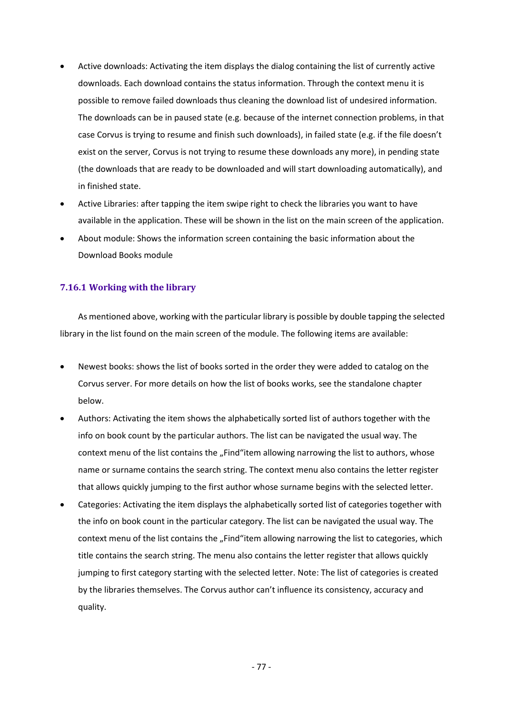- Active downloads: Activating the item displays the dialog containing the list of currently active downloads. Each download contains the status information. Through the context menu it is possible to remove failed downloads thus cleaning the download list of undesired information. The downloads can be in paused state (e.g. because of the internet connection problems, in that case Corvus is trying to resume and finish such downloads), in failed state (e.g. if the file doesn't exist on the server, Corvus is not trying to resume these downloads any more), in pending state (the downloads that are ready to be downloaded and will start downloading automatically), and in finished state.
- Active Libraries: after tapping the item swipe right to check the libraries you want to have available in the application. These will be shown in the list on the main screen of the application.
- About module: Shows the information screen containing the basic information about the Download Books module

## **7.16.1 Working with the library**

As mentioned above, working with the particular library is possible by double tapping the selected library in the list found on the main screen of the module. The following items are available:

- Newest books: shows the list of books sorted in the order they were added to catalog on the Corvus server. For more details on how the list of books works, see the standalone chapter below.
- Authors: Activating the item shows the alphabetically sorted list of authors together with the info on book count by the particular authors. The list can be navigated the usual way. The context menu of the list contains the "Find"item allowing narrowing the list to authors, whose name or surname contains the search string. The context menu also contains the letter register that allows quickly jumping to the first author whose surname begins with the selected letter.
- Categories: Activating the item displays the alphabetically sorted list of categories together with the info on book count in the particular category. The list can be navigated the usual way. The context menu of the list contains the "Find"item allowing narrowing the list to categories, which title contains the search string. The menu also contains the letter register that allows quickly jumping to first category starting with the selected letter. Note: The list of categories is created by the libraries themselves. The Corvus author can't influence its consistency, accuracy and quality.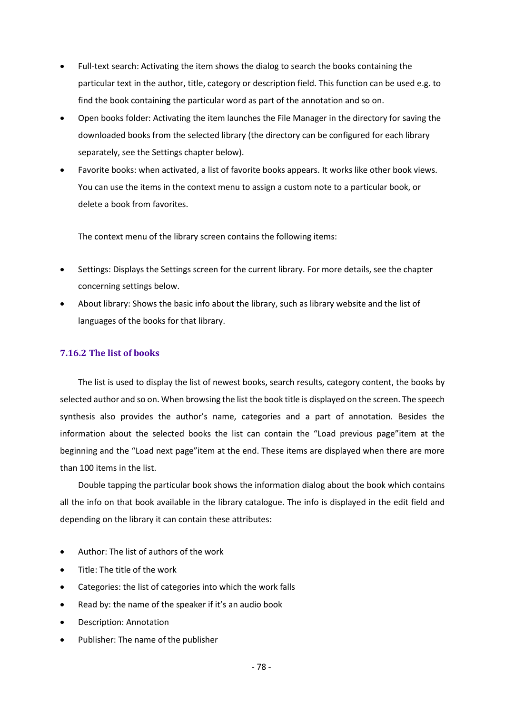- Full-text search: Activating the item shows the dialog to search the books containing the particular text in the author, title, category or description field. This function can be used e.g. to find the book containing the particular word as part of the annotation and so on.
- Open books folder: Activating the item launches the File Manager in the directory for saving the downloaded books from the selected library (the directory can be configured for each library separately, see the Settings chapter below).
- Favorite books: when activated, a list of favorite books appears. It works like other book views. You can use the items in the context menu to assign a custom note to a particular book, or delete a book from favorites.

The context menu of the library screen contains the following items:

- Settings: Displays the Settings screen for the current library. For more details, see the chapter concerning settings below.
- About library: Shows the basic info about the library, such as library website and the list of languages of the books for that library.

## **7.16.2 The list of books**

The list is used to display the list of newest books, search results, category content, the books by selected author and so on. When browsing the list the book title is displayed on the screen. The speech synthesis also provides the author's name, categories and a part of annotation. Besides the information about the selected books the list can contain the "Load previous page"item at the beginning and the "Load next page"item at the end. These items are displayed when there are more than 100 items in the list.

Double tapping the particular book shows the information dialog about the book which contains all the info on that book available in the library catalogue. The info is displayed in the edit field and depending on the library it can contain these attributes:

- Author: The list of authors of the work
- Title: The title of the work
- Categories: the list of categories into which the work falls
- Read by: the name of the speaker if it's an audio book
- Description: Annotation
- Publisher: The name of the publisher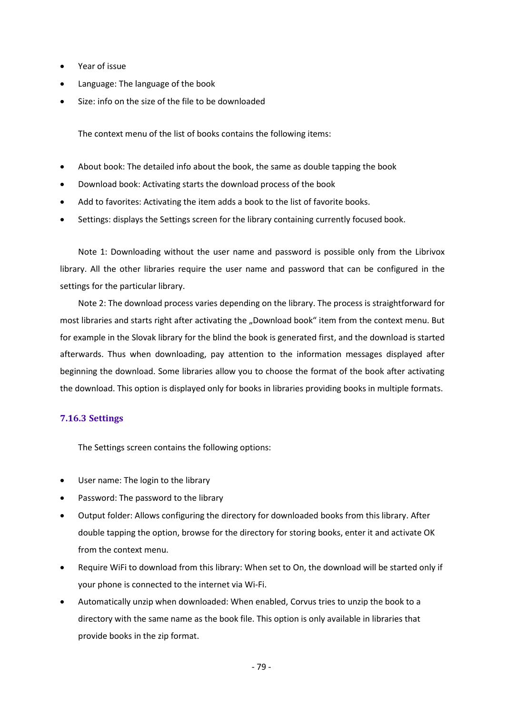- Year of issue
- Language: The language of the book
- Size: info on the size of the file to be downloaded

The context menu of the list of books contains the following items:

- About book: The detailed info about the book, the same as double tapping the book
- Download book: Activating starts the download process of the book
- Add to favorites: Activating the item adds a book to the list of favorite books.
- Settings: displays the Settings screen for the library containing currently focused book.

Note 1: Downloading without the user name and password is possible only from the Librivox library. All the other libraries require the user name and password that can be configured in the settings for the particular library.

Note 2: The download process varies depending on the library. The process is straightforward for most libraries and starts right after activating the "Download book" item from the context menu. But for example in the Slovak library for the blind the book is generated first, and the download is started afterwards. Thus when downloading, pay attention to the information messages displayed after beginning the download. Some libraries allow you to choose the format of the book after activating the download. This option is displayed only for books in libraries providing books in multiple formats.

## **7.16.3 Settings**

The Settings screen contains the following options:

- User name: The login to the library
- Password: The password to the library
- Output folder: Allows configuring the directory for downloaded books from this library. After double tapping the option, browse for the directory for storing books, enter it and activate OK from the context menu.
- Require WiFi to download from this library: When set to On, the download will be started only if your phone is connected to the internet via Wi-Fi.
- Automatically unzip when downloaded: When enabled, Corvus tries to unzip the book to a directory with the same name as the book file. This option is only available in libraries that provide books in the zip format.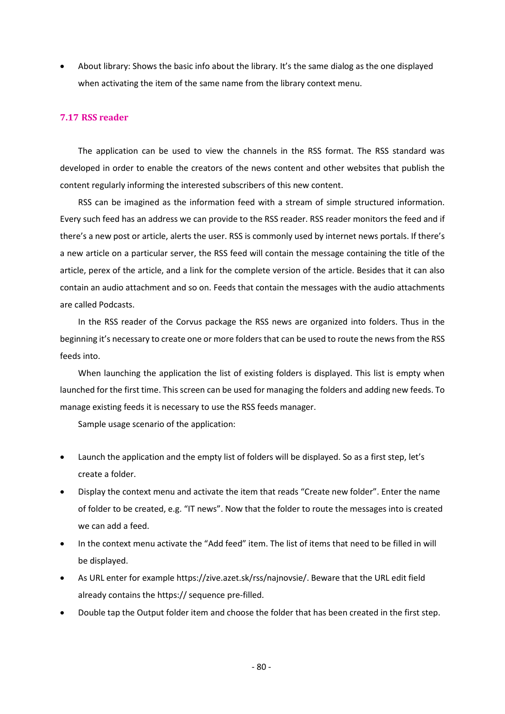• About library: Shows the basic info about the library. It's the same dialog as the one displayed when activating the item of the same name from the library context menu.

## **7.17 RSS reader**

The application can be used to view the channels in the RSS format. The RSS standard was developed in order to enable the creators of the news content and other websites that publish the content regularly informing the interested subscribers of this new content.

RSS can be imagined as the information feed with a stream of simple structured information. Every such feed has an address we can provide to the RSS reader. RSS reader monitors the feed and if there's a new post or article, alerts the user. RSS is commonly used by internet news portals. If there's a new article on a particular server, the RSS feed will contain the message containing the title of the article, perex of the article, and a link for the complete version of the article. Besides that it can also contain an audio attachment and so on. Feeds that contain the messages with the audio attachments are called Podcasts.

In the RSS reader of the Corvus package the RSS news are organized into folders. Thus in the beginning it's necessary to create one or more folders that can be used to route the news from the RSS feeds into.

When launching the application the list of existing folders is displayed. This list is empty when launched for the first time. This screen can be used for managing the folders and adding new feeds. To manage existing feeds it is necessary to use the RSS feeds manager.

Sample usage scenario of the application:

- Launch the application and the empty list of folders will be displayed. So as a first step, let's create a folder.
- Display the context menu and activate the item that reads "Create new folder". Enter the name of folder to be created, e.g. "IT news". Now that the folder to route the messages into is created we can add a feed.
- In the context menu activate the "Add feed" item. The list of items that need to be filled in will be displayed.
- As URL enter for example https://zive.azet.sk/rss/najnovsie/. Beware that the URL edit field already contains the https:// sequence pre-filled.
- Double tap the Output folder item and choose the folder that has been created in the first step.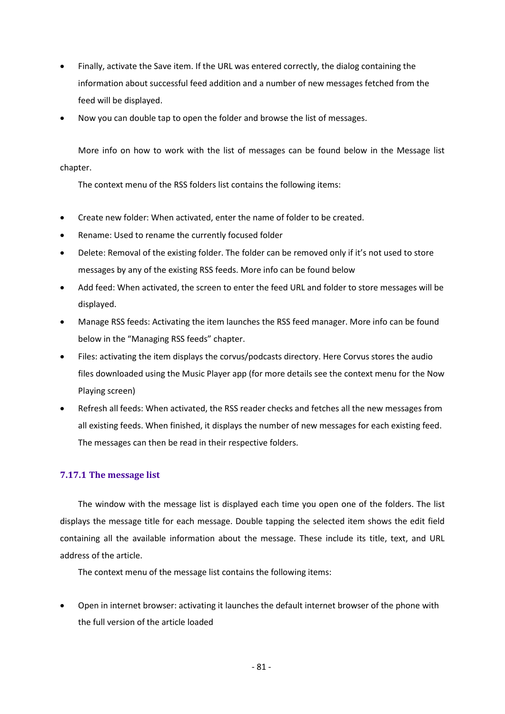- Finally, activate the Save item. If the URL was entered correctly, the dialog containing the information about successful feed addition and a number of new messages fetched from the feed will be displayed.
- Now you can double tap to open the folder and browse the list of messages.

More info on how to work with the list of messages can be found below in the Message list chapter.

The context menu of the RSS folders list contains the following items:

- Create new folder: When activated, enter the name of folder to be created.
- Rename: Used to rename the currently focused folder
- Delete: Removal of the existing folder. The folder can be removed only if it's not used to store messages by any of the existing RSS feeds. More info can be found below
- Add feed: When activated, the screen to enter the feed URL and folder to store messages will be displayed.
- Manage RSS feeds: Activating the item launches the RSS feed manager. More info can be found below in the "Managing RSS feeds" chapter.
- Files: activating the item displays the corvus/podcasts directory. Here Corvus stores the audio files downloaded using the Music Player app (for more details see the context menu for the Now Playing screen)
- Refresh all feeds: When activated, the RSS reader checks and fetches all the new messages from all existing feeds. When finished, it displays the number of new messages for each existing feed. The messages can then be read in their respective folders.

## **7.17.1 The message list**

The window with the message list is displayed each time you open one of the folders. The list displays the message title for each message. Double tapping the selected item shows the edit field containing all the available information about the message. These include its title, text, and URL address of the article.

The context menu of the message list contains the following items:

• Open in internet browser: activating it launches the default internet browser of the phone with the full version of the article loaded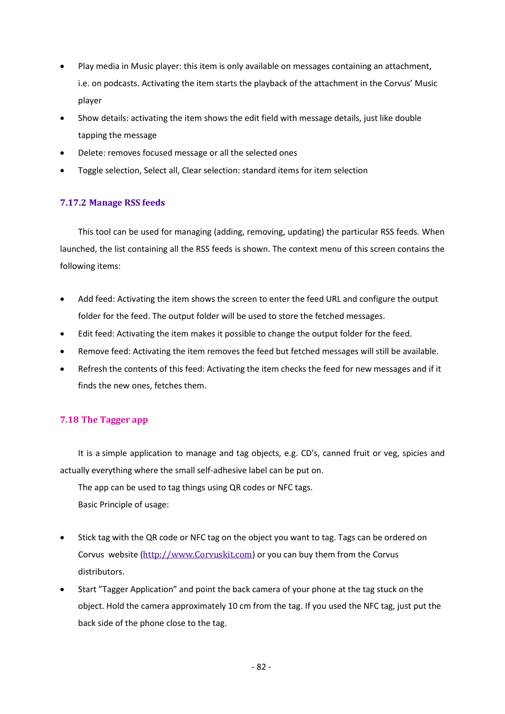- Play media in Music player: this item is only available on messages containing an attachment, i.e. on podcasts. Activating the item starts the playback of the attachment in the Corvus' Music player
- Show details: activating the item shows the edit field with message details, just like double tapping the message
- Delete: removes focused message or all the selected ones
- Toggle selection, Select all, Clear selection: standard items for item selection

# **7.17.2 Manage RSS feeds**

This tool can be used for managing (adding, removing, updating) the particular RSS feeds. When launched, the list containing all the RSS feeds is shown. The context menu of this screen contains the following items:

- Add feed: Activating the item shows the screen to enter the feed URL and configure the output folder for the feed. The output folder will be used to store the fetched messages.
- Edit feed: Activating the item makes it possible to change the output folder for the feed.
- Remove feed: Activating the item removes the feed but fetched messages will still be available.
- Refresh the contents of this feed: Activating the item checks the feed for new messages and if it finds the new ones, fetches them.

# **7.18 The Tagger app**

It is a simple application to manage and tag objects, e.g. CD's, canned fruit or veg, spicies and actually everything where the small self-adhesive label can be put on.

The app can be used to tag things using QR codes or NFC tags.

Basic Principle of usage:

- Stick tag with the QR code or NFC tag on the object you want to tag. Tags can be ordered on Corvus website ([http://www.Corvuskit.com](http://www.corvuskit.com/)) or you can buy them from the Corvus distributors.
- Start "Tagger Application" and point the back camera of your phone at the tag stuck on the object. Hold the camera approximately 10 cm from the tag. If you used the NFC tag, just put the back side of the phone close to the tag.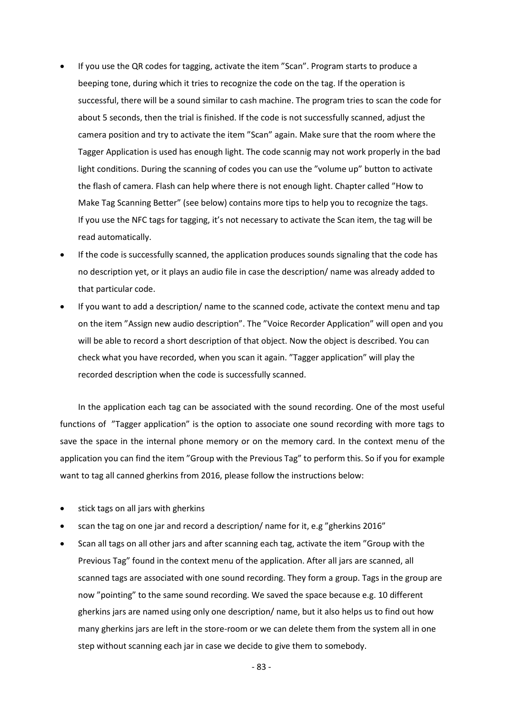- If you use the QR codes for tagging, activate the item "Scan". Program starts to produce a beeping tone, during which it tries to recognize the code on the tag. If the operation is successful, there will be a sound similar to cash machine. The program tries to scan the code for about 5 seconds, then the trial is finished. If the code is not successfully scanned, adjust the camera position and try to activate the item "Scan" again. Make sure that the room where the Tagger Application is used has enough light. The code scannig may not work properly in the bad light conditions. During the scanning of codes you can use the "volume up" button to activate the flash of camera. Flash can help where there is not enough light. Chapter called "How to Make Tag Scanning Better" (see below) contains more tips to help you to recognize the tags. If you use the NFC tags for tagging, it's not necessary to activate the Scan item, the tag will be read automatically.
- If the code is successfully scanned, the application produces sounds signaling that the code has no description yet, or it plays an audio file in case the description/ name was already added to that particular code.
- If you want to add a description/ name to the scanned code, activate the context menu and tap on the item "Assign new audio description". The "Voice Recorder Application" will open and you will be able to record a short description of that object. Now the object is described. You can check what you have recorded, when you scan it again. "Tagger application" will play the recorded description when the code is successfully scanned.

In the application each tag can be associated with the sound recording. One of the most useful functions of "Tagger application" is the option to associate one sound recording with more tags to save the space in the internal phone memory or on the memory card. In the context menu of the application you can find the item "Group with the Previous Tag" to perform this. So if you for example want to tag all canned gherkins from 2016, please follow the instructions below:

- stick tags on all jars with gherkins
- scan the tag on one jar and record a description/ name for it, e.g "gherkins 2016"
- Scan all tags on all other jars and after scanning each tag, activate the item "Group with the Previous Tag" found in the context menu of the application. After all jars are scanned, all scanned tags are associated with one sound recording. They form a group. Tags in the group are now "pointing" to the same sound recording. We saved the space because e.g. 10 different gherkins jars are named using only one description/ name, but it also helps us to find out how many gherkins jars are left in the store-room or we can delete them from the system all in one step without scanning each jar in case we decide to give them to somebody.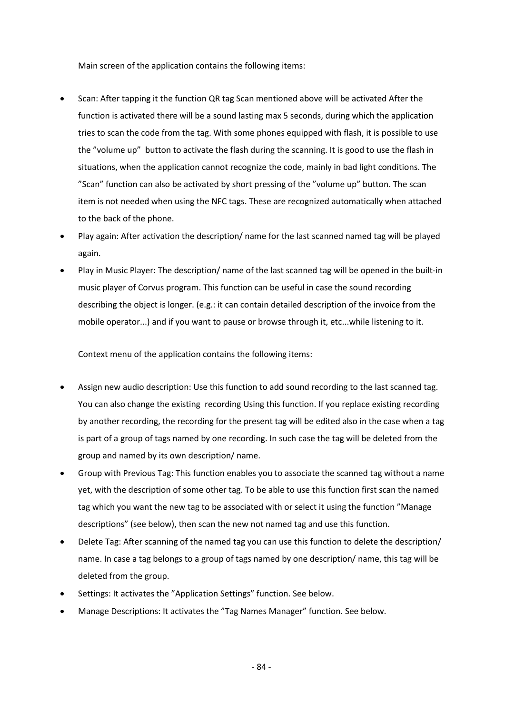Main screen of the application contains the following items:

- Scan: After tapping it the function QR tag Scan mentioned above will be activated After the function is activated there will be a sound lasting max 5 seconds, during which the application tries to scan the code from the tag. With some phones equipped with flash, it is possible to use the "volume up" button to activate the flash during the scanning. It is good to use the flash in situations, when the application cannot recognize the code, mainly in bad light conditions. The "Scan" function can also be activated by short pressing of the "volume up" button. The scan item is not needed when using the NFC tags. These are recognized automatically when attached to the back of the phone.
- Play again: After activation the description/ name for the last scanned named tag will be played again.
- Play in Music Player: The description/ name of the last scanned tag will be opened in the built-in music player of Corvus program. This function can be useful in case the sound recording describing the object is longer. (e.g.: it can contain detailed description of the invoice from the mobile operator...) and if you want to pause or browse through it, etc...while listening to it.

Context menu of the application contains the following items:

- Assign new audio description: Use this function to add sound recording to the last scanned tag. You can also change the existing recording Using this function. If you replace existing recording by another recording, the recording for the present tag will be edited also in the case when a tag is part of a group of tags named by one recording. In such case the tag will be deleted from the group and named by its own description/ name.
- Group with Previous Tag: This function enables you to associate the scanned tag without a name yet, with the description of some other tag. To be able to use this function first scan the named tag which you want the new tag to be associated with or select it using the function "Manage descriptions" (see below), then scan the new not named tag and use this function.
- Delete Tag: After scanning of the named tag you can use this function to delete the description/ name. In case a tag belongs to a group of tags named by one description/ name, this tag will be deleted from the group.
- Settings: It activates the "Application Settings" function. See below.
- Manage Descriptions: It activates the "Tag Names Manager" function. See below.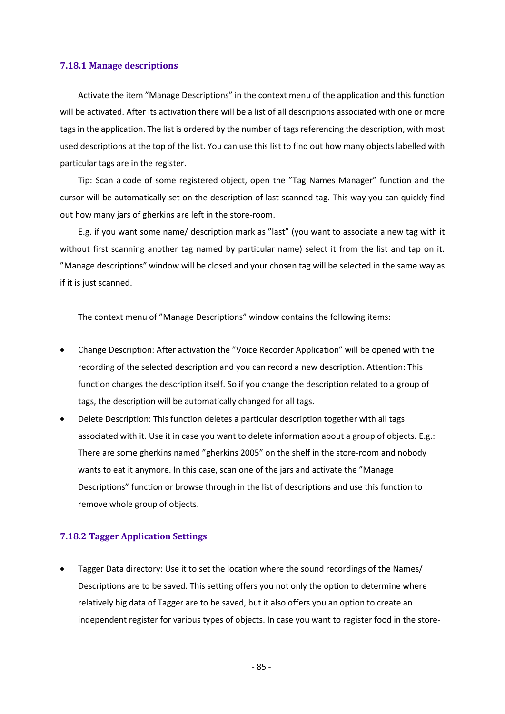#### **7.18.1 Manage descriptions**

Activate the item "Manage Descriptions" in the context menu of the application and this function will be activated. After its activation there will be a list of all descriptions associated with one or more tags in the application. The list is ordered by the number of tags referencing the description, with most used descriptions at the top of the list. You can use this list to find out how many objects labelled with particular tags are in the register.

Tip: Scan a code of some registered object, open the "Tag Names Manager" function and the cursor will be automatically set on the description of last scanned tag. This way you can quickly find out how many jars of gherkins are left in the store-room.

E.g. if you want some name/ description mark as "last" (you want to associate a new tag with it without first scanning another tag named by particular name) select it from the list and tap on it. "Manage descriptions" window will be closed and your chosen tag will be selected in the same way as if it is just scanned.

The context menu of "Manage Descriptions" window contains the following items:

- Change Description: After activation the "Voice Recorder Application" will be opened with the recording of the selected description and you can record a new description. Attention: This function changes the description itself. So if you change the description related to a group of tags, the description will be automatically changed for all tags.
- Delete Description: This function deletes a particular description together with all tags associated with it. Use it in case you want to delete information about a group of objects. E.g.: There are some gherkins named "gherkins 2005" on the shelf in the store-room and nobody wants to eat it anymore. In this case, scan one of the jars and activate the "Manage Descriptions" function or browse through in the list of descriptions and use this function to remove whole group of objects.

# **7.18.2 Tagger Application Settings**

• Tagger Data directory: Use it to set the location where the sound recordings of the Names/ Descriptions are to be saved. This setting offers you not only the option to determine where relatively big data of Tagger are to be saved, but it also offers you an option to create an independent register for various types of objects. In case you want to register food in the store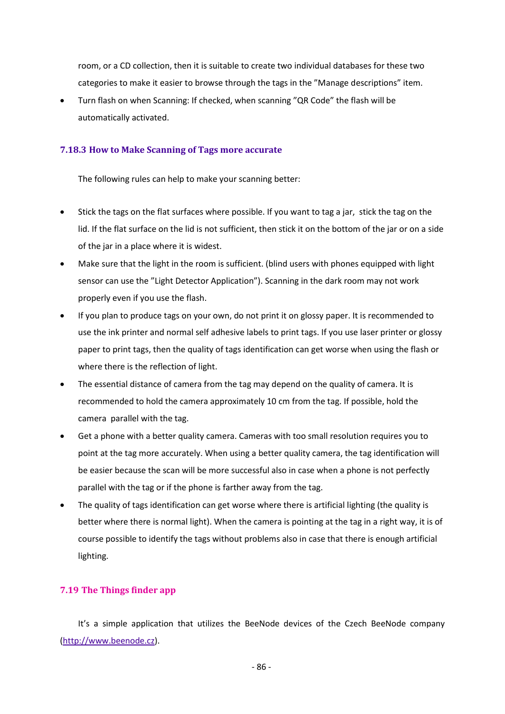room, or a CD collection, then it is suitable to create two individual databases for these two categories to make it easier to browse through the tags in the "Manage descriptions" item.

• Turn flash on when Scanning: If checked, when scanning "QR Code" the flash will be automatically activated.

## **7.18.3 How to Make Scanning of Tags more accurate**

The following rules can help to make your scanning better:

- Stick the tags on the flat surfaces where possible. If you want to tag a jar, stick the tag on the lid. If the flat surface on the lid is not sufficient, then stick it on the bottom of the jar or on a side of the jar in a place where it is widest.
- Make sure that the light in the room is sufficient. (blind users with phones equipped with light sensor can use the "Light Detector Application"). Scanning in the dark room may not work properly even if you use the flash.
- If you plan to produce tags on your own, do not print it on glossy paper. It is recommended to use the ink printer and normal self adhesive labels to print tags. If you use laser printer or glossy paper to print tags, then the quality of tags identification can get worse when using the flash or where there is the reflection of light.
- The essential distance of camera from the tag may depend on the quality of camera. It is recommended to hold the camera approximately 10 cm from the tag. If possible, hold the camera parallel with the tag.
- Get a phone with a better quality camera. Cameras with too small resolution requires you to point at the tag more accurately. When using a better quality camera, the tag identification will be easier because the scan will be more successful also in case when a phone is not perfectly parallel with the tag or if the phone is farther away from the tag.
- The quality of tags identification can get worse where there is artificial lighting (the quality is better where there is normal light). When the camera is pointing at the tag in a right way, it is of course possible to identify the tags without problems also in case that there is enough artificial lighting.

# **7.19 The Things finder app**

It's a simple application that utilizes the BeeNode devices of the Czech BeeNode company [\(http://www.beenode.cz\)](http://www.beenode.cz/).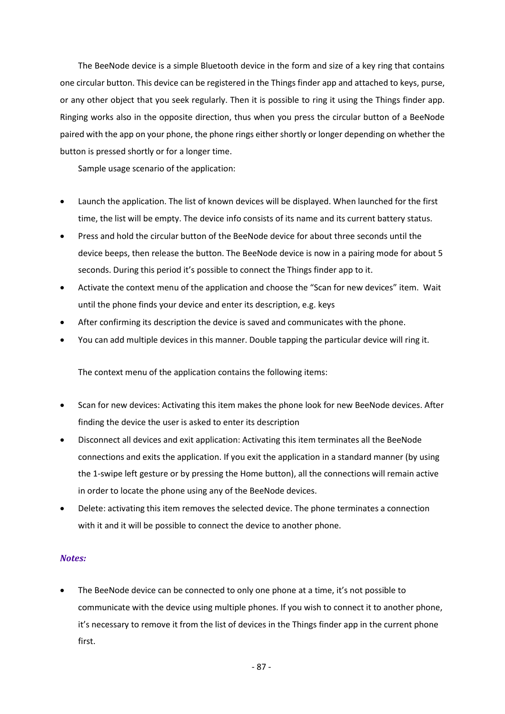The BeeNode device is a simple Bluetooth device in the form and size of a key ring that contains one circular button. This device can be registered in the Things finder app and attached to keys, purse, or any other object that you seek regularly. Then it is possible to ring it using the Things finder app. Ringing works also in the opposite direction, thus when you press the circular button of a BeeNode paired with the app on your phone, the phone rings either shortly or longer depending on whether the button is pressed shortly or for a longer time.

Sample usage scenario of the application:

- Launch the application. The list of known devices will be displayed. When launched for the first time, the list will be empty. The device info consists of its name and its current battery status.
- Press and hold the circular button of the BeeNode device for about three seconds until the device beeps, then release the button. The BeeNode device is now in a pairing mode for about 5 seconds. During this period it's possible to connect the Things finder app to it.
- Activate the context menu of the application and choose the "Scan for new devices" item. Wait until the phone finds your device and enter its description, e.g. keys
- After confirming its description the device is saved and communicates with the phone.
- You can add multiple devices in this manner. Double tapping the particular device will ring it.

The context menu of the application contains the following items:

- Scan for new devices: Activating this item makes the phone look for new BeeNode devices. After finding the device the user is asked to enter its description
- Disconnect all devices and exit application: Activating this item terminates all the BeeNode connections and exits the application. If you exit the application in a standard manner (by using the 1-swipe left gesture or by pressing the Home button), all the connections will remain active in order to locate the phone using any of the BeeNode devices.
- Delete: activating this item removes the selected device. The phone terminates a connection with it and it will be possible to connect the device to another phone.

## *Notes:*

The BeeNode device can be connected to only one phone at a time, it's not possible to communicate with the device using multiple phones. If you wish to connect it to another phone, it's necessary to remove it from the list of devices in the Things finder app in the current phone first.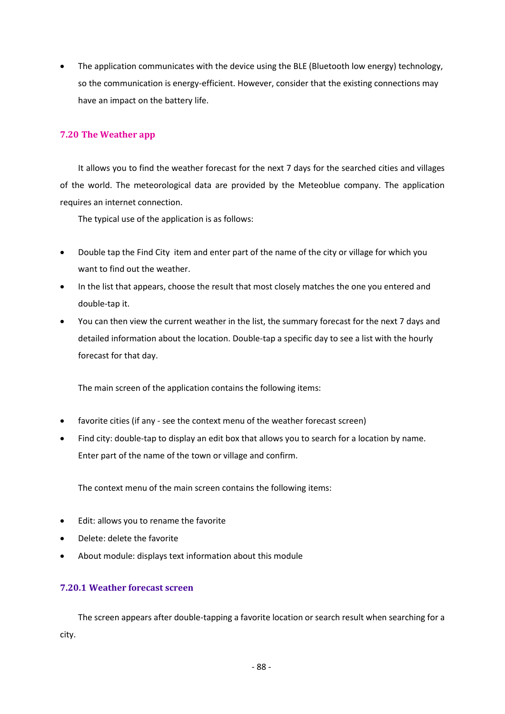• The application communicates with the device using the BLE (Bluetooth low energy) technology, so the communication is energy-efficient. However, consider that the existing connections may have an impact on the battery life.

# **7.20 The Weather app**

It allows you to find the weather forecast for the next 7 days for the searched cities and villages of the world. The meteorological data are provided by the Meteoblue company. The application requires an internet connection.

The typical use of the application is as follows:

- Double tap the Find City item and enter part of the name of the city or village for which you want to find out the weather.
- In the list that appears, choose the result that most closely matches the one you entered and double-tap it.
- You can then view the current weather in the list, the summary forecast for the next 7 days and detailed information about the location. Double-tap a specific day to see a list with the hourly forecast for that day.

The main screen of the application contains the following items:

- favorite cities (if any see the context menu of the weather forecast screen)
- Find city: double-tap to display an edit box that allows you to search for a location by name. Enter part of the name of the town or village and confirm.

The context menu of the main screen contains the following items:

- Edit: allows you to rename the favorite
- Delete: delete the favorite
- About module: displays text information about this module

# **7.20.1 Weather forecast screen**

The screen appears after double-tapping a favorite location or search result when searching for a city.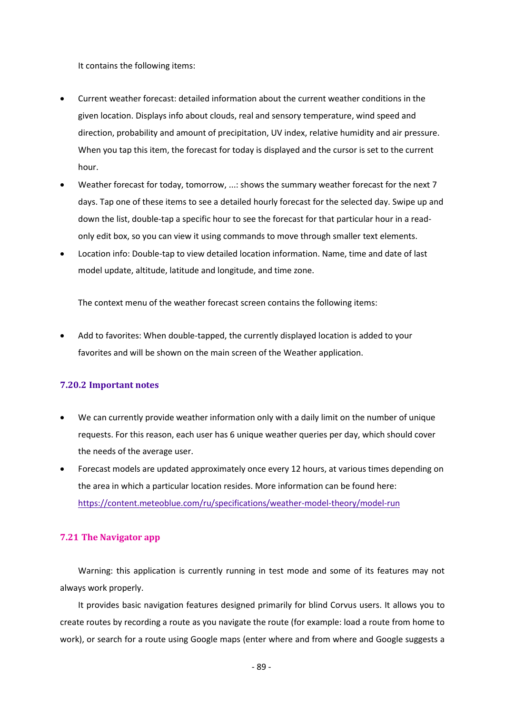It contains the following items:

- Current weather forecast: detailed information about the current weather conditions in the given location. Displays info about clouds, real and sensory temperature, wind speed and direction, probability and amount of precipitation, UV index, relative humidity and air pressure. When you tap this item, the forecast for today is displayed and the cursor is set to the current hour.
- Weather forecast for today, tomorrow, ...: shows the summary weather forecast for the next 7 days. Tap one of these items to see a detailed hourly forecast for the selected day. Swipe up and down the list, double-tap a specific hour to see the forecast for that particular hour in a readonly edit box, so you can view it using commands to move through smaller text elements.
- Location info: Double-tap to view detailed location information. Name, time and date of last model update, altitude, latitude and longitude, and time zone.

The context menu of the weather forecast screen contains the following items:

• Add to favorites: When double-tapped, the currently displayed location is added to your favorites and will be shown on the main screen of the Weather application.

## **7.20.2 Important notes**

- We can currently provide weather information only with a daily limit on the number of unique requests. For this reason, each user has 6 unique weather queries per day, which should cover the needs of the average user.
- Forecast models are updated approximately once every 12 hours, at various times depending on the area in which a particular location resides. More information can be found here: <https://content.meteoblue.com/ru/specifications/weather-model-theory/model-run>

## **7.21 The Navigator app**

Warning: this application is currently running in test mode and some of its features may not always work properly.

It provides basic navigation features designed primarily for blind Corvus users. It allows you to create routes by recording a route as you navigate the route (for example: load a route from home to work), or search for a route using Google maps (enter where and from where and Google suggests a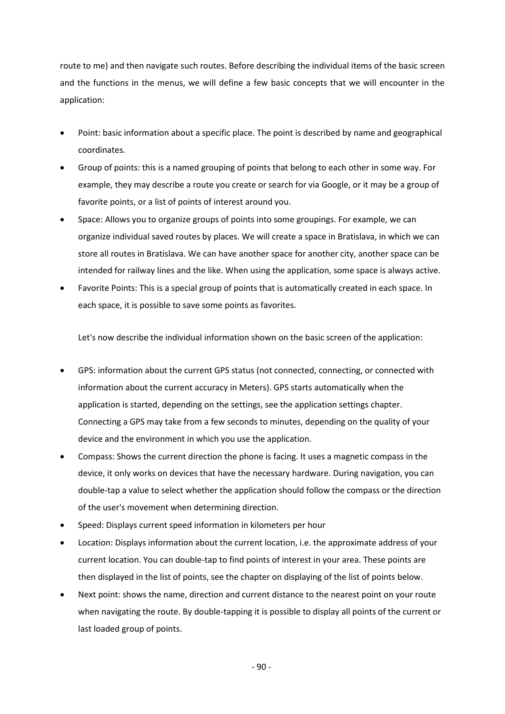route to me) and then navigate such routes. Before describing the individual items of the basic screen and the functions in the menus, we will define a few basic concepts that we will encounter in the application:

- Point: basic information about a specific place. The point is described by name and geographical coordinates.
- Group of points: this is a named grouping of points that belong to each other in some way. For example, they may describe a route you create or search for via Google, or it may be a group of favorite points, or a list of points of interest around you.
- Space: Allows you to organize groups of points into some groupings. For example, we can organize individual saved routes by places. We will create a space in Bratislava, in which we can store all routes in Bratislava. We can have another space for another city, another space can be intended for railway lines and the like. When using the application, some space is always active.
- Favorite Points: This is a special group of points that is automatically created in each space. In each space, it is possible to save some points as favorites.

Let's now describe the individual information shown on the basic screen of the application:

- GPS: information about the current GPS status (not connected, connecting, or connected with information about the current accuracy in Meters). GPS starts automatically when the application is started, depending on the settings, see the application settings chapter. Connecting a GPS may take from a few seconds to minutes, depending on the quality of your device and the environment in which you use the application.
- Compass: Shows the current direction the phone is facing. It uses a magnetic compass in the device, it only works on devices that have the necessary hardware. During navigation, you can double-tap a value to select whether the application should follow the compass or the direction of the user's movement when determining direction.
- Speed: Displays current speed information in kilometers per hour
- Location: Displays information about the current location, i.e. the approximate address of your current location. You can double-tap to find points of interest in your area. These points are then displayed in the list of points, see the chapter on displaying of the list of points below.
- Next point: shows the name, direction and current distance to the nearest point on your route when navigating the route. By double-tapping it is possible to display all points of the current or last loaded group of points.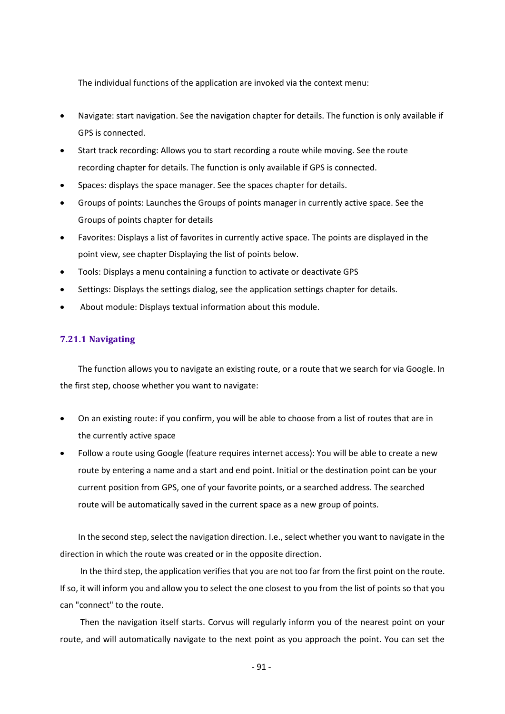The individual functions of the application are invoked via the context menu:

- Navigate: start navigation. See the navigation chapter for details. The function is only available if GPS is connected.
- Start track recording: Allows you to start recording a route while moving. See the route recording chapter for details. The function is only available if GPS is connected.
- Spaces: displays the space manager. See the spaces chapter for details.
- Groups of points: Launches the Groups of points manager in currently active space. See the Groups of points chapter for details
- Favorites: Displays a list of favorites in currently active space. The points are displayed in the point view, see chapter Displaying the list of points below.
- Tools: Displays a menu containing a function to activate or deactivate GPS
- Settings: Displays the settings dialog, see the application settings chapter for details.
- About module: Displays textual information about this module.

# **7.21.1 Navigating**

The function allows you to navigate an existing route, or a route that we search for via Google. In the first step, choose whether you want to navigate:

- On an existing route: if you confirm, you will be able to choose from a list of routes that are in the currently active space
- Follow a route using Google (feature requires internet access): You will be able to create a new route by entering a name and a start and end point. Initial or the destination point can be your current position from GPS, one of your favorite points, or a searched address. The searched route will be automatically saved in the current space as a new group of points.

In the second step, select the navigation direction. I.e., select whether you want to navigate in the direction in which the route was created or in the opposite direction.

In the third step, the application verifies that you are not too far from the first point on the route. If so, it will inform you and allow you to select the one closest to you from the list of points so that you can "connect" to the route.

Then the navigation itself starts. Corvus will regularly inform you of the nearest point on your route, and will automatically navigate to the next point as you approach the point. You can set the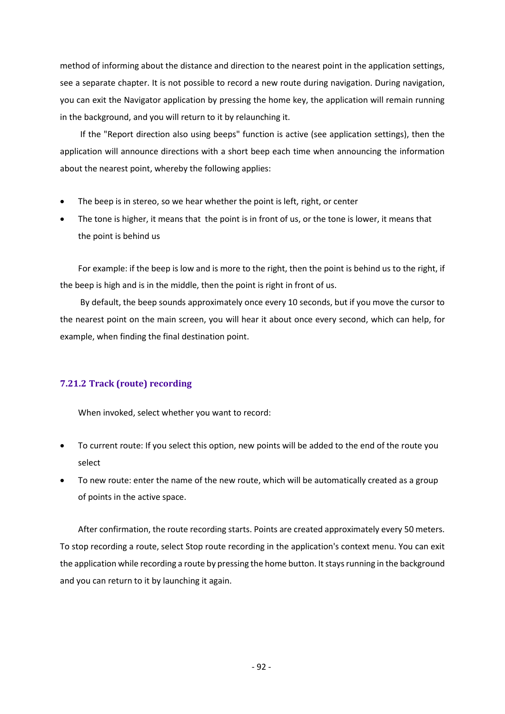method of informing about the distance and direction to the nearest point in the application settings, see a separate chapter. It is not possible to record a new route during navigation. During navigation, you can exit the Navigator application by pressing the home key, the application will remain running in the background, and you will return to it by relaunching it.

If the "Report direction also using beeps" function is active (see application settings), then the application will announce directions with a short beep each time when announcing the information about the nearest point, whereby the following applies:

- The beep is in stereo, so we hear whether the point is left, right, or center
- The tone is higher, it means that the point is in front of us, or the tone is lower, it means that the point is behind us

For example: if the beep is low and is more to the right, then the point is behind us to the right, if the beep is high and is in the middle, then the point is right in front of us.

By default, the beep sounds approximately once every 10 seconds, but if you move the cursor to the nearest point on the main screen, you will hear it about once every second, which can help, for example, when finding the final destination point.

## **7.21.2 Track (route) recording**

When invoked, select whether you want to record:

- To current route: If you select this option, new points will be added to the end of the route you select
- To new route: enter the name of the new route, which will be automatically created as a group of points in the active space.

After confirmation, the route recording starts. Points are created approximately every 50 meters. To stop recording a route, select Stop route recording in the application's context menu. You can exit the application while recording a route by pressing the home button. It stays running in the background and you can return to it by launching it again.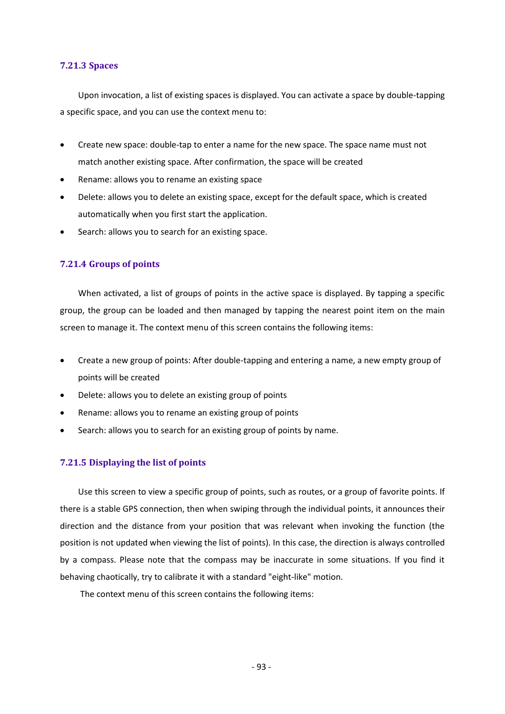#### **7.21.3 Spaces**

Upon invocation, a list of existing spaces is displayed. You can activate a space by double-tapping a specific space, and you can use the context menu to:

- Create new space: double-tap to enter a name for the new space. The space name must not match another existing space. After confirmation, the space will be created
- Rename: allows you to rename an existing space
- Delete: allows you to delete an existing space, except for the default space, which is created automatically when you first start the application.
- Search: allows you to search for an existing space.

### **7.21.4 Groups of points**

When activated, a list of groups of points in the active space is displayed. By tapping a specific group, the group can be loaded and then managed by tapping the nearest point item on the main screen to manage it. The context menu of this screen contains the following items:

- Create a new group of points: After double-tapping and entering a name, a new empty group of points will be created
- Delete: allows you to delete an existing group of points
- Rename: allows you to rename an existing group of points
- Search: allows you to search for an existing group of points by name.

## **7.21.5 Displaying the list of points**

Use this screen to view a specific group of points, such as routes, or a group of favorite points. If there is a stable GPS connection, then when swiping through the individual points, it announces their direction and the distance from your position that was relevant when invoking the function (the position is not updated when viewing the list of points). In this case, the direction is always controlled by a compass. Please note that the compass may be inaccurate in some situations. If you find it behaving chaotically, try to calibrate it with a standard "eight-like" motion.

The context menu of this screen contains the following items: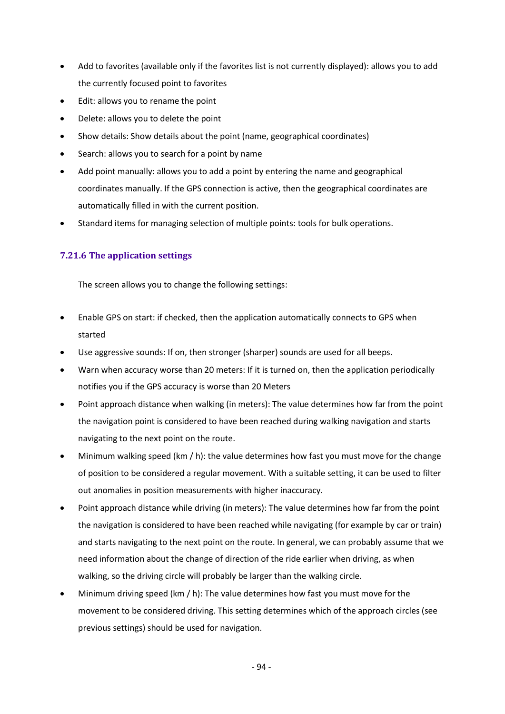- Add to favorites (available only if the favorites list is not currently displayed): allows you to add the currently focused point to favorites
- Edit: allows you to rename the point
- Delete: allows you to delete the point
- Show details: Show details about the point (name, geographical coordinates)
- Search: allows you to search for a point by name
- Add point manually: allows you to add a point by entering the name and geographical coordinates manually. If the GPS connection is active, then the geographical coordinates are automatically filled in with the current position.
- Standard items for managing selection of multiple points: tools for bulk operations.

## **7.21.6 The application settings**

The screen allows you to change the following settings:

- Enable GPS on start: if checked, then the application automatically connects to GPS when started
- Use aggressive sounds: If on, then stronger (sharper) sounds are used for all beeps.
- Warn when accuracy worse than 20 meters: If it is turned on, then the application periodically notifies you if the GPS accuracy is worse than 20 Meters
- Point approach distance when walking (in meters): The value determines how far from the point the navigation point is considered to have been reached during walking navigation and starts navigating to the next point on the route.
- Minimum walking speed (km / h): the value determines how fast you must move for the change of position to be considered a regular movement. With a suitable setting, it can be used to filter out anomalies in position measurements with higher inaccuracy.
- Point approach distance while driving (in meters): The value determines how far from the point the navigation is considered to have been reached while navigating (for example by car or train) and starts navigating to the next point on the route. In general, we can probably assume that we need information about the change of direction of the ride earlier when driving, as when walking, so the driving circle will probably be larger than the walking circle.
- Minimum driving speed (km  $/$  h): The value determines how fast you must move for the movement to be considered driving. This setting determines which of the approach circles (see previous settings) should be used for navigation.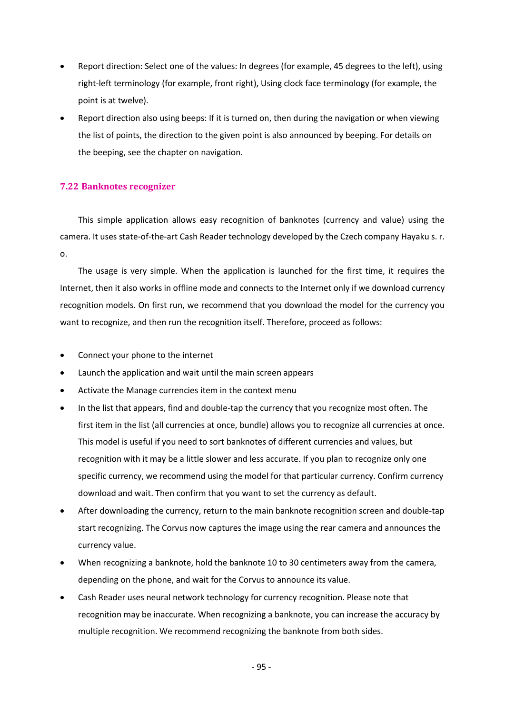- Report direction: Select one of the values: In degrees (for example, 45 degrees to the left), using right-left terminology (for example, front right), Using clock face terminology (for example, the point is at twelve).
- Report direction also using beeps: If it is turned on, then during the navigation or when viewing the list of points, the direction to the given point is also announced by beeping. For details on the beeping, see the chapter on navigation.

# **7.22 Banknotes recognizer**

This simple application allows easy recognition of banknotes (currency and value) using the camera. It uses state-of-the-art Cash Reader technology developed by the Czech company Hayaku s. r. o.

The usage is very simple. When the application is launched for the first time, it requires the Internet, then it also works in offline mode and connects to the Internet only if we download currency recognition models. On first run, we recommend that you download the model for the currency you want to recognize, and then run the recognition itself. Therefore, proceed as follows:

- Connect your phone to the internet
- Launch the application and wait until the main screen appears
- Activate the Manage currencies item in the context menu
- In the list that appears, find and double-tap the currency that you recognize most often. The first item in the list (all currencies at once, bundle) allows you to recognize all currencies at once. This model is useful if you need to sort banknotes of different currencies and values, but recognition with it may be a little slower and less accurate. If you plan to recognize only one specific currency, we recommend using the model for that particular currency. Confirm currency download and wait. Then confirm that you want to set the currency as default.
- After downloading the currency, return to the main banknote recognition screen and double-tap start recognizing. The Corvus now captures the image using the rear camera and announces the currency value.
- When recognizing a banknote, hold the banknote 10 to 30 centimeters away from the camera, depending on the phone, and wait for the Corvus to announce its value.
- Cash Reader uses neural network technology for currency recognition. Please note that recognition may be inaccurate. When recognizing a banknote, you can increase the accuracy by multiple recognition. We recommend recognizing the banknote from both sides.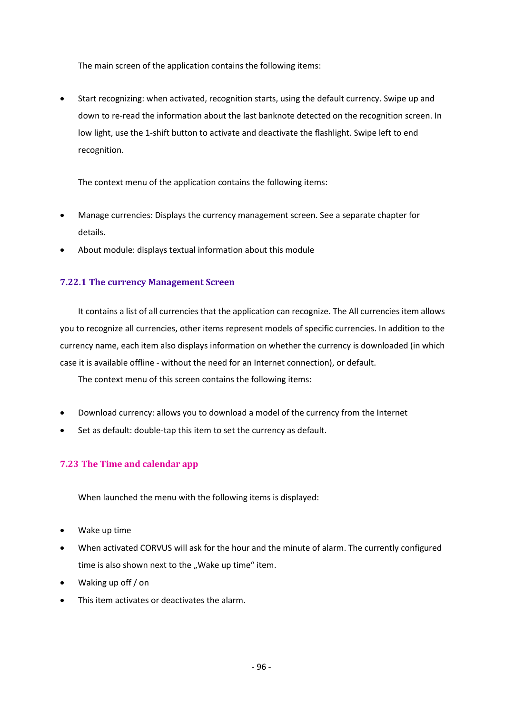The main screen of the application contains the following items:

• Start recognizing: when activated, recognition starts, using the default currency. Swipe up and down to re-read the information about the last banknote detected on the recognition screen. In low light, use the 1-shift button to activate and deactivate the flashlight. Swipe left to end recognition.

The context menu of the application contains the following items:

- Manage currencies: Displays the currency management screen. See a separate chapter for details.
- About module: displays textual information about this module

# **7.22.1 The currency Management Screen**

It contains a list of all currencies that the application can recognize. The All currencies item allows you to recognize all currencies, other items represent models of specific currencies. In addition to the currency name, each item also displays information on whether the currency is downloaded (in which case it is available offline - without the need for an Internet connection), or default.

The context menu of this screen contains the following items:

- Download currency: allows you to download a model of the currency from the Internet
- Set as default: double-tap this item to set the currency as default.

# **7.23 The Time and calendar app**

When launched the menu with the following items is displayed:

- Wake up time
- When activated CORVUS will ask for the hour and the minute of alarm. The currently configured time is also shown next to the "Wake up time" item.
- Waking up off / on
- This item activates or deactivates the alarm.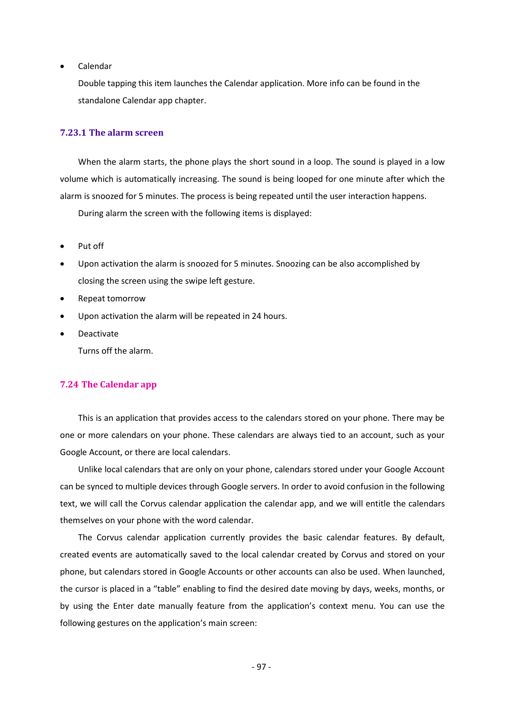• Calendar

Double tapping this item launches the Calendar application. More info can be found in the standalone Calendar app chapter.

#### **7.23.1 The alarm screen**

When the alarm starts, the phone plays the short sound in a loop. The sound is played in a low volume which is automatically increasing. The sound is being looped for one minute after which the alarm is snoozed for 5 minutes. The process is being repeated until the user interaction happens.

During alarm the screen with the following items is displayed:

- Put off
- Upon activation the alarm is snoozed for 5 minutes. Snoozing can be also accomplished by closing the screen using the swipe left gesture.
- Repeat tomorrow
- Upon activation the alarm will be repeated in 24 hours.
- Deactivate

Turns off the alarm.

### **7.24 The Calendar app**

This is an application that provides access to the calendars stored on your phone. There may be one or more calendars on your phone. These calendars are always tied to an account, such as your Google Account, or there are local calendars.

Unlike local calendars that are only on your phone, calendars stored under your Google Account can be synced to multiple devices through Google servers. In order to avoid confusion in the following text, we will call the Corvus calendar application the calendar app, and we will entitle the calendars themselves on your phone with the word calendar.

The Corvus calendar application currently provides the basic calendar features. By default, created events are automatically saved to the local calendar created by Corvus and stored on your phone, but calendars stored in Google Accounts or other accounts can also be used. When launched, the cursor is placed in a "table" enabling to find the desired date moving by days, weeks, months, or by using the Enter date manually feature from the application's context menu. You can use the following gestures on the application's main screen: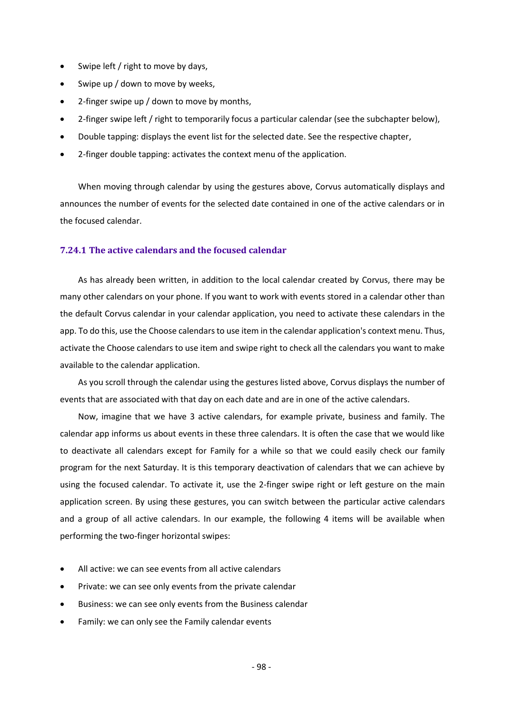- Swipe left / right to move by days,
- Swipe up / down to move by weeks,
- 2-finger swipe up / down to move by months,
- 2-finger swipe left / right to temporarily focus a particular calendar (see the subchapter below),
- Double tapping: displays the event list for the selected date. See the respective chapter,
- 2-finger double tapping: activates the context menu of the application.

When moving through calendar by using the gestures above, Corvus automatically displays and announces the number of events for the selected date contained in one of the active calendars or in the focused calendar.

### **7.24.1 The active calendars and the focused calendar**

As has already been written, in addition to the local calendar created by Corvus, there may be many other calendars on your phone. If you want to work with events stored in a calendar other than the default Corvus calendar in your calendar application, you need to activate these calendars in the app. To do this, use the Choose calendars to use item in the calendar application's context menu. Thus, activate the Choose calendars to use item and swipe right to check all the calendars you want to make available to the calendar application.

As you scroll through the calendar using the gestures listed above, Corvus displays the number of events that are associated with that day on each date and are in one of the active calendars.

Now, imagine that we have 3 active calendars, for example private, business and family. The calendar app informs us about events in these three calendars. It is often the case that we would like to deactivate all calendars except for Family for a while so that we could easily check our family program for the next Saturday. It is this temporary deactivation of calendars that we can achieve by using the focused calendar. To activate it, use the 2-finger swipe right or left gesture on the main application screen. By using these gestures, you can switch between the particular active calendars and a group of all active calendars. In our example, the following 4 items will be available when performing the two-finger horizontal swipes:

- All active: we can see events from all active calendars
- Private: we can see only events from the private calendar
- Business: we can see only events from the Business calendar
- Family: we can only see the Family calendar events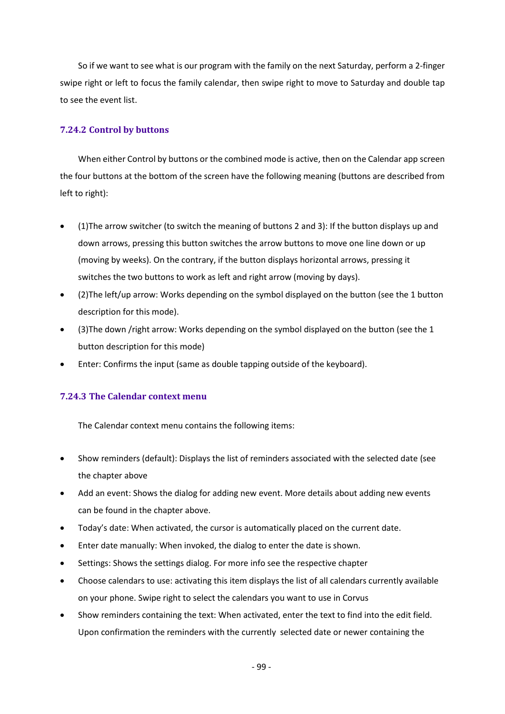So if we want to see what is our program with the family on the next Saturday, perform a 2-finger swipe right or left to focus the family calendar, then swipe right to move to Saturday and double tap to see the event list.

# **7.24.2 Control by buttons**

When either Control by buttons or the combined mode is active, then on the Calendar app screen the four buttons at the bottom of the screen have the following meaning (buttons are described from left to right):

- (1)The arrow switcher (to switch the meaning of buttons 2 and 3): If the button displays up and down arrows, pressing this button switches the arrow buttons to move one line down or up (moving by weeks). On the contrary, if the button displays horizontal arrows, pressing it switches the two buttons to work as left and right arrow (moving by days).
- (2)The left/up arrow: Works depending on the symbol displayed on the button (see the 1 button description for this mode).
- (3)The down /right arrow: Works depending on the symbol displayed on the button (see the 1 button description for this mode)
- Enter: Confirms the input (same as double tapping outside of the keyboard).

# **7.24.3 The Calendar context menu**

The Calendar context menu contains the following items:

- Show reminders (default): Displays the list of reminders associated with the selected date (see the chapter above
- Add an event: Shows the dialog for adding new event. More details about adding new events can be found in the chapter above.
- Today's date: When activated, the cursor is automatically placed on the current date.
- Enter date manually: When invoked, the dialog to enter the date is shown.
- Settings: Shows the settings dialog. For more info see the respective chapter
- Choose calendars to use: activating this item displays the list of all calendars currently available on your phone. Swipe right to select the calendars you want to use in Corvus
- Show reminders containing the text: When activated, enter the text to find into the edit field. Upon confirmation the reminders with the currently selected date or newer containing the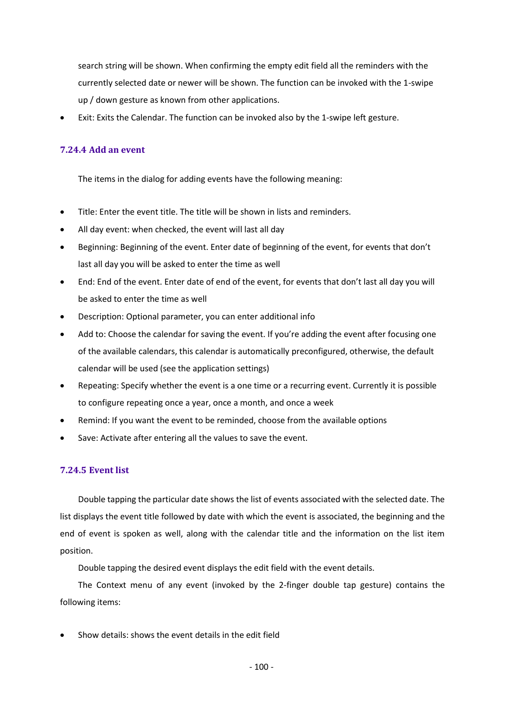search string will be shown. When confirming the empty edit field all the reminders with the currently selected date or newer will be shown. The function can be invoked with the 1-swipe up / down gesture as known from other applications.

• Exit: Exits the Calendar. The function can be invoked also by the 1-swipe left gesture.

# **7.24.4 Add an event**

The items in the dialog for adding events have the following meaning:

- Title: Enter the event title. The title will be shown in lists and reminders.
- All day event: when checked, the event will last all day
- Beginning: Beginning of the event. Enter date of beginning of the event, for events that don't last all day you will be asked to enter the time as well
- End: End of the event. Enter date of end of the event, for events that don't last all day you will be asked to enter the time as well
- Description: Optional parameter, you can enter additional info
- Add to: Choose the calendar for saving the event. If you're adding the event after focusing one of the available calendars, this calendar is automatically preconfigured, otherwise, the default calendar will be used (see the application settings)
- Repeating: Specify whether the event is a one time or a recurring event. Currently it is possible to configure repeating once a year, once a month, and once a week
- Remind: If you want the event to be reminded, choose from the available options
- Save: Activate after entering all the values to save the event.

# **7.24.5 Event list**

Double tapping the particular date shows the list of events associated with the selected date. The list displays the event title followed by date with which the event is associated, the beginning and the end of event is spoken as well, along with the calendar title and the information on the list item position.

Double tapping the desired event displays the edit field with the event details.

The Context menu of any event (invoked by the 2-finger double tap gesture) contains the following items:

• Show details: shows the event details in the edit field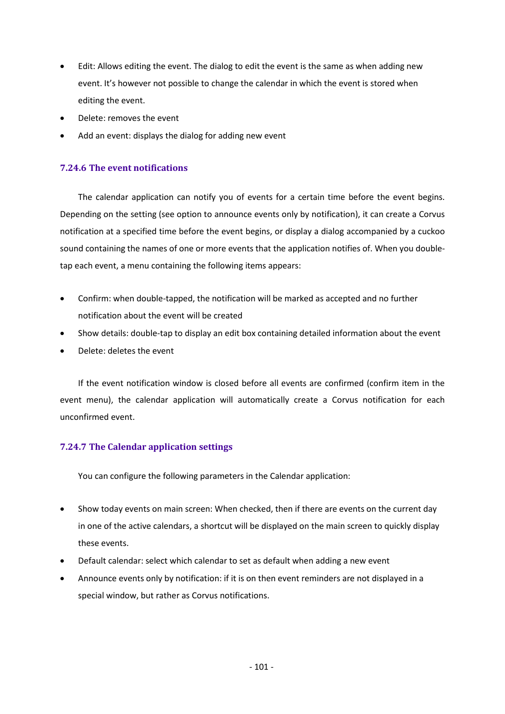- Edit: Allows editing the event. The dialog to edit the event is the same as when adding new event. It's however not possible to change the calendar in which the event is stored when editing the event.
- Delete: removes the event
- Add an event: displays the dialog for adding new event

# **7.24.6 The event notifications**

The calendar application can notify you of events for a certain time before the event begins. Depending on the setting (see option to announce events only by notification), it can create a Corvus notification at a specified time before the event begins, or display a dialog accompanied by a cuckoo sound containing the names of one or more events that the application notifies of. When you doubletap each event, a menu containing the following items appears:

- Confirm: when double-tapped, the notification will be marked as accepted and no further notification about the event will be created
- Show details: double-tap to display an edit box containing detailed information about the event
- Delete: deletes the event

If the event notification window is closed before all events are confirmed (confirm item in the event menu), the calendar application will automatically create a Corvus notification for each unconfirmed event.

# **7.24.7 The Calendar application settings**

You can configure the following parameters in the Calendar application:

- Show today events on main screen: When checked, then if there are events on the current day in one of the active calendars, a shortcut will be displayed on the main screen to quickly display these events.
- Default calendar: select which calendar to set as default when adding a new event
- Announce events only by notification: if it is on then event reminders are not displayed in a special window, but rather as Corvus notifications.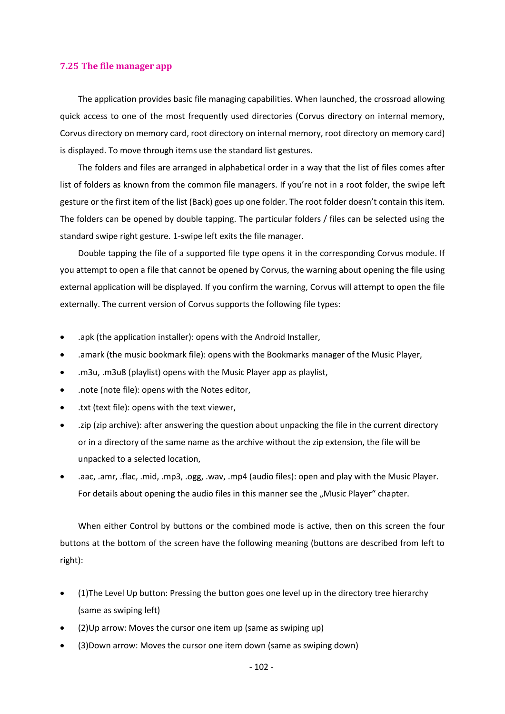### **7.25 The file manager app**

The application provides basic file managing capabilities. When launched, the crossroad allowing quick access to one of the most frequently used directories (Corvus directory on internal memory, Corvus directory on memory card, root directory on internal memory, root directory on memory card) is displayed. To move through items use the standard list gestures.

The folders and files are arranged in alphabetical order in a way that the list of files comes after list of folders as known from the common file managers. If you're not in a root folder, the swipe left gesture or the first item of the list (Back) goes up one folder. The root folder doesn't contain this item. The folders can be opened by double tapping. The particular folders / files can be selected using the standard swipe right gesture. 1-swipe left exits the file manager.

Double tapping the file of a supported file type opens it in the corresponding Corvus module. If you attempt to open a file that cannot be opened by Corvus, the warning about opening the file using external application will be displayed. If you confirm the warning, Corvus will attempt to open the file externally. The current version of Corvus supports the following file types:

- .apk (the application installer): opens with the Android Installer,
- .amark (the music bookmark file): opens with the Bookmarks manager of the Music Player,
- .m3u, .m3u8 (playlist) opens with the Music Player app as playlist,
- .note (note file): opens with the Notes editor,
- .txt (text file): opens with the text viewer,
- .zip (zip archive): after answering the question about unpacking the file in the current directory or in a directory of the same name as the archive without the zip extension, the file will be unpacked to a selected location,
- .aac, .amr, .flac, .mid, .mp3, .ogg, .wav, .mp4 (audio files): open and play with the Music Player. For details about opening the audio files in this manner see the "Music Player" chapter.

When either Control by buttons or the combined mode is active, then on this screen the four buttons at the bottom of the screen have the following meaning (buttons are described from left to right):

- (1)The Level Up button: Pressing the button goes one level up in the directory tree hierarchy (same as swiping left)
- (2)Up arrow: Moves the cursor one item up (same as swiping up)
- (3)Down arrow: Moves the cursor one item down (same as swiping down)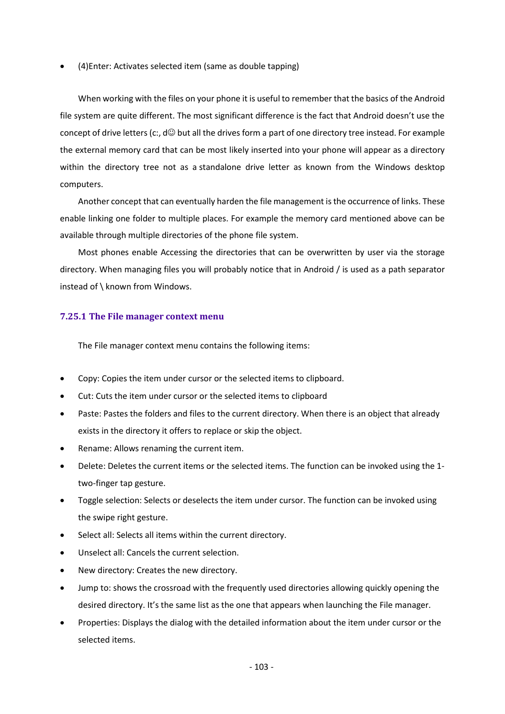• (4)Enter: Activates selected item (same as double tapping)

When working with the files on your phone it is useful to remember that the basics of the Android file system are quite different. The most significant difference is the fact that Android doesn't use the concept of drive letters (c:,  $d\mathcal{Q}$  but all the drives form a part of one directory tree instead. For example the external memory card that can be most likely inserted into your phone will appear as a directory within the directory tree not as a standalone drive letter as known from the Windows desktop computers.

Another concept that can eventually harden the file management is the occurrence of links. These enable linking one folder to multiple places. For example the memory card mentioned above can be available through multiple directories of the phone file system.

Most phones enable Accessing the directories that can be overwritten by user via the storage directory. When managing files you will probably notice that in Android / is used as a path separator instead of \ known from Windows.

## **7.25.1 The File manager context menu**

The File manager context menu contains the following items:

- Copy: Copies the item under cursor or the selected items to clipboard.
- Cut: Cuts the item under cursor or the selected items to clipboard
- Paste: Pastes the folders and files to the current directory. When there is an object that already exists in the directory it offers to replace or skip the object.
- Rename: Allows renaming the current item.
- Delete: Deletes the current items or the selected items. The function can be invoked using the 1 two-finger tap gesture.
- Toggle selection: Selects or deselects the item under cursor. The function can be invoked using the swipe right gesture.
- Select all: Selects all items within the current directory.
- Unselect all: Cancels the current selection.
- New directory: Creates the new directory.
- Jump to: shows the crossroad with the frequently used directories allowing quickly opening the desired directory. It's the same list as the one that appears when launching the File manager.
- Properties: Displays the dialog with the detailed information about the item under cursor or the selected items.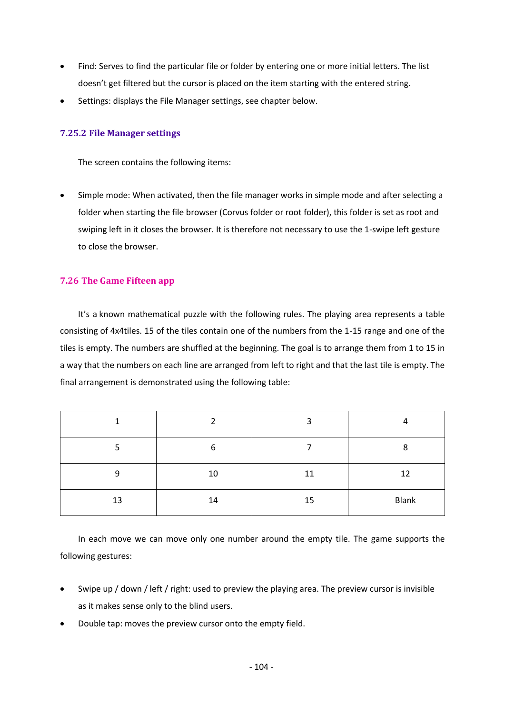- Find: Serves to find the particular file or folder by entering one or more initial letters. The list doesn't get filtered but the cursor is placed on the item starting with the entered string.
- Settings: displays the File Manager settings, see chapter below.

# **7.25.2 File Manager settings**

The screen contains the following items:

• Simple mode: When activated, then the file manager works in simple mode and after selecting a folder when starting the file browser (Corvus folder or root folder), this folder is set as root and swiping left in it closes the browser. It is therefore not necessary to use the 1-swipe left gesture to close the browser.

## **7.26 The Game Fifteen app**

It's a known mathematical puzzle with the following rules. The playing area represents a table consisting of 4x4tiles. 15 of the tiles contain one of the numbers from the 1-15 range and one of the tiles is empty. The numbers are shuffled at the beginning. The goal is to arrange them from 1 to 15 in a way that the numbers on each line are arranged from left to right and that the last tile is empty. The final arrangement is demonstrated using the following table:

|    |    | 3  | 4     |
|----|----|----|-------|
|    | 6  |    | 8     |
| 9  | 10 | 11 | 12    |
| 13 | 14 | 15 | Blank |

In each move we can move only one number around the empty tile. The game supports the following gestures:

- Swipe up / down / left / right: used to preview the playing area. The preview cursor is invisible as it makes sense only to the blind users.
- Double tap: moves the preview cursor onto the empty field.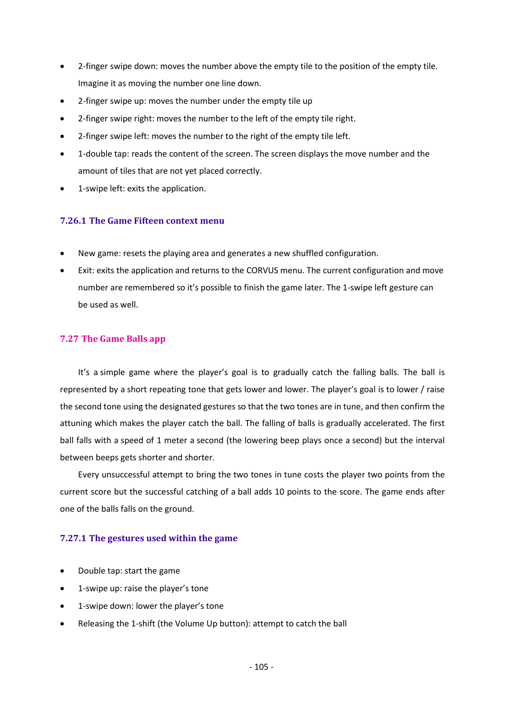- 2-finger swipe down: moves the number above the empty tile to the position of the empty tile. Imagine it as moving the number one line down.
- 2-finger swipe up: moves the number under the empty tile up
- 2-finger swipe right: moves the number to the left of the empty tile right.
- 2-finger swipe left: moves the number to the right of the empty tile left.
- 1-double tap: reads the content of the screen. The screen displays the move number and the amount of tiles that are not yet placed correctly.
- 1-swipe left: exits the application.

# **7.26.1 The Game Fifteen context menu**

- New game: resets the playing area and generates a new shuffled configuration.
- Exit: exits the application and returns to the CORVUS menu. The current configuration and move number are remembered so it's possible to finish the game later. The 1-swipe left gesture can be used as well.

## **7.27 The Game Balls app**

It's a simple game where the player's goal is to gradually catch the falling balls. The ball is represented by a short repeating tone that gets lower and lower. The player's goal is to lower / raise the second tone using the designated gestures so that the two tones are in tune, and then confirm the attuning which makes the player catch the ball. The falling of balls is gradually accelerated. The first ball falls with a speed of 1 meter a second (the lowering beep plays once a second) but the interval between beeps gets shorter and shorter.

Every unsuccessful attempt to bring the two tones in tune costs the player two points from the current score but the successful catching of a ball adds 10 points to the score. The game ends after one of the balls falls on the ground.

## **7.27.1 The gestures used within the game**

- Double tap: start the game
- 1-swipe up: raise the player's tone
- 1-swipe down: lower the player's tone
- Releasing the 1-shift (the Volume Up button): attempt to catch the ball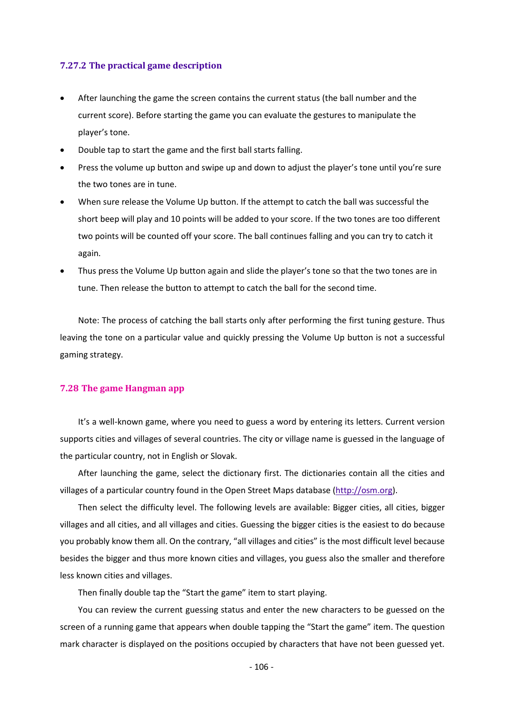#### **7.27.2 The practical game description**

- After launching the game the screen contains the current status (the ball number and the current score). Before starting the game you can evaluate the gestures to manipulate the player's tone.
- Double tap to start the game and the first ball starts falling.
- Press the volume up button and swipe up and down to adjust the player's tone until you're sure the two tones are in tune.
- When sure release the Volume Up button. If the attempt to catch the ball was successful the short beep will play and 10 points will be added to your score. If the two tones are too different two points will be counted off your score. The ball continues falling and you can try to catch it again.
- Thus press the Volume Up button again and slide the player's tone so that the two tones are in tune. Then release the button to attempt to catch the ball for the second time.

Note: The process of catching the ball starts only after performing the first tuning gesture. Thus leaving the tone on a particular value and quickly pressing the Volume Up button is not a successful gaming strategy.

#### **7.28 The game Hangman app**

It's a well-known game, where you need to guess a word by entering its letters. Current version supports cities and villages of several countries. The city or village name is guessed in the language of the particular country, not in English or Slovak.

After launching the game, select the dictionary first. The dictionaries contain all the cities and villages of a particular country found in the Open Street Maps database [\(http://osm.org\)](http://osm.org/).

Then select the difficulty level. The following levels are available: Bigger cities, all cities, bigger villages and all cities, and all villages and cities. Guessing the bigger cities is the easiest to do because you probably know them all. On the contrary, "all villages and cities" is the most difficult level because besides the bigger and thus more known cities and villages, you guess also the smaller and therefore less known cities and villages.

Then finally double tap the "Start the game" item to start playing.

You can review the current guessing status and enter the new characters to be guessed on the screen of a running game that appears when double tapping the "Start the game" item. The question mark character is displayed on the positions occupied by characters that have not been guessed yet.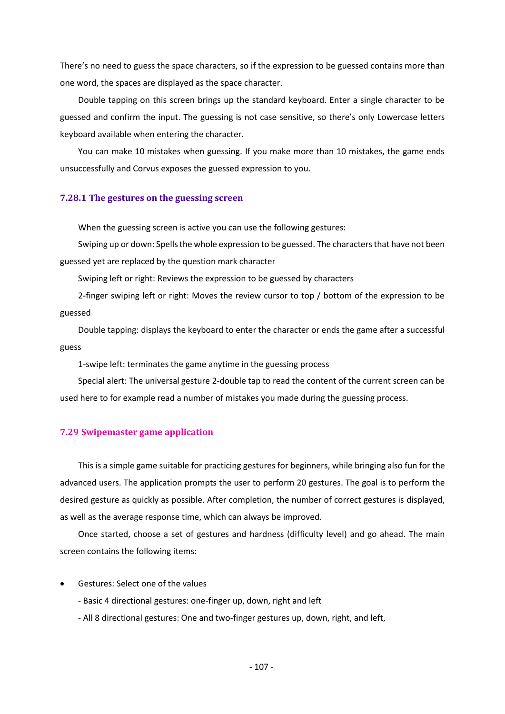There's no need to guess the space characters, so if the expression to be guessed contains more than one word, the spaces are displayed as the space character.

Double tapping on this screen brings up the standard keyboard. Enter a single character to be guessed and confirm the input. The guessing is not case sensitive, so there's only Lowercase letters keyboard available when entering the character.

You can make 10 mistakes when guessing. If you make more than 10 mistakes, the game ends unsuccessfully and Corvus exposes the guessed expression to you.

#### **7.28.1 The gestures on the guessing screen**

When the guessing screen is active you can use the following gestures:

Swiping up or down: Spells the whole expression to be guessed. The characters that have not been guessed yet are replaced by the question mark character

Swiping left or right: Reviews the expression to be guessed by characters

2-finger swiping left or right: Moves the review cursor to top / bottom of the expression to be guessed

Double tapping: displays the keyboard to enter the character or ends the game after a successful guess

1-swipe left: terminates the game anytime in the guessing process

Special alert: The universal gesture 2-double tap to read the content of the current screen can be used here to for example read a number of mistakes you made during the guessing process.

#### **7.29 Swipemaster game application**

This is a simple game suitable for practicing gestures for beginners, while bringing also fun for the advanced users. The application prompts the user to perform 20 gestures. The goal is to perform the desired gesture as quickly as possible. After completion, the number of correct gestures is displayed, as well as the average response time, which can always be improved.

Once started, choose a set of gestures and hardness (difficulty level) and go ahead. The main screen contains the following items:

- Gestures: Select one of the values
	- Basic 4 directional gestures: one-finger up, down, right and left
	- All 8 directional gestures: One and two-finger gestures up, down, right, and left,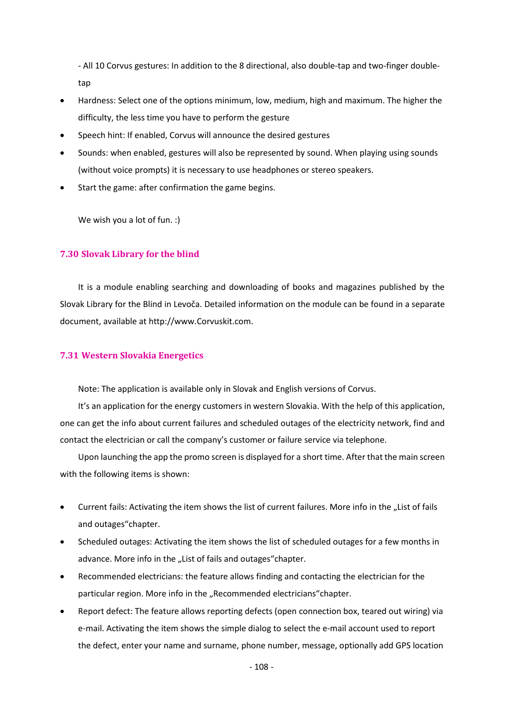- All 10 Corvus gestures: In addition to the 8 directional, also double-tap and two-finger doubletap

- Hardness: Select one of the options minimum, low, medium, high and maximum. The higher the difficulty, the less time you have to perform the gesture
- Speech hint: If enabled, Corvus will announce the desired gestures
- Sounds: when enabled, gestures will also be represented by sound. When playing using sounds (without voice prompts) it is necessary to use headphones or stereo speakers.
- Start the game: after confirmation the game begins.

We wish you a lot of fun. :)

## **7.30 Slovak Library for the blind**

It is a module enabling searching and downloading of books and magazines published by the Slovak Library for the Blind in Levoča. Detailed information on the module can be found in a separate document, available at http://www.Corvuskit.com.

# **7.31 Western Slovakia Energetics**

Note: The application is available only in Slovak and English versions of Corvus.

It's an application for the energy customers in western Slovakia. With the help of this application, one can get the info about current failures and scheduled outages of the electricity network, find and contact the electrician or call the company's customer or failure service via telephone.

Upon launching the app the promo screen is displayed for a short time. After that the main screen with the following items is shown:

- Current fails: Activating the item shows the list of current failures. More info in the ..List of fails and outages"chapter.
- Scheduled outages: Activating the item shows the list of scheduled outages for a few months in advance. More info in the "List of fails and outages"chapter.
- Recommended electricians: the feature allows finding and contacting the electrician for the particular region. More info in the "Recommended electricians"chapter.
- Report defect: The feature allows reporting defects (open connection box, teared out wiring) via e-mail. Activating the item shows the simple dialog to select the e-mail account used to report the defect, enter your name and surname, phone number, message, optionally add GPS location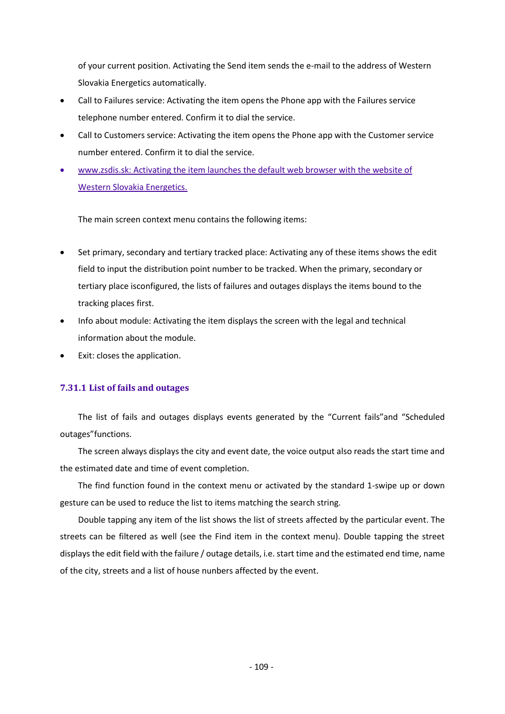of your current position. Activating the Send item sends the e-mail to the address of Western Slovakia Energetics automatically.

- Call to Failures service: Activating the item opens the Phone app with the Failures service telephone number entered. Confirm it to dial the service.
- Call to Customers service: Activating the item opens the Phone app with the Customer service number entered. Confirm it to dial the service.
- [www.zsdis.sk:](http://www.zsdis.sk/) Activating the item launches the default web browser with the website of Western Slovakia Energetics.

The main screen context menu contains the following items:

- Set primary, secondary and tertiary tracked place: Activating any of these items shows the edit field to input the distribution point number to be tracked. When the primary, secondary or tertiary place isconfigured, the lists of failures and outages displays the items bound to the tracking places first.
- Info about module: Activating the item displays the screen with the legal and technical information about the module.
- Exit: closes the application.

## **7.31.1 List of fails and outages**

The list of fails and outages displays events generated by the "Current fails"and "Scheduled outages"functions.

The screen always displays the city and event date, the voice output also reads the start time and the estimated date and time of event completion.

The find function found in the context menu or activated by the standard 1-swipe up or down gesture can be used to reduce the list to items matching the search string.

Double tapping any item of the list shows the list of streets affected by the particular event. The streets can be filtered as well (see the Find item in the context menu). Double tapping the street displays the edit field with the failure / outage details, i.e. start time and the estimated end time, name of the city, streets and a list of house nunbers affected by the event.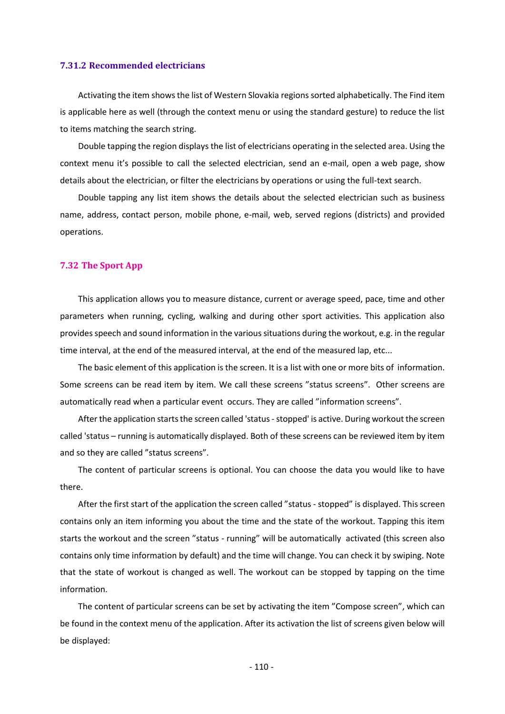#### **7.31.2 Recommended electricians**

Activating the item shows the list of Western Slovakia regions sorted alphabetically. The Find item is applicable here as well (through the context menu or using the standard gesture) to reduce the list to items matching the search string.

Double tapping the region displays the list of electricians operating in the selected area. Using the context menu it's possible to call the selected electrician, send an e-mail, open a web page, show details about the electrician, or filter the electricians by operations or using the full-text search.

Double tapping any list item shows the details about the selected electrician such as business name, address, contact person, mobile phone, e-mail, web, served regions (districts) and provided operations.

#### **7.32 The Sport App**

This application allows you to measure distance, current or average speed, pace, time and other parameters when running, cycling, walking and during other sport activities. This application also provides speech and sound information in the various situations during the workout, e.g. in the regular time interval, at the end of the measured interval, at the end of the measured lap, etc...

The basic element of this application is the screen. It is a list with one or more bits of information. Some screens can be read item by item. We call these screens "status screens". Other screens are automatically read when a particular event occurs. They are called "information screens".

After the application starts the screen called 'status-stopped' is active. During workout the screen called 'status – running is automatically displayed. Both of these screens can be reviewed item by item and so they are called "status screens".

The content of particular screens is optional. You can choose the data you would like to have there.

After the first start of the application the screen called "status - stopped" is displayed. This screen contains only an item informing you about the time and the state of the workout. Tapping this item starts the workout and the screen "status - running" will be automatically activated (this screen also contains only time information by default) and the time will change. You can check it by swiping. Note that the state of workout is changed as well. The workout can be stopped by tapping on the time information.

The content of particular screens can be set by activating the item "Compose screen", which can be found in the context menu of the application. After its activation the list of screens given below will be displayed:

- 110 -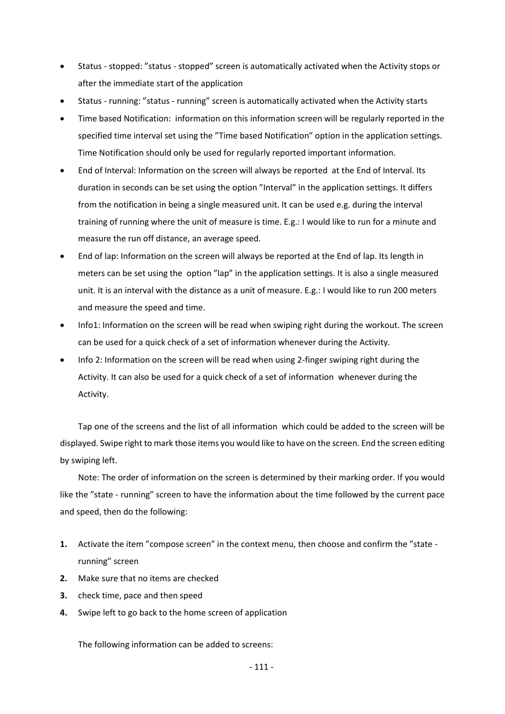- Status stopped: "status stopped" screen is automatically activated when the Activity stops or after the immediate start of the application
- Status running: "status running" screen is automatically activated when the Activity starts
- Time based Notification: information on this information screen will be regularly reported in the specified time interval set using the "Time based Notification" option in the application settings. Time Notification should only be used for regularly reported important information.
- End of Interval: Information on the screen will always be reported at the End of Interval. Its duration in seconds can be set using the option "Interval" in the application settings. It differs from the notification in being a single measured unit. It can be used e.g. during the interval training of running where the unit of measure is time. E.g.: I would like to run for a minute and measure the run off distance, an average speed.
- End of lap: Information on the screen will always be reported at the End of lap. Its length in meters can be set using the option "lap" in the application settings. It is also a single measured unit. It is an interval with the distance as a unit of measure. E.g.: I would like to run 200 meters and measure the speed and time.
- Info1: Information on the screen will be read when swiping right during the workout. The screen can be used for a quick check of a set of information whenever during the Activity.
- Info 2: Information on the screen will be read when using 2-finger swiping right during the Activity. It can also be used for a quick check of a set of information whenever during the Activity.

Tap one of the screens and the list of all information which could be added to the screen will be displayed. Swipe right to mark those items you would like to have on the screen. End the screen editing by swiping left.

Note: The order of information on the screen is determined by their marking order. If you would like the "state - running" screen to have the information about the time followed by the current pace and speed, then do the following:

- **1.** Activate the item "compose screen" in the context menu, then choose and confirm the "state running" screen
- **2.** Make sure that no items are checked
- **3.** check time, pace and then speed
- **4.** Swipe left to go back to the home screen of application

The following information can be added to screens: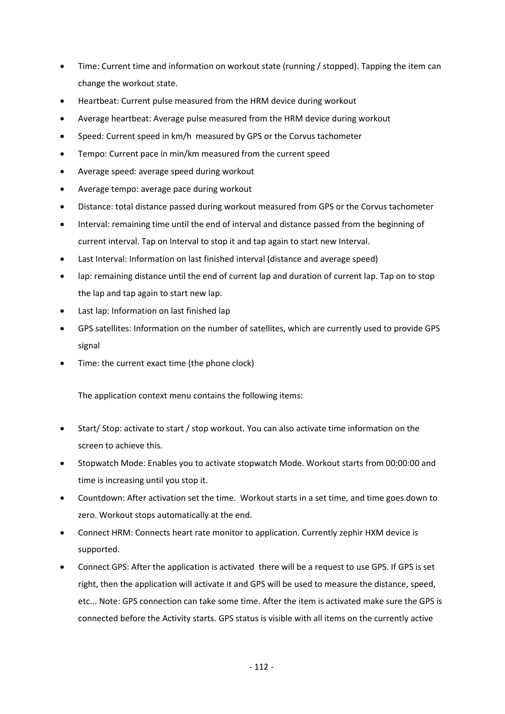- Time: Current time and information on workout state (running / stopped). Tapping the item can change the workout state.
- Heartbeat: Current pulse measured from the HRM device during workout
- Average heartbeat: Average pulse measured from the HRM device during workout
- Speed: Current speed in km/h measured by GPS or the Corvus tachometer
- Tempo: Current pace in min/km measured from the current speed
- Average speed: average speed during workout
- Average tempo: average pace during workout
- Distance: total distance passed during workout measured from GPS or the Corvus tachometer
- Interval: remaining time until the end of interval and distance passed from the beginning of current interval. Tap on Interval to stop it and tap again to start new Interval.
- Last Interval: Information on last finished interval (distance and average speed)
- lap: remaining distance until the end of current lap and duration of current lap. Tap on to stop the lap and tap again to start new lap.
- Last lap: Information on last finished lap
- GPS satellites: Information on the number of satellites, which are currently used to provide GPS signal
- Time: the current exact time (the phone clock)

The application context menu contains the following items:

- Start/ Stop: activate to start / stop workout. You can also activate time information on the screen to achieve this.
- Stopwatch Mode: Enables you to activate stopwatch Mode. Workout starts from 00:00:00 and time is increasing until you stop it.
- Countdown: After activation set the time. Workout starts in a set time, and time goes down to zero. Workout stops automatically at the end.
- Connect HRM: Connects heart rate monitor to application. Currently zephir HXM device is supported.
- Connect GPS: After the application is activated there will be a request to use GPS. If GPS is set right, then the application will activate it and GPS will be used to measure the distance, speed, etc... Note: GPS connection can take some time. After the item is activated make sure the GPS is connected before the Activity starts. GPS status is visible with all items on the currently active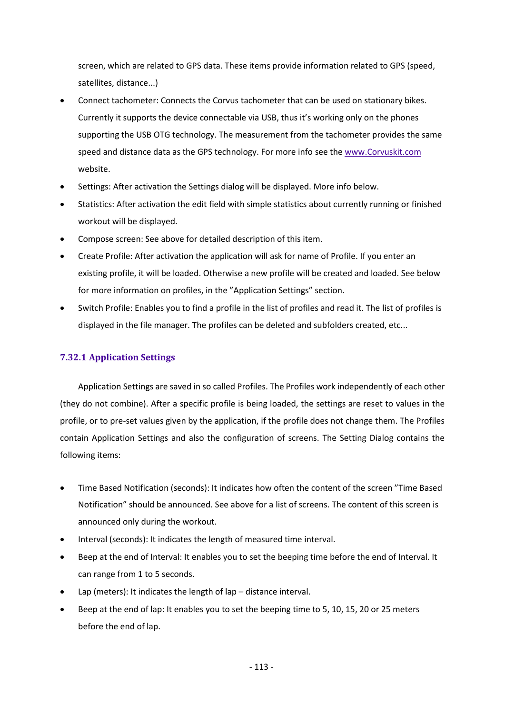screen, which are related to GPS data. These items provide information related to GPS (speed, satellites, distance...)

- Connect tachometer: Connects the Corvus tachometer that can be used on stationary bikes. Currently it supports the device connectable via USB, thus it's working only on the phones supporting the USB OTG technology. The measurement from the tachometer provides the same speed and distance data as the GPS technology. For more info see th[e www.Corvuskit.com](http://www.corvuskit.com/) website.
- Settings: After activation the Settings dialog will be displayed. More info below.
- Statistics: After activation the edit field with simple statistics about currently running or finished workout will be displayed.
- Compose screen: See above for detailed description of this item.
- Create Profile: After activation the application will ask for name of Profile. If you enter an existing profile, it will be loaded. Otherwise a new profile will be created and loaded. See below for more information on profiles, in the "Application Settings" section.
- Switch Profile: Enables you to find a profile in the list of profiles and read it. The list of profiles is displayed in the file manager. The profiles can be deleted and subfolders created, etc...

## **7.32.1 Application Settings**

Application Settings are saved in so called Profiles. The Profiles work independently of each other (they do not combine). After a specific profile is being loaded, the settings are reset to values in the profile, or to pre-set values given by the application, if the profile does not change them. The Profiles contain Application Settings and also the configuration of screens. The Setting Dialog contains the following items:

- Time Based Notification (seconds): It indicates how often the content of the screen "Time Based Notification" should be announced. See above for a list of screens. The content of this screen is announced only during the workout.
- Interval (seconds): It indicates the length of measured time interval.
- Beep at the end of Interval: It enables you to set the beeping time before the end of Interval. It can range from 1 to 5 seconds.
- Lap (meters): It indicates the length of lap distance interval.
- Beep at the end of lap: It enables you to set the beeping time to 5, 10, 15, 20 or 25 meters before the end of lap.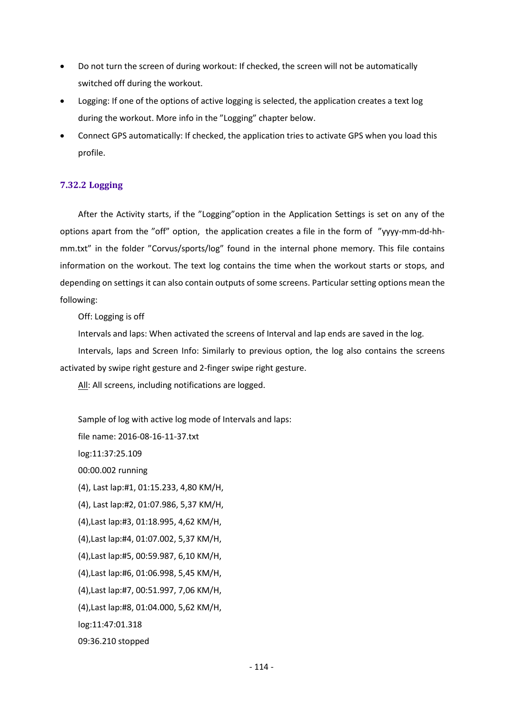- Do not turn the screen of during workout: If checked, the screen will not be automatically switched off during the workout.
- Logging: If one of the options of active logging is selected, the application creates a text log during the workout. More info in the "Logging" chapter below.
- Connect GPS automatically: If checked, the application tries to activate GPS when you load this profile.

## **7.32.2 Logging**

After the Activity starts, if the "Logging"option in the Application Settings is set on any of the options apart from the "off" option, the application creates a file in the form of "yyyy-mm-dd-hhmm.txt" in the folder "Corvus/sports/log" found in the internal phone memory. This file contains information on the workout. The text log contains the time when the workout starts or stops, and depending on settings it can also contain outputs of some screens. Particular setting options mean the following:

Off: Logging is off

Intervals and laps: When activated the screens of Interval and lap ends are saved in the log.

Intervals, laps and Screen Info: Similarly to previous option, the log also contains the screens activated by swipe right gesture and 2-finger swipe right gesture.

All: All screens, including notifications are logged.

Sample of log with active log mode of Intervals and laps: file name: 2016-08-16-11-37.txt log:11:37:25.109 00:00.002 running (4), Last lap:#1, 01:15.233, 4,80 KM/H, (4), Last lap:#2, 01:07.986, 5,37 KM/H, (4),Last lap:#3, 01:18.995, 4,62 KM/H, (4),Last lap:#4, 01:07.002, 5,37 KM/H, (4),Last lap:#5, 00:59.987, 6,10 KM/H, (4),Last lap:#6, 01:06.998, 5,45 KM/H, (4),Last lap:#7, 00:51.997, 7,06 KM/H, (4),Last lap:#8, 01:04.000, 5,62 KM/H, log:11:47:01.318 09:36.210 stopped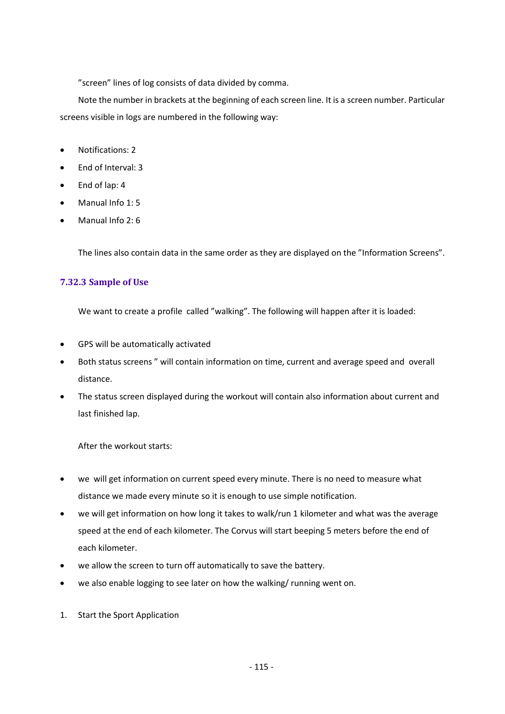"screen" lines of log consists of data divided by comma.

Note the number in brackets at the beginning of each screen line. It is a screen number. Particular screens visible in logs are numbered in the following way:

- Notifications: 2
- End of Interval: 3
- End of lap: 4
- Manual Info 1: 5
- Manual Info  $2.6$

The lines also contain data in the same order as they are displayed on the "Information Screens".

## **7.32.3 Sample of Use**

We want to create a profile called "walking". The following will happen after it is loaded:

- GPS will be automatically activated
- Both status screens " will contain information on time, current and average speed and overall distance.
- The status screen displayed during the workout will contain also information about current and last finished lap.

After the workout starts:

- we will get information on current speed every minute. There is no need to measure what distance we made every minute so it is enough to use simple notification.
- we will get information on how long it takes to walk/run 1 kilometer and what was the average speed at the end of each kilometer. The Corvus will start beeping 5 meters before the end of each kilometer.
- we allow the screen to turn off automatically to save the battery.
- we also enable logging to see later on how the walking/ running went on.
- 1. Start the Sport Application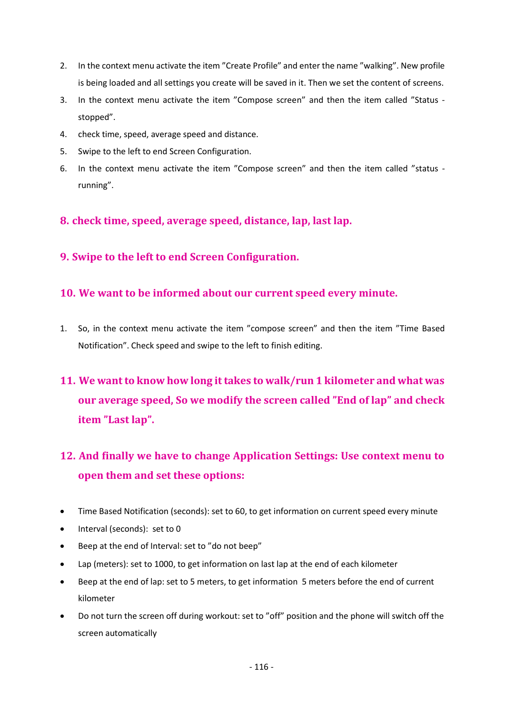- 2. In the context menu activate the item "Create Profile" and enter the name "walking". New profile is being loaded and all settings you create will be saved in it. Then we set the content of screens.
- 3. In the context menu activate the item "Compose screen" and then the item called "Status stopped".
- 4. check time, speed, average speed and distance.
- 5. Swipe to the left to end Screen Configuration.
- 6. In the context menu activate the item "Compose screen" and then the item called "status running".

**8. check time, speed, average speed, distance, lap, last lap.**

**9. Swipe to the left to end Screen Configuration.**

## **10. We want to be informed about our current speed every minute.**

- 1. So, in the context menu activate the item "compose screen" and then the item "Time Based Notification". Check speed and swipe to the left to finish editing.
- **11. We want to know how long it takes to walk/run 1 kilometer and what was our average speed, So we modify the screen called "End of lap" and check item "Last lap".**

# **12. And finally we have to change Application Settings: Use context menu to open them and set these options:**

- Time Based Notification (seconds): set to 60, to get information on current speed every minute
- Interval (seconds): set to 0
- Beep at the end of Interval: set to "do not beep"
- Lap (meters): set to 1000, to get information on last lap at the end of each kilometer
- Beep at the end of lap: set to 5 meters, to get information 5 meters before the end of current kilometer
- Do not turn the screen off during workout: set to "off" position and the phone will switch off the screen automatically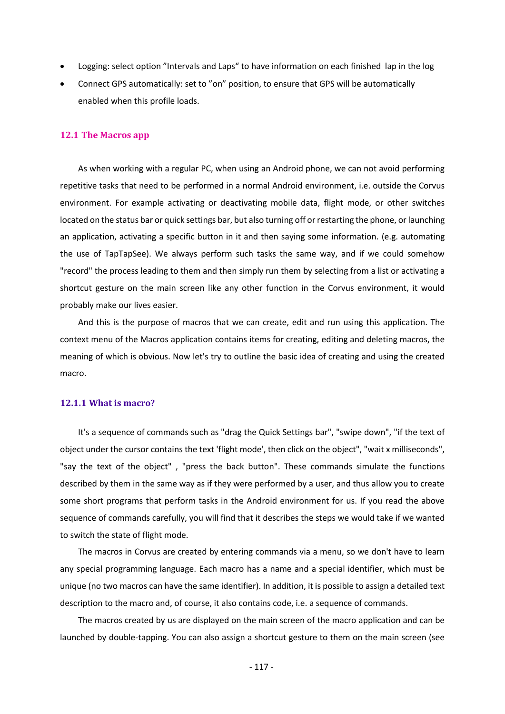- Logging: select option "Intervals and Laps" to have information on each finished lap in the log
- Connect GPS automatically: set to "on" position, to ensure that GPS will be automatically enabled when this profile loads.

#### **12.1 The Macros app**

As when working with a regular PC, when using an Android phone, we can not avoid performing repetitive tasks that need to be performed in a normal Android environment, i.e. outside the Corvus environment. For example activating or deactivating mobile data, flight mode, or other switches located on the status bar or quick settings bar, but also turning off or restarting the phone, or launching an application, activating a specific button in it and then saying some information. (e.g. automating the use of TapTapSee). We always perform such tasks the same way, and if we could somehow "record" the process leading to them and then simply run them by selecting from a list or activating a shortcut gesture on the main screen like any other function in the Corvus environment, it would probably make our lives easier.

And this is the purpose of macros that we can create, edit and run using this application. The context menu of the Macros application contains items for creating, editing and deleting macros, the meaning of which is obvious. Now let's try to outline the basic idea of creating and using the created macro.

#### **12.1.1 What is macro?**

It's a sequence of commands such as "drag the Quick Settings bar", "swipe down", "if the text of object under the cursor contains the text 'flight mode', then click on the object", "wait x milliseconds", "say the text of the object" , "press the back button". These commands simulate the functions described by them in the same way as if they were performed by a user, and thus allow you to create some short programs that perform tasks in the Android environment for us. If you read the above sequence of commands carefully, you will find that it describes the steps we would take if we wanted to switch the state of flight mode.

The macros in Corvus are created by entering commands via a menu, so we don't have to learn any special programming language. Each macro has a name and a special identifier, which must be unique (no two macros can have the same identifier). In addition, it is possible to assign a detailed text description to the macro and, of course, it also contains code, i.e. a sequence of commands.

The macros created by us are displayed on the main screen of the macro application and can be launched by double-tapping. You can also assign a shortcut gesture to them on the main screen (see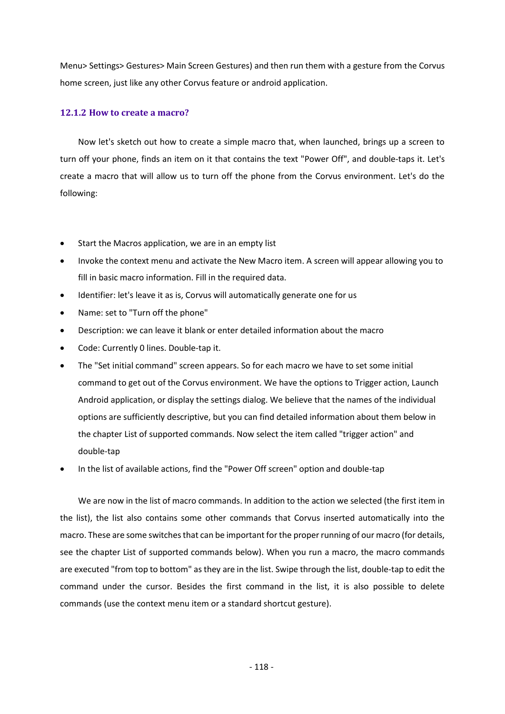Menu> Settings> Gestures> Main Screen Gestures) and then run them with a gesture from the Corvus home screen, just like any other Corvus feature or android application.

## **12.1.2 How to create a macro?**

Now let's sketch out how to create a simple macro that, when launched, brings up a screen to turn off your phone, finds an item on it that contains the text "Power Off", and double-taps it. Let's create a macro that will allow us to turn off the phone from the Corvus environment. Let's do the following:

- Start the Macros application, we are in an empty list
- Invoke the context menu and activate the New Macro item. A screen will appear allowing you to fill in basic macro information. Fill in the required data.
- Identifier: let's leave it as is, Corvus will automatically generate one for us
- Name: set to "Turn off the phone"
- Description: we can leave it blank or enter detailed information about the macro
- Code: Currently 0 lines. Double-tap it.
- The "Set initial command" screen appears. So for each macro we have to set some initial command to get out of the Corvus environment. We have the options to Trigger action, Launch Android application, or display the settings dialog. We believe that the names of the individual options are sufficiently descriptive, but you can find detailed information about them below in the chapter List of supported commands. Now select the item called "trigger action" and double-tap
- In the list of available actions, find the "Power Off screen" option and double-tap

We are now in the list of macro commands. In addition to the action we selected (the first item in the list), the list also contains some other commands that Corvus inserted automatically into the macro. These are some switches that can be important for the proper running of our macro (for details, see the chapter List of supported commands below). When you run a macro, the macro commands are executed "from top to bottom" as they are in the list. Swipe through the list, double-tap to edit the command under the cursor. Besides the first command in the list, it is also possible to delete commands (use the context menu item or a standard shortcut gesture).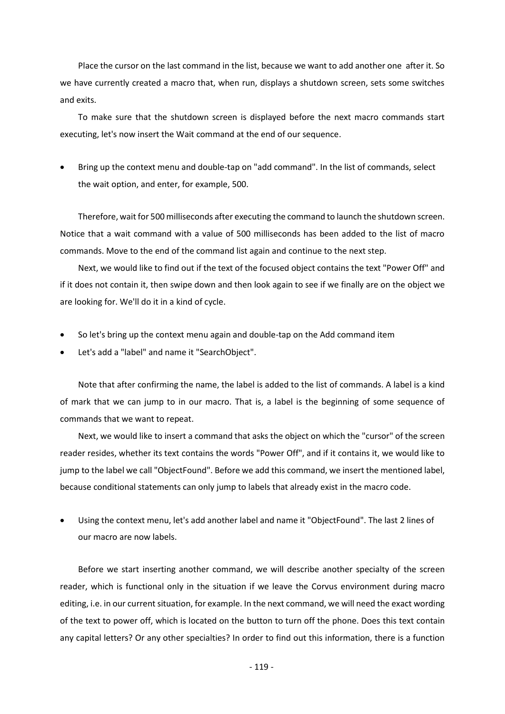Place the cursor on the last command in the list, because we want to add another one after it. So we have currently created a macro that, when run, displays a shutdown screen, sets some switches and exits.

To make sure that the shutdown screen is displayed before the next macro commands start executing, let's now insert the Wait command at the end of our sequence.

• Bring up the context menu and double-tap on "add command". In the list of commands, select the wait option, and enter, for example, 500.

Therefore, wait for 500 milliseconds after executing the command to launch the shutdown screen. Notice that a wait command with a value of 500 milliseconds has been added to the list of macro commands. Move to the end of the command list again and continue to the next step.

Next, we would like to find out if the text of the focused object contains the text "Power Off" and if it does not contain it, then swipe down and then look again to see if we finally are on the object we are looking for. We'll do it in a kind of cycle.

- So let's bring up the context menu again and double-tap on the Add command item
- Let's add a "label" and name it "SearchObject".

Note that after confirming the name, the label is added to the list of commands. A label is a kind of mark that we can jump to in our macro. That is, a label is the beginning of some sequence of commands that we want to repeat.

Next, we would like to insert a command that asks the object on which the "cursor" of the screen reader resides, whether its text contains the words "Power Off", and if it contains it, we would like to jump to the label we call "ObjectFound". Before we add this command, we insert the mentioned label, because conditional statements can only jump to labels that already exist in the macro code.

• Using the context menu, let's add another label and name it "ObjectFound". The last 2 lines of our macro are now labels.

Before we start inserting another command, we will describe another specialty of the screen reader, which is functional only in the situation if we leave the Corvus environment during macro editing, i.e. in our current situation, for example. In the next command, we will need the exact wording of the text to power off, which is located on the button to turn off the phone. Does this text contain any capital letters? Or any other specialties? In order to find out this information, there is a function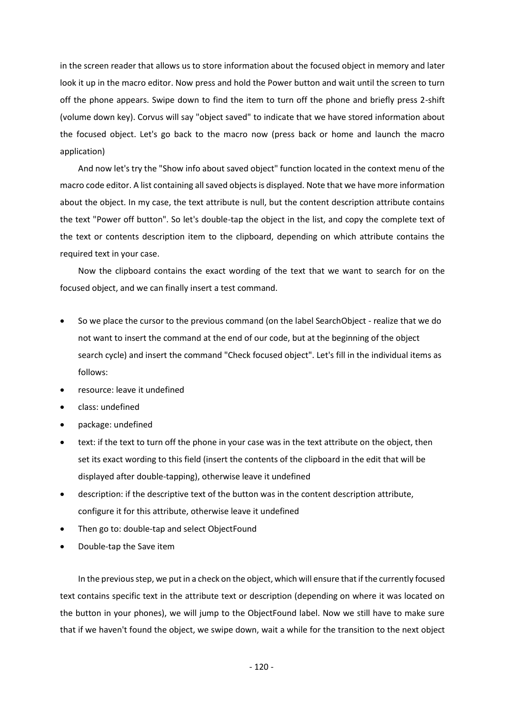in the screen reader that allows us to store information about the focused object in memory and later look it up in the macro editor. Now press and hold the Power button and wait until the screen to turn off the phone appears. Swipe down to find the item to turn off the phone and briefly press 2-shift (volume down key). Corvus will say "object saved" to indicate that we have stored information about the focused object. Let's go back to the macro now (press back or home and launch the macro application)

And now let's try the "Show info about saved object" function located in the context menu of the macro code editor. A list containing all saved objects is displayed. Note that we have more information about the object. In my case, the text attribute is null, but the content description attribute contains the text "Power off button". So let's double-tap the object in the list, and copy the complete text of the text or contents description item to the clipboard, depending on which attribute contains the required text in your case.

Now the clipboard contains the exact wording of the text that we want to search for on the focused object, and we can finally insert a test command.

- So we place the cursor to the previous command (on the label SearchObject realize that we do not want to insert the command at the end of our code, but at the beginning of the object search cycle) and insert the command "Check focused object". Let's fill in the individual items as follows:
- resource: leave it undefined
- class: undefined
- package: undefined
- text: if the text to turn off the phone in your case was in the text attribute on the object, then set its exact wording to this field (insert the contents of the clipboard in the edit that will be displayed after double-tapping), otherwise leave it undefined
- description: if the descriptive text of the button was in the content description attribute, configure it for this attribute, otherwise leave it undefined
- Then go to: double-tap and select ObjectFound
- Double-tap the Save item

In the previous step, we put in a check on the object, which will ensure that if the currently focused text contains specific text in the attribute text or description (depending on where it was located on the button in your phones), we will jump to the ObjectFound label. Now we still have to make sure that if we haven't found the object, we swipe down, wait a while for the transition to the next object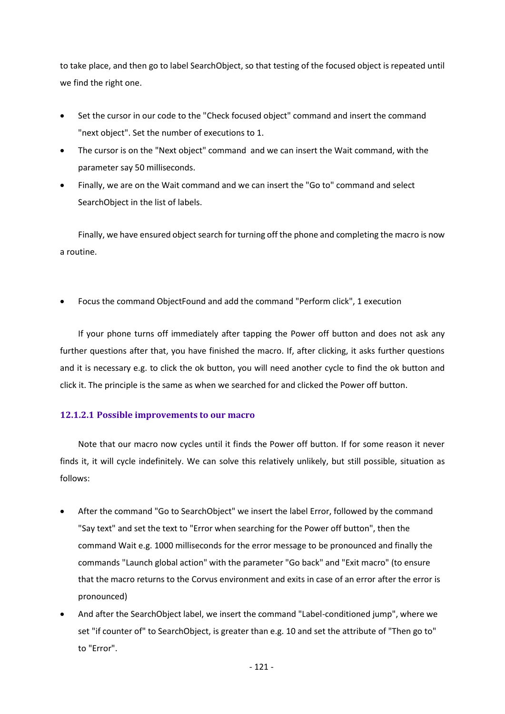to take place, and then go to label SearchObject, so that testing of the focused object is repeated until we find the right one.

- Set the cursor in our code to the "Check focused object" command and insert the command "next object". Set the number of executions to 1.
- The cursor is on the "Next object" command and we can insert the Wait command, with the parameter say 50 milliseconds.
- Finally, we are on the Wait command and we can insert the "Go to" command and select SearchObject in the list of labels.

Finally, we have ensured object search for turning off the phone and completing the macro is now a routine.

• Focus the command ObjectFound and add the command "Perform click", 1 execution

If your phone turns off immediately after tapping the Power off button and does not ask any further questions after that, you have finished the macro. If, after clicking, it asks further questions and it is necessary e.g. to click the ok button, you will need another cycle to find the ok button and click it. The principle is the same as when we searched for and clicked the Power off button.

## **12.1.2.1 Possible improvements to our macro**

Note that our macro now cycles until it finds the Power off button. If for some reason it never finds it, it will cycle indefinitely. We can solve this relatively unlikely, but still possible, situation as follows:

- After the command "Go to SearchObject" we insert the label Error, followed by the command "Say text" and set the text to "Error when searching for the Power off button", then the command Wait e.g. 1000 milliseconds for the error message to be pronounced and finally the commands "Launch global action" with the parameter "Go back" and "Exit macro" (to ensure that the macro returns to the Corvus environment and exits in case of an error after the error is pronounced)
- And after the SearchObject label, we insert the command "Label-conditioned jump", where we set "if counter of" to SearchObject, is greater than e.g. 10 and set the attribute of "Then go to" to "Error".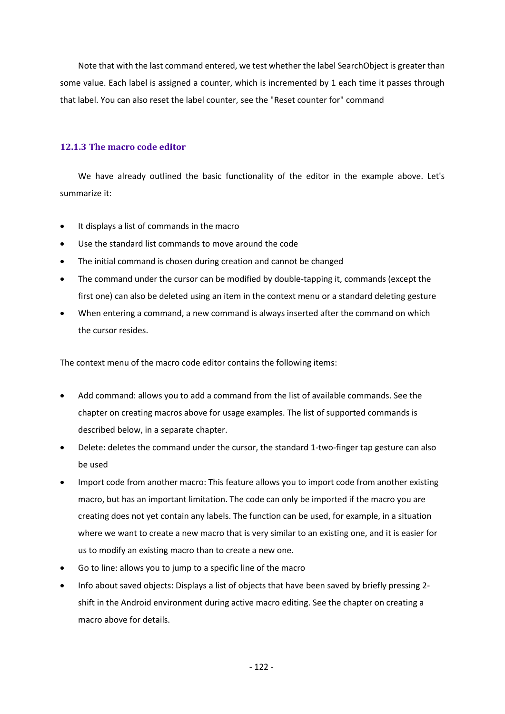Note that with the last command entered, we test whether the label SearchObject is greater than some value. Each label is assigned a counter, which is incremented by 1 each time it passes through that label. You can also reset the label counter, see the "Reset counter for" command

#### **12.1.3 The macro code editor**

We have already outlined the basic functionality of the editor in the example above. Let's summarize it:

- It displays a list of commands in the macro
- Use the standard list commands to move around the code
- The initial command is chosen during creation and cannot be changed
- The command under the cursor can be modified by double-tapping it, commands (except the first one) can also be deleted using an item in the context menu or a standard deleting gesture
- When entering a command, a new command is always inserted after the command on which the cursor resides.

The context menu of the macro code editor contains the following items:

- Add command: allows you to add a command from the list of available commands. See the chapter on creating macros above for usage examples. The list of supported commands is described below, in a separate chapter.
- Delete: deletes the command under the cursor, the standard 1-two-finger tap gesture can also be used
- Import code from another macro: This feature allows you to import code from another existing macro, but has an important limitation. The code can only be imported if the macro you are creating does not yet contain any labels. The function can be used, for example, in a situation where we want to create a new macro that is very similar to an existing one, and it is easier for us to modify an existing macro than to create a new one.
- Go to line: allows you to jump to a specific line of the macro
- Info about saved objects: Displays a list of objects that have been saved by briefly pressing 2 shift in the Android environment during active macro editing. See the chapter on creating a macro above for details.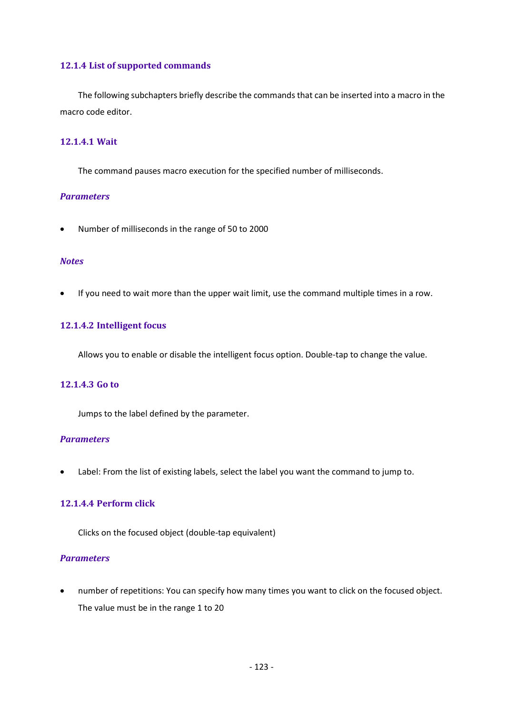## **12.1.4 List of supported commands**

The following subchapters briefly describe the commands that can be inserted into a macro in the macro code editor.

#### **12.1.4.1 Wait**

The command pauses macro execution for the specified number of milliseconds.

#### *Parameters*

• Number of milliseconds in the range of 50 to 2000

#### *Notes*

• If you need to wait more than the upper wait limit, use the command multiple times in a row.

## **12.1.4.2 Intelligent focus**

Allows you to enable or disable the intelligent focus option. Double-tap to change the value.

## **12.1.4.3 Go to**

Jumps to the label defined by the parameter.

#### *Parameters*

• Label: From the list of existing labels, select the label you want the command to jump to.

#### **12.1.4.4 Perform click**

Clicks on the focused object (double-tap equivalent)

#### *Parameters*

• number of repetitions: You can specify how many times you want to click on the focused object. The value must be in the range 1 to 20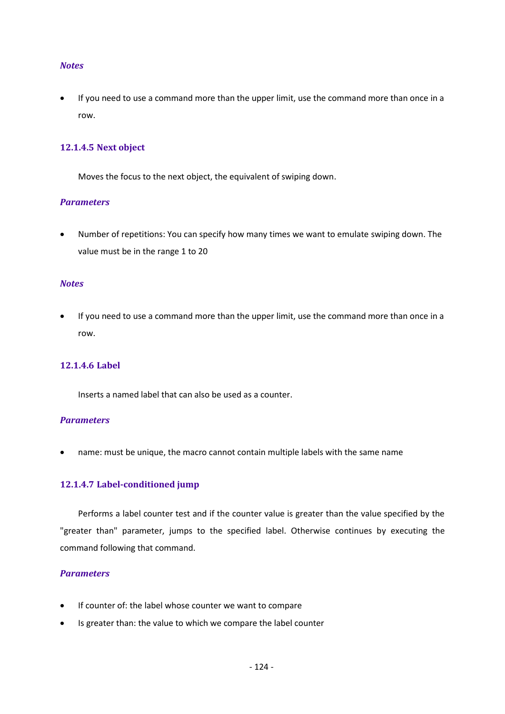#### *Notes*

If you need to use a command more than the upper limit, use the command more than once in a row.

#### **12.1.4.5 Next object**

Moves the focus to the next object, the equivalent of swiping down.

#### *Parameters*

• Number of repetitions: You can specify how many times we want to emulate swiping down. The value must be in the range 1 to 20

#### *Notes*

• If you need to use a command more than the upper limit, use the command more than once in a row.

#### **12.1.4.6 Label**

Inserts a named label that can also be used as a counter.

#### *Parameters*

• name: must be unique, the macro cannot contain multiple labels with the same name

#### **12.1.4.7 Label-conditioned jump**

Performs a label counter test and if the counter value is greater than the value specified by the "greater than" parameter, jumps to the specified label. Otherwise continues by executing the command following that command.

#### *Parameters*

- If counter of: the label whose counter we want to compare
- Is greater than: the value to which we compare the label counter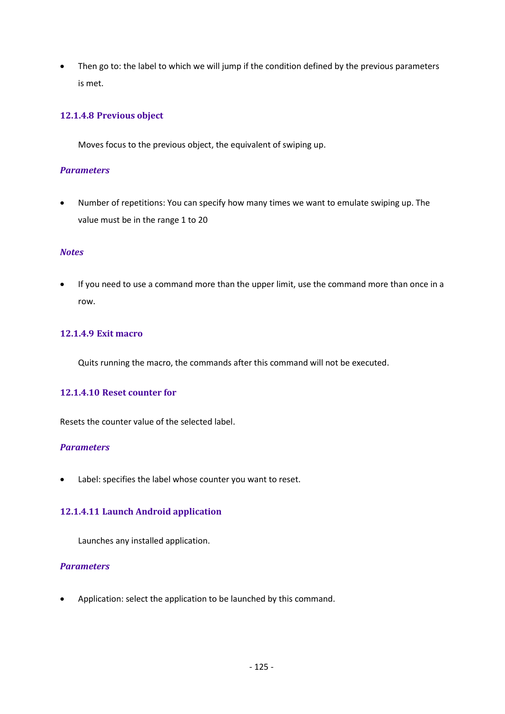• Then go to: the label to which we will jump if the condition defined by the previous parameters is met.

## **12.1.4.8 Previous object**

Moves focus to the previous object, the equivalent of swiping up.

## *Parameters*

• Number of repetitions: You can specify how many times we want to emulate swiping up. The value must be in the range 1 to 20

## *Notes*

• If you need to use a command more than the upper limit, use the command more than once in a row.

## **12.1.4.9 Exit macro**

Quits running the macro, the commands after this command will not be executed.

## **12.1.4.10 Reset counter for**

Resets the counter value of the selected label.

## *Parameters*

Label: specifies the label whose counter you want to reset.

## **12.1.4.11 Launch Android application**

Launches any installed application.

## *Parameters*

• Application: select the application to be launched by this command.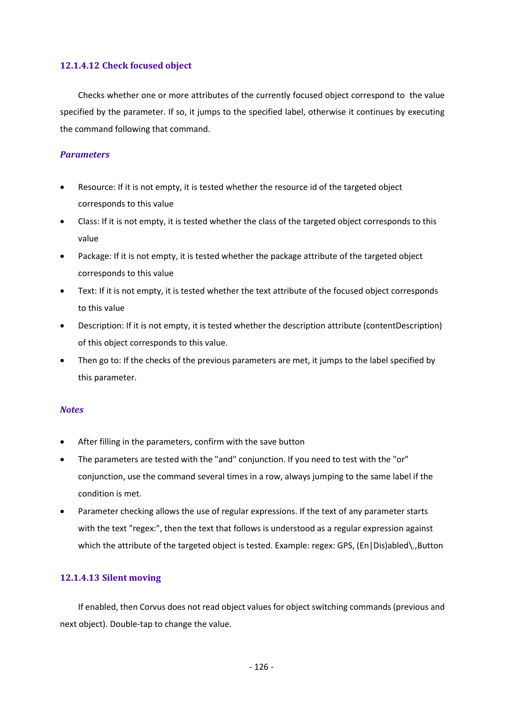## **12.1.4.12 Check focused object**

Checks whether one or more attributes of the currently focused object correspond to the value specified by the parameter. If so, it jumps to the specified label, otherwise it continues by executing the command following that command.

#### *Parameters*

- Resource: If it is not empty, it is tested whether the resource id of the targeted object corresponds to this value
- Class: If it is not empty, it is tested whether the class of the targeted object corresponds to this value
- Package: If it is not empty, it is tested whether the package attribute of the targeted object corresponds to this value
- Text: If it is not empty, it is tested whether the text attribute of the focused object corresponds to this value
- Description: If it is not empty, it is tested whether the description attribute (contentDescription) of this object corresponds to this value.
- Then go to: If the checks of the previous parameters are met, it jumps to the label specified by this parameter.

#### *Notes*

- After filling in the parameters, confirm with the save button
- The parameters are tested with the "and" conjunction. If you need to test with the "or" conjunction, use the command several times in a row, always jumping to the same label if the condition is met.
- Parameter checking allows the use of regular expressions. If the text of any parameter starts with the text "regex:", then the text that follows is understood as a regular expression against which the attribute of the targeted object is tested. Example: regex: GPS, (En|Dis)abled\.,Button

## **12.1.4.13 Silent moving**

If enabled, then Corvus does not read object values for object switching commands (previous and next object). Double-tap to change the value.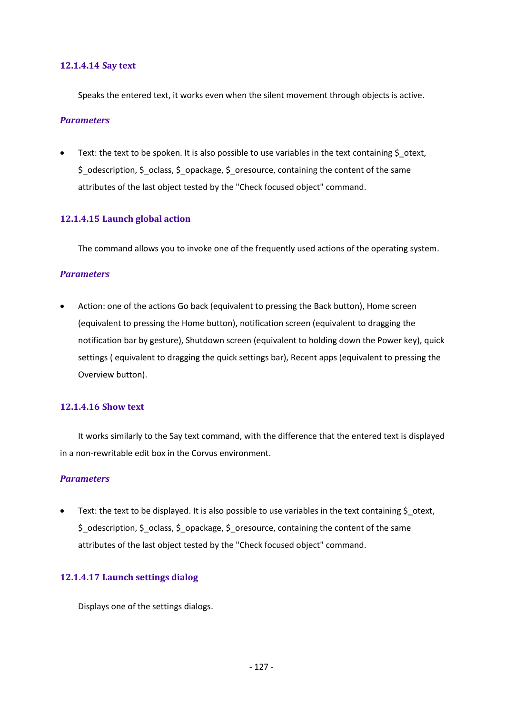#### **12.1.4.14 Say text**

Speaks the entered text, it works even when the silent movement through objects is active.

#### *Parameters*

• Text: the text to be spoken. It is also possible to use variables in the text containing \$ otext, \$\_odescription, \$\_oclass, \$\_opackage, \$\_oresource, containing the content of the same attributes of the last object tested by the "Check focused object" command.

#### **12.1.4.15 Launch global action**

The command allows you to invoke one of the frequently used actions of the operating system.

#### *Parameters*

• Action: one of the actions Go back (equivalent to pressing the Back button), Home screen (equivalent to pressing the Home button), notification screen (equivalent to dragging the notification bar by gesture), Shutdown screen (equivalent to holding down the Power key), quick settings ( equivalent to dragging the quick settings bar), Recent apps (equivalent to pressing the Overview button).

#### **12.1.4.16 Show text**

It works similarly to the Say text command, with the difference that the entered text is displayed in a non-rewritable edit box in the Corvus environment.

#### *Parameters*

Text: the text to be displayed. It is also possible to use variables in the text containing  $\zeta$  otext,  $$$  odescription,  $$$  oclass,  $$$  opackage,  $$$  oresource, containing the content of the same attributes of the last object tested by the "Check focused object" command.

## **12.1.4.17 Launch settings dialog**

Displays one of the settings dialogs.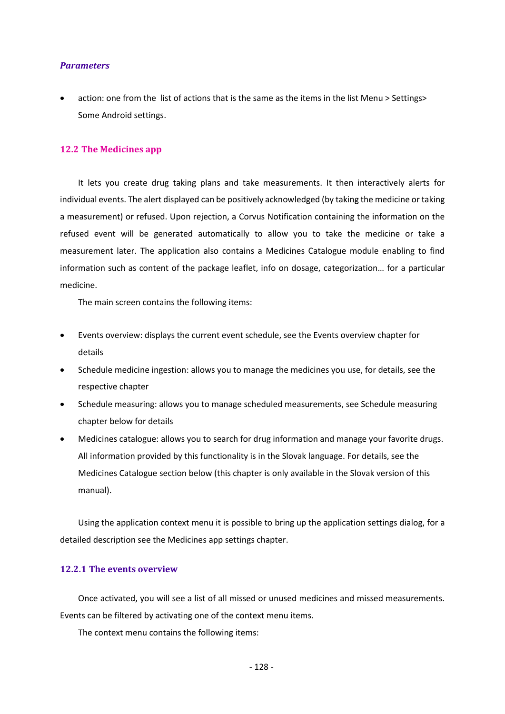#### *Parameters*

• action: one from the list of actions that is the same as the items in the list Menu > Settings> Some Android settings.

#### **12.2 The Medicines app**

It lets you create drug taking plans and take measurements. It then interactively alerts for individual events. The alert displayed can be positively acknowledged (by taking the medicine or taking a measurement) or refused. Upon rejection, a Corvus Notification containing the information on the refused event will be generated automatically to allow you to take the medicine or take a measurement later. The application also contains a Medicines Catalogue module enabling to find information such as content of the package leaflet, info on dosage, categorization… for a particular medicine.

The main screen contains the following items:

- Events overview: displays the current event schedule, see the Events overview chapter for details
- Schedule medicine ingestion: allows you to manage the medicines you use, for details, see the respective chapter
- Schedule measuring: allows you to manage scheduled measurements, see Schedule measuring chapter below for details
- Medicines catalogue: allows you to search for drug information and manage your favorite drugs. All information provided by this functionality is in the Slovak language. For details, see the Medicines Catalogue section below (this chapter is only available in the Slovak version of this manual).

Using the application context menu it is possible to bring up the application settings dialog, for a detailed description see the Medicines app settings chapter.

#### **12.2.1 The events overview**

Once activated, you will see a list of all missed or unused medicines and missed measurements. Events can be filtered by activating one of the context menu items.

The context menu contains the following items: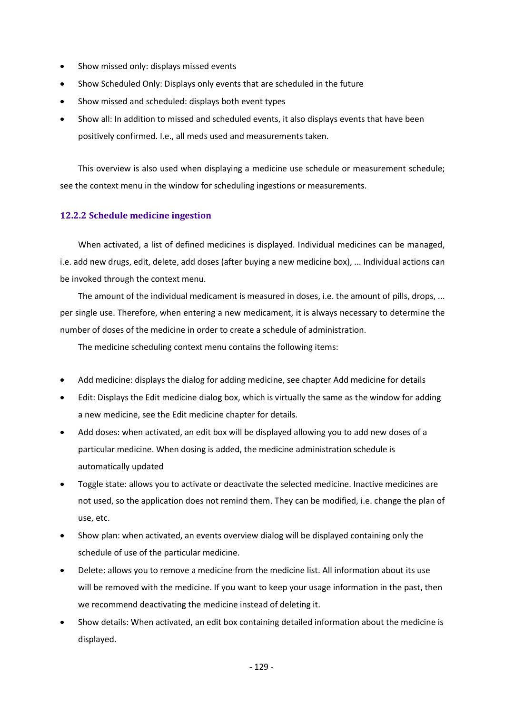- Show missed only: displays missed events
- Show Scheduled Only: Displays only events that are scheduled in the future
- Show missed and scheduled: displays both event types
- Show all: In addition to missed and scheduled events, it also displays events that have been positively confirmed. I.e., all meds used and measurements taken.

This overview is also used when displaying a medicine use schedule or measurement schedule; see the context menu in the window for scheduling ingestions or measurements.

#### **12.2.2 Schedule medicine ingestion**

When activated, a list of defined medicines is displayed. Individual medicines can be managed, i.e. add new drugs, edit, delete, add doses (after buying a new medicine box), ... Individual actions can be invoked through the context menu.

The amount of the individual medicament is measured in doses, i.e. the amount of pills, drops, ... per single use. Therefore, when entering a new medicament, it is always necessary to determine the number of doses of the medicine in order to create a schedule of administration.

The medicine scheduling context menu contains the following items:

- Add medicine: displays the dialog for adding medicine, see chapter Add medicine for details
- Edit: Displays the Edit medicine dialog box, which is virtually the same as the window for adding a new medicine, see the Edit medicine chapter for details.
- Add doses: when activated, an edit box will be displayed allowing you to add new doses of a particular medicine. When dosing is added, the medicine administration schedule is automatically updated
- Toggle state: allows you to activate or deactivate the selected medicine. Inactive medicines are not used, so the application does not remind them. They can be modified, i.e. change the plan of use, etc.
- Show plan: when activated, an events overview dialog will be displayed containing only the schedule of use of the particular medicine.
- Delete: allows you to remove a medicine from the medicine list. All information about its use will be removed with the medicine. If you want to keep your usage information in the past, then we recommend deactivating the medicine instead of deleting it.
- Show details: When activated, an edit box containing detailed information about the medicine is displayed.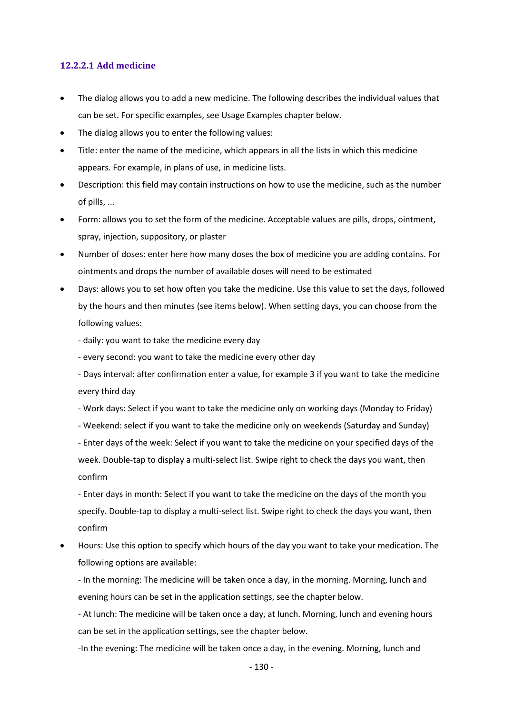## **12.2.2.1 Add medicine**

- The dialog allows you to add a new medicine. The following describes the individual values that can be set. For specific examples, see Usage Examples chapter below.
- The dialog allows you to enter the following values:
- Title: enter the name of the medicine, which appears in all the lists in which this medicine appears. For example, in plans of use, in medicine lists.
- Description: this field may contain instructions on how to use the medicine, such as the number of pills, ...
- Form: allows you to set the form of the medicine. Acceptable values are pills, drops, ointment, spray, injection, suppository, or plaster
- Number of doses: enter here how many doses the box of medicine you are adding contains. For ointments and drops the number of available doses will need to be estimated
- Days: allows you to set how often you take the medicine. Use this value to set the days, followed by the hours and then minutes (see items below). When setting days, you can choose from the following values:
	- daily: you want to take the medicine every day
	- every second: you want to take the medicine every other day
	- Days interval: after confirmation enter a value, for example 3 if you want to take the medicine every third day
	- Work days: Select if you want to take the medicine only on working days (Monday to Friday)
	- Weekend: select if you want to take the medicine only on weekends (Saturday and Sunday)

- Enter days of the week: Select if you want to take the medicine on your specified days of the week. Double-tap to display a multi-select list. Swipe right to check the days you want, then confirm

- Enter days in month: Select if you want to take the medicine on the days of the month you specify. Double-tap to display a multi-select list. Swipe right to check the days you want, then confirm

• Hours: Use this option to specify which hours of the day you want to take your medication. The following options are available:

- In the morning: The medicine will be taken once a day, in the morning. Morning, lunch and evening hours can be set in the application settings, see the chapter below.

- At lunch: The medicine will be taken once a day, at lunch. Morning, lunch and evening hours can be set in the application settings, see the chapter below.

-In the evening: The medicine will be taken once a day, in the evening. Morning, lunch and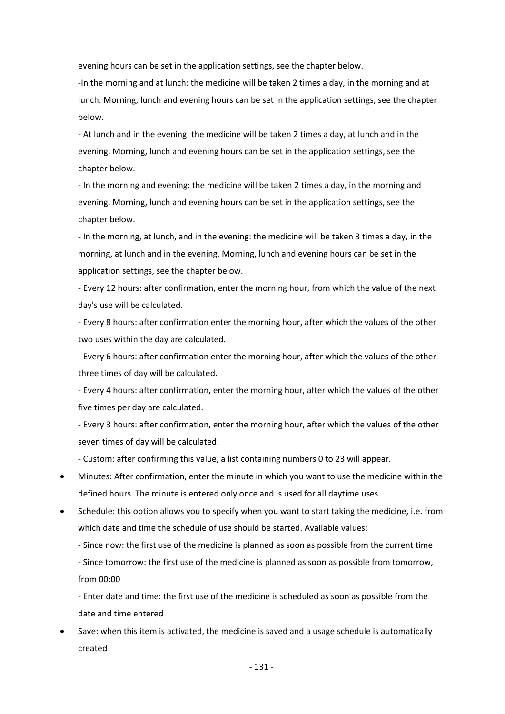evening hours can be set in the application settings, see the chapter below.

-In the morning and at lunch: the medicine will be taken 2 times a day, in the morning and at lunch. Morning, lunch and evening hours can be set in the application settings, see the chapter below.

- At lunch and in the evening: the medicine will be taken 2 times a day, at lunch and in the evening. Morning, lunch and evening hours can be set in the application settings, see the chapter below.

- In the morning and evening: the medicine will be taken 2 times a day, in the morning and evening. Morning, lunch and evening hours can be set in the application settings, see the chapter below.

- In the morning, at lunch, and in the evening: the medicine will be taken 3 times a day, in the morning, at lunch and in the evening. Morning, lunch and evening hours can be set in the application settings, see the chapter below.

- Every 12 hours: after confirmation, enter the morning hour, from which the value of the next day's use will be calculated.

- Every 8 hours: after confirmation enter the morning hour, after which the values of the other two uses within the day are calculated.

- Every 6 hours: after confirmation enter the morning hour, after which the values of the other three times of day will be calculated.

- Every 4 hours: after confirmation, enter the morning hour, after which the values of the other five times per day are calculated.

- Every 3 hours: after confirmation, enter the morning hour, after which the values of the other seven times of day will be calculated.

- Custom: after confirming this value, a list containing numbers 0 to 23 will appear.

- Minutes: After confirmation, enter the minute in which you want to use the medicine within the defined hours. The minute is entered only once and is used for all daytime uses.
- Schedule: this option allows you to specify when you want to start taking the medicine, i.e. from which date and time the schedule of use should be started. Available values:
	- Since now: the first use of the medicine is planned as soon as possible from the current time

- Since tomorrow: the first use of the medicine is planned as soon as possible from tomorrow, from 00:00

- Enter date and time: the first use of the medicine is scheduled as soon as possible from the date and time entered

• Save: when this item is activated, the medicine is saved and a usage schedule is automatically created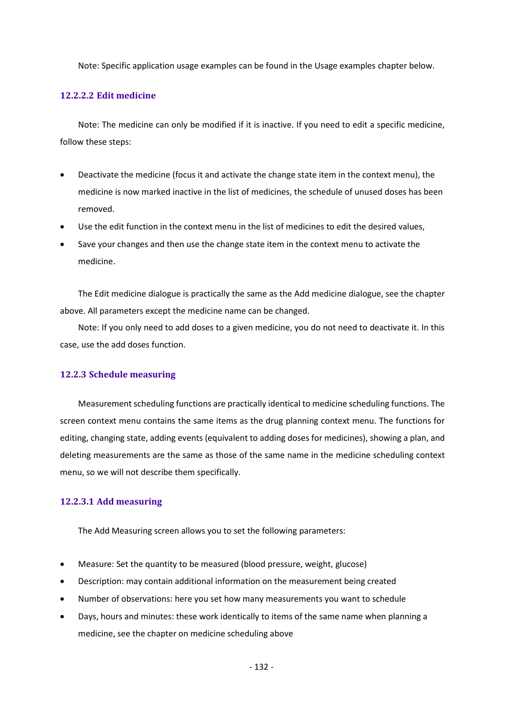Note: Specific application usage examples can be found in the Usage examples chapter below.

#### **12.2.2.2 Edit medicine**

Note: The medicine can only be modified if it is inactive. If you need to edit a specific medicine, follow these steps:

- Deactivate the medicine (focus it and activate the change state item in the context menu), the medicine is now marked inactive in the list of medicines, the schedule of unused doses has been removed.
- Use the edit function in the context menu in the list of medicines to edit the desired values,
- Save your changes and then use the change state item in the context menu to activate the medicine.

The Edit medicine dialogue is practically the same as the Add medicine dialogue, see the chapter above. All parameters except the medicine name can be changed.

Note: If you only need to add doses to a given medicine, you do not need to deactivate it. In this case, use the add doses function.

#### **12.2.3 Schedule measuring**

Measurement scheduling functions are practically identical to medicine scheduling functions. The screen context menu contains the same items as the drug planning context menu. The functions for editing, changing state, adding events (equivalent to adding doses for medicines), showing a plan, and deleting measurements are the same as those of the same name in the medicine scheduling context menu, so we will not describe them specifically.

#### **12.2.3.1 Add measuring**

The Add Measuring screen allows you to set the following parameters:

- Measure: Set the quantity to be measured (blood pressure, weight, glucose)
- Description: may contain additional information on the measurement being created
- Number of observations: here you set how many measurements you want to schedule
- Days, hours and minutes: these work identically to items of the same name when planning a medicine, see the chapter on medicine scheduling above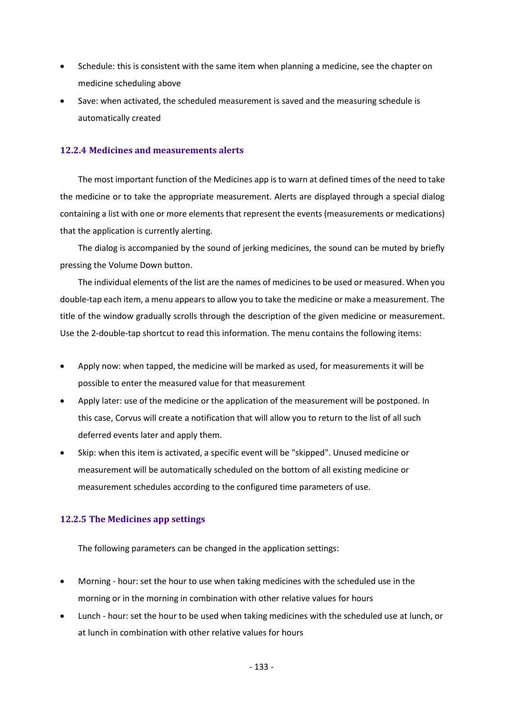- Schedule: this is consistent with the same item when planning a medicine, see the chapter on medicine scheduling above
- Save: when activated, the scheduled measurement is saved and the measuring schedule is automatically created

## **12.2.4 Medicines and measurements alerts**

The most important function of the Medicines app is to warn at defined times of the need to take the medicine or to take the appropriate measurement. Alerts are displayed through a special dialog containing a list with one or more elements that represent the events (measurements or medications) that the application is currently alerting.

The dialog is accompanied by the sound of jerking medicines, the sound can be muted by briefly pressing the Volume Down button.

The individual elements of the list are the names of medicines to be used or measured. When you double-tap each item, a menu appears to allow you to take the medicine or make a measurement. The title of the window gradually scrolls through the description of the given medicine or measurement. Use the 2-double-tap shortcut to read this information. The menu contains the following items:

- Apply now: when tapped, the medicine will be marked as used, for measurements it will be possible to enter the measured value for that measurement
- Apply later: use of the medicine or the application of the measurement will be postponed. In this case, Corvus will create a notification that will allow you to return to the list of all such deferred events later and apply them.
- Skip: when this item is activated, a specific event will be "skipped". Unused medicine or measurement will be automatically scheduled on the bottom of all existing medicine or measurement schedules according to the configured time parameters of use.

## **12.2.5 The Medicines app settings**

The following parameters can be changed in the application settings:

- Morning hour: set the hour to use when taking medicines with the scheduled use in the morning or in the morning in combination with other relative values for hours
- Lunch hour: set the hour to be used when taking medicines with the scheduled use at lunch, or at lunch in combination with other relative values for hours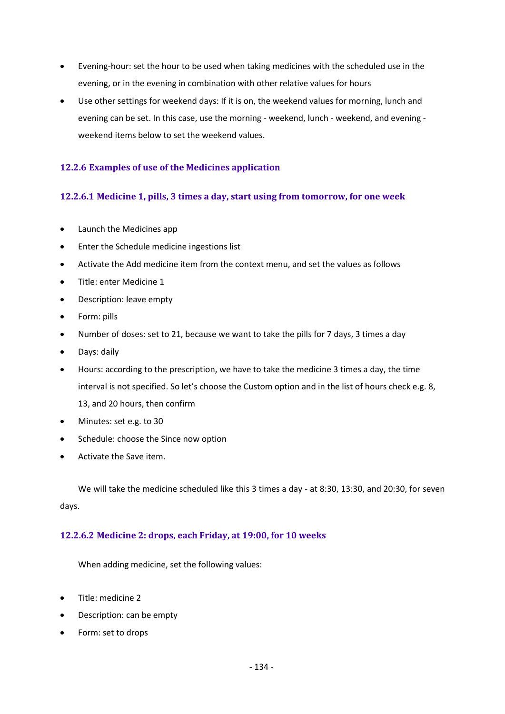- Evening-hour: set the hour to be used when taking medicines with the scheduled use in the evening, or in the evening in combination with other relative values for hours
- Use other settings for weekend days: If it is on, the weekend values for morning, lunch and evening can be set. In this case, use the morning - weekend, lunch - weekend, and evening weekend items below to set the weekend values.

## **12.2.6 Examples of use of the Medicines application**

## **12.2.6.1 Medicine 1, pills, 3 times a day, start using from tomorrow, for one week**

- Launch the Medicines app
- Enter the Schedule medicine ingestions list
- Activate the Add medicine item from the context menu, and set the values as follows
- Title: enter Medicine 1
- Description: leave empty
- Form: pills
- Number of doses: set to 21, because we want to take the pills for 7 days, 3 times a day
- Days: daily
- Hours: according to the prescription, we have to take the medicine 3 times a day, the time interval is not specified. So let's choose the Custom option and in the list of hours check e.g. 8, 13, and 20 hours, then confirm
- Minutes: set e.g. to 30
- Schedule: choose the Since now option
- Activate the Save item.

We will take the medicine scheduled like this 3 times a day - at 8:30, 13:30, and 20:30, for seven days.

#### **12.2.6.2 Medicine 2: drops, each Friday, at 19:00, for 10 weeks**

When adding medicine, set the following values:

- Title: medicine 2
- Description: can be empty
- Form: set to drops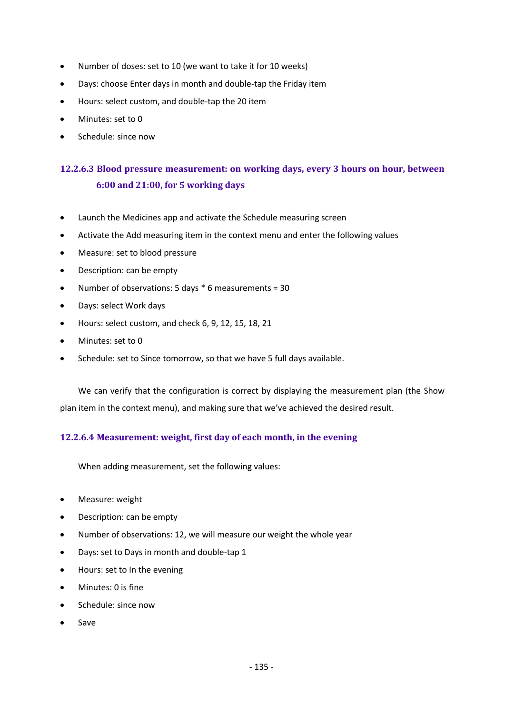- Number of doses: set to 10 (we want to take it for 10 weeks)
- Days: choose Enter days in month and double-tap the Friday item
- Hours: select custom, and double-tap the 20 item
- Minutes: set to 0
- Schedule: since now

# **12.2.6.3 Blood pressure measurement: on working days, every 3 hours on hour, between 6:00 and 21:00, for 5 working days**

- Launch the Medicines app and activate the Schedule measuring screen
- Activate the Add measuring item in the context menu and enter the following values
- Measure: set to blood pressure
- Description: can be empty
- Number of observations: 5 days \* 6 measurements = 30
- Days: select Work days
- Hours: select custom, and check 6, 9, 12, 15, 18, 21
- Minutes: set to 0
- Schedule: set to Since tomorrow, so that we have 5 full days available.

We can verify that the configuration is correct by displaying the measurement plan (the Show plan item in the context menu), and making sure that we've achieved the desired result.

## **12.2.6.4 Measurement: weight, first day of each month, in the evening**

When adding measurement, set the following values:

- Measure: weight
- Description: can be empty
- Number of observations: 12, we will measure our weight the whole year
- Days: set to Days in month and double-tap 1
- Hours: set to In the evening
- Minutes: 0 is fine
- Schedule: since now
- Save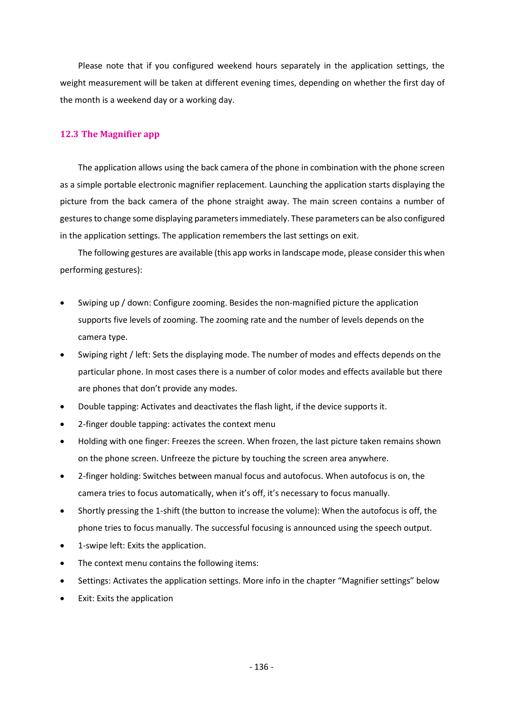Please note that if you configured weekend hours separately in the application settings, the weight measurement will be taken at different evening times, depending on whether the first day of the month is a weekend day or a working day.

## **12.3 The Magnifier app**

The application allows using the back camera of the phone in combination with the phone screen as a simple portable electronic magnifier replacement. Launching the application starts displaying the picture from the back camera of the phone straight away. The main screen contains a number of gestures to change some displaying parameters immediately. These parameters can be also configured in the application settings. The application remembers the last settings on exit.

The following gestures are available (this app works in landscape mode, please consider this when performing gestures):

- Swiping up / down: Configure zooming. Besides the non-magnified picture the application supports five levels of zooming. The zooming rate and the number of levels depends on the camera type.
- Swiping right / left: Sets the displaying mode. The number of modes and effects depends on the particular phone. In most cases there is a number of color modes and effects available but there are phones that don't provide any modes.
- Double tapping: Activates and deactivates the flash light, if the device supports it.
- 2-finger double tapping: activates the context menu
- Holding with one finger: Freezes the screen. When frozen, the last picture taken remains shown on the phone screen. Unfreeze the picture by touching the screen area anywhere.
- 2-finger holding: Switches between manual focus and autofocus. When autofocus is on, the camera tries to focus automatically, when it's off, it's necessary to focus manually.
- Shortly pressing the 1-shift (the button to increase the volume): When the autofocus is off, the phone tries to focus manually. The successful focusing is announced using the speech output.
- 1-swipe left: Exits the application.
- The context menu contains the following items:
- Settings: Activates the application settings. More info in the chapter "Magnifier settings" below
- Exit: Exits the application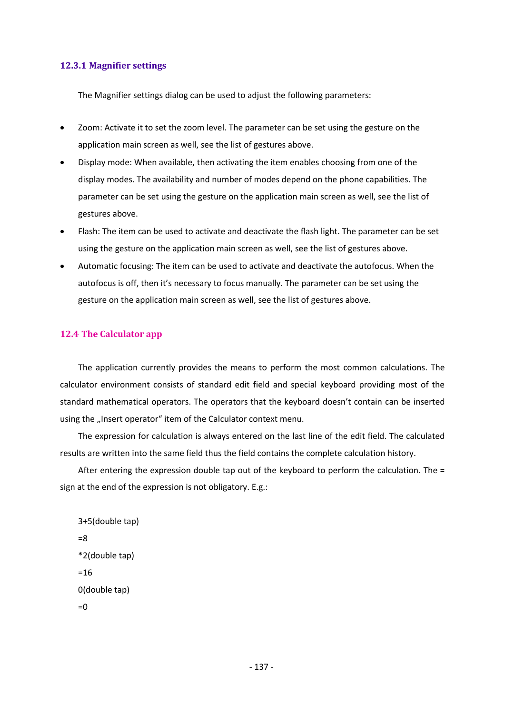#### **12.3.1 Magnifier settings**

The Magnifier settings dialog can be used to adjust the following parameters:

- Zoom: Activate it to set the zoom level. The parameter can be set using the gesture on the application main screen as well, see the list of gestures above.
- Display mode: When available, then activating the item enables choosing from one of the display modes. The availability and number of modes depend on the phone capabilities. The parameter can be set using the gesture on the application main screen as well, see the list of gestures above.
- Flash: The item can be used to activate and deactivate the flash light. The parameter can be set using the gesture on the application main screen as well, see the list of gestures above.
- Automatic focusing: The item can be used to activate and deactivate the autofocus. When the autofocus is off, then it's necessary to focus manually. The parameter can be set using the gesture on the application main screen as well, see the list of gestures above.

#### **12.4 The Calculator app**

The application currently provides the means to perform the most common calculations. The calculator environment consists of standard edit field and special keyboard providing most of the standard mathematical operators. The operators that the keyboard doesn't contain can be inserted using the "Insert operator" item of the Calculator context menu.

The expression for calculation is always entered on the last line of the edit field. The calculated results are written into the same field thus the field contains the complete calculation history.

After entering the expression double tap out of the keyboard to perform the calculation. The = sign at the end of the expression is not obligatory. E.g.:

```
3+5(double tap)
=8
*2(double tap)
=160(double tap)
=0
```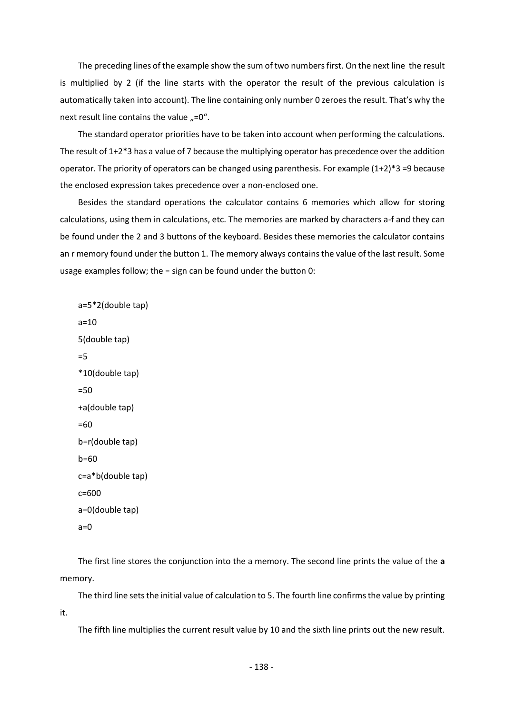The preceding lines of the example show the sum of two numbers first. On the next line the result is multiplied by 2 (if the line starts with the operator the result of the previous calculation is automatically taken into account). The line containing only number 0 zeroes the result. That's why the next result line contains the value  $n=0$ .

The standard operator priorities have to be taken into account when performing the calculations. The result of 1+2\*3 has a value of 7 because the multiplying operator has precedence over the addition operator. The priority of operators can be changed using parenthesis. For example  $(1+2)^*3 = 9$  because the enclosed expression takes precedence over a non-enclosed one.

Besides the standard operations the calculator contains 6 memories which allow for storing calculations, using them in calculations, etc. The memories are marked by characters a-f and they can be found under the 2 and 3 buttons of the keyboard. Besides these memories the calculator contains an r memory found under the button 1. The memory always contains the value of the last result. Some usage examples follow; the = sign can be found under the button 0:

```
a=5*2(double tap)
a=105(double tap)
=5
*10(double tap)
=50
+a(double tap)
=60
b=r(double tap)
b=60
c=a*b(double tap)
c=600
a=0(double tap)
a=0
```
The first line stores the conjunction into the a memory. The second line prints the value of the **a** memory.

The third line sets the initial value of calculation to 5. The fourth line confirms the value by printing it.

The fifth line multiplies the current result value by 10 and the sixth line prints out the new result.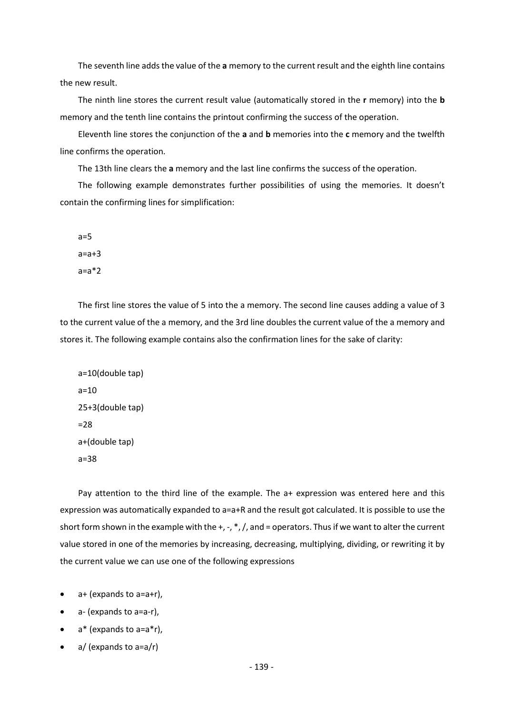The seventh line adds the value of the **a** memory to the current result and the eighth line contains the new result.

The ninth line stores the current result value (automatically stored in the **r** memory) into the **b** memory and the tenth line contains the printout confirming the success of the operation.

Eleventh line stores the conjunction of the **a** and **b** memories into the **c** memory and the twelfth line confirms the operation.

The 13th line clears the **a** memory and the last line confirms the success of the operation.

The following example demonstrates further possibilities of using the memories. It doesn't contain the confirming lines for simplification:

 $a=5$  $a=a+3$  $a=a*2$ 

The first line stores the value of 5 into the a memory. The second line causes adding a value of 3 to the current value of the a memory, and the 3rd line doubles the current value of the a memory and stores it. The following example contains also the confirmation lines for the sake of clarity:

a=10(double tap)  $a=10$ 25+3(double tap) =28 a+(double tap) a=38

Pay attention to the third line of the example. The a+ expression was entered here and this expression was automatically expanded to a=a+R and the result got calculated. It is possible to use the short form shown in the example with the +, -, \*, /, and = operators. Thus if we want to alter the current value stored in one of the memories by increasing, decreasing, multiplying, dividing, or rewriting it by the current value we can use one of the following expressions

- $\bullet$  a+ (expands to a=a+r),
- a- (expands to a=a-r),
- $a^*$  (expands to  $a=a^*r$ ),
- $a/$  (expands to  $a=a/r$ )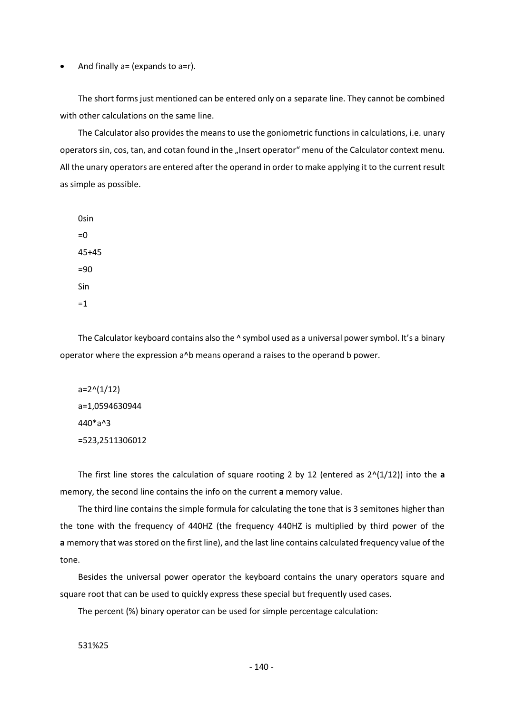And finally  $a = (expands to a=r)$ .

The short forms just mentioned can be entered only on a separate line. They cannot be combined with other calculations on the same line.

The Calculator also provides the means to use the goniometric functions in calculations, i.e. unary operators sin, cos, tan, and cotan found in the "Insert operator" menu of the Calculator context menu. All the unary operators are entered after the operand in order to make applying it to the current result as simple as possible.

0sin  $=0$ 45+45  $=90$ Sin =1

The Calculator keyboard contains also the  $\wedge$  symbol used as a universal power symbol. It's a binary operator where the expression a^b means operand a raises to the operand b power.

 $a=2^(1/12)$ a=1,0594630944 440\*a^3 =523,2511306012

The first line stores the calculation of square rooting 2 by 12 (entered as  $2<sup>(1/12)</sup>$ ) into the **a** memory, the second line contains the info on the current **a** memory value.

The third line contains the simple formula for calculating the tone that is 3 semitones higher than the tone with the frequency of 440HZ (the frequency 440HZ is multiplied by third power of the **a** memory that was stored on the first line), and the last line contains calculated frequency value of the tone.

Besides the universal power operator the keyboard contains the unary operators square and square root that can be used to quickly express these special but frequently used cases.

The percent (%) binary operator can be used for simple percentage calculation:

531%25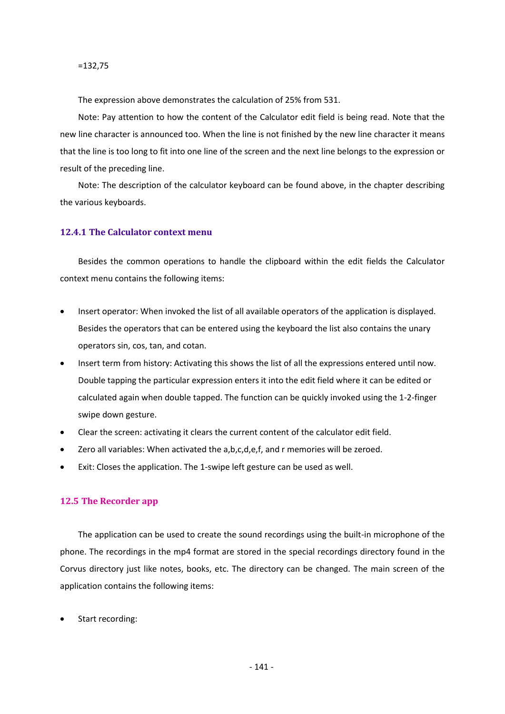=132,75

The expression above demonstrates the calculation of 25% from 531.

Note: Pay attention to how the content of the Calculator edit field is being read. Note that the new line character is announced too. When the line is not finished by the new line character it means that the line is too long to fit into one line of the screen and the next line belongs to the expression or result of the preceding line.

Note: The description of the calculator keyboard can be found above, in the chapter describing the various keyboards.

#### **12.4.1 The Calculator context menu**

Besides the common operations to handle the clipboard within the edit fields the Calculator context menu contains the following items:

- Insert operator: When invoked the list of all available operators of the application is displayed. Besides the operators that can be entered using the keyboard the list also contains the unary operators sin, cos, tan, and cotan.
- Insert term from history: Activating this shows the list of all the expressions entered until now. Double tapping the particular expression enters it into the edit field where it can be edited or calculated again when double tapped. The function can be quickly invoked using the 1-2-finger swipe down gesture.
- Clear the screen: activating it clears the current content of the calculator edit field.
- Zero all variables: When activated the a,b,c,d,e,f, and r memories will be zeroed.
- Exit: Closes the application. The 1-swipe left gesture can be used as well.

#### **12.5 The Recorder app**

The application can be used to create the sound recordings using the built-in microphone of the phone. The recordings in the mp4 format are stored in the special recordings directory found in the Corvus directory just like notes, books, etc. The directory can be changed. The main screen of the application contains the following items:

Start recording: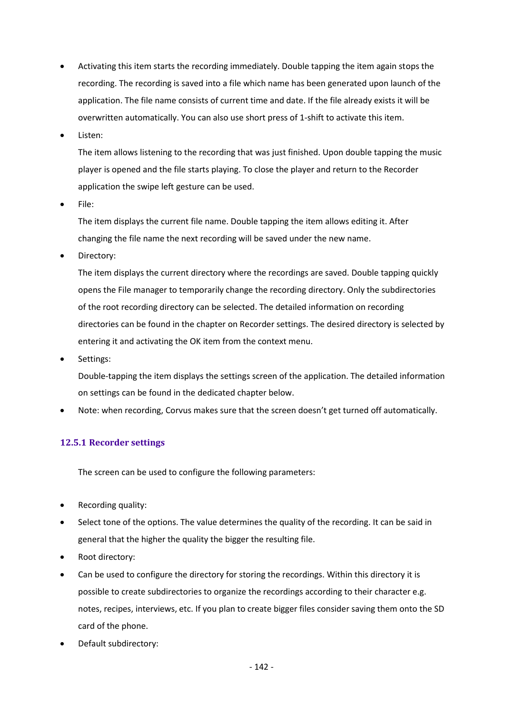- Activating this item starts the recording immediately. Double tapping the item again stops the recording. The recording is saved into a file which name has been generated upon launch of the application. The file name consists of current time and date. If the file already exists it will be overwritten automatically. You can also use short press of 1-shift to activate this item.
- Listen:

The item allows listening to the recording that was just finished. Upon double tapping the music player is opened and the file starts playing. To close the player and return to the Recorder application the swipe left gesture can be used.

• File:

The item displays the current file name. Double tapping the item allows editing it. After changing the file name the next recording will be saved under the new name.

Directory:

The item displays the current directory where the recordings are saved. Double tapping quickly opens the File manager to temporarily change the recording directory. Only the subdirectories of the root recording directory can be selected. The detailed information on recording directories can be found in the chapter on Recorder settings. The desired directory is selected by entering it and activating the OK item from the context menu.

• Settings:

Double-tapping the item displays the settings screen of the application. The detailed information on settings can be found in the dedicated chapter below.

• Note: when recording, Corvus makes sure that the screen doesn't get turned off automatically.

## **12.5.1 Recorder settings**

The screen can be used to configure the following parameters:

- Recording quality:
- Select tone of the options. The value determines the quality of the recording. It can be said in general that the higher the quality the bigger the resulting file.
- Root directory:
- Can be used to configure the directory for storing the recordings. Within this directory it is possible to create subdirectories to organize the recordings according to their character e.g. notes, recipes, interviews, etc. If you plan to create bigger files consider saving them onto the SD card of the phone.
- Default subdirectory: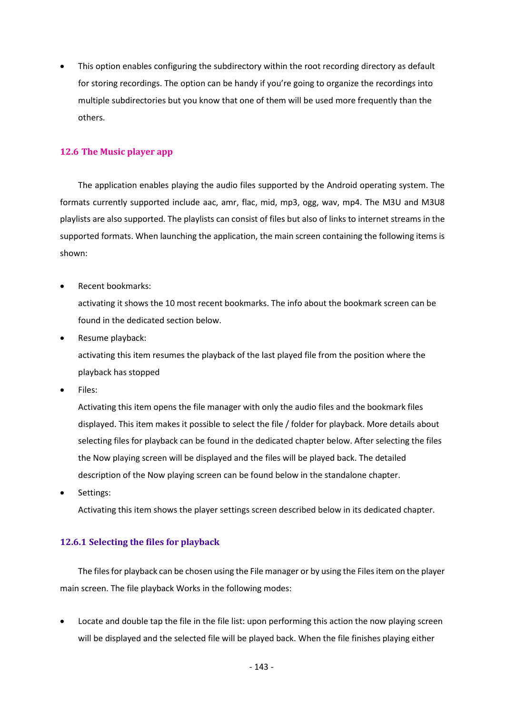• This option enables configuring the subdirectory within the root recording directory as default for storing recordings. The option can be handy if you're going to organize the recordings into multiple subdirectories but you know that one of them will be used more frequently than the others.

## **12.6 The Music player app**

The application enables playing the audio files supported by the Android operating system. The formats currently supported include aac, amr, flac, mid, mp3, ogg, wav, mp4. The M3U and M3U8 playlists are also supported. The playlists can consist of files but also of links to internet streams in the supported formats. When launching the application, the main screen containing the following items is shown:

• Recent bookmarks:

activating it shows the 10 most recent bookmarks. The info about the bookmark screen can be found in the dedicated section below.

• Resume playback:

activating this item resumes the playback of the last played file from the position where the playback has stopped

Files:

Activating this item opens the file manager with only the audio files and the bookmark files displayed. This item makes it possible to select the file / folder for playback. More details about selecting files for playback can be found in the dedicated chapter below. After selecting the files the Now playing screen will be displayed and the files will be played back. The detailed description of the Now playing screen can be found below in the standalone chapter.

• Settings:

Activating this item shows the player settings screen described below in its dedicated chapter.

## **12.6.1 Selecting the files for playback**

The files for playback can be chosen using the File manager or by using the Files item on the player main screen. The file playback Works in the following modes:

Locate and double tap the file in the file list: upon performing this action the now playing screen will be displayed and the selected file will be played back. When the file finishes playing either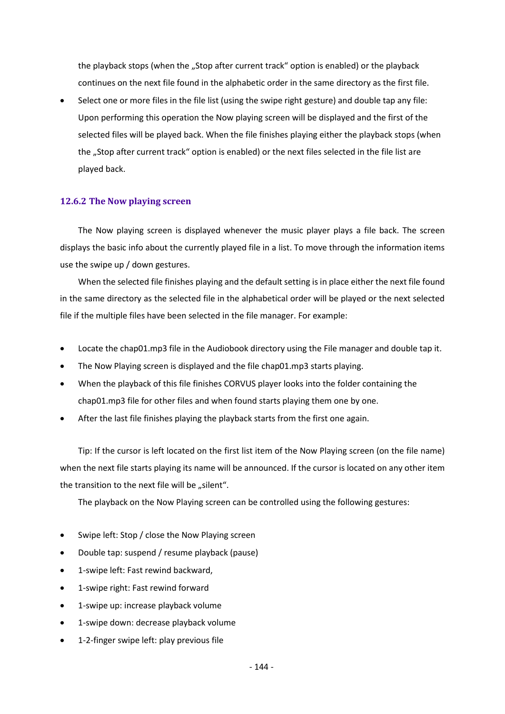the playback stops (when the "Stop after current track" option is enabled) or the playback continues on the next file found in the alphabetic order in the same directory as the first file.

• Select one or more files in the file list (using the swipe right gesture) and double tap any file: Upon performing this operation the Now playing screen will be displayed and the first of the selected files will be played back. When the file finishes playing either the playback stops (when the "Stop after current track" option is enabled) or the next files selected in the file list are played back.

#### **12.6.2 The Now playing screen**

The Now playing screen is displayed whenever the music player plays a file back. The screen displays the basic info about the currently played file in a list. To move through the information items use the swipe up / down gestures.

When the selected file finishes playing and the default setting is in place either the next file found in the same directory as the selected file in the alphabetical order will be played or the next selected file if the multiple files have been selected in the file manager. For example:

- Locate the chap01.mp3 file in the Audiobook directory using the File manager and double tap it.
- The Now Playing screen is displayed and the file chap01.mp3 starts playing.
- When the playback of this file finishes CORVUS player looks into the folder containing the chap01.mp3 file for other files and when found starts playing them one by one.
- After the last file finishes playing the playback starts from the first one again.

Tip: If the cursor is left located on the first list item of the Now Playing screen (on the file name) when the next file starts playing its name will be announced. If the cursor is located on any other item the transition to the next file will be "silent".

The playback on the Now Playing screen can be controlled using the following gestures:

- Swipe left: Stop / close the Now Playing screen
- Double tap: suspend / resume playback (pause)
- 1-swipe left: Fast rewind backward,
- 1-swipe right: Fast rewind forward
- 1-swipe up: increase playback volume
- 1-swipe down: decrease playback volume
- 1-2-finger swipe left: play previous file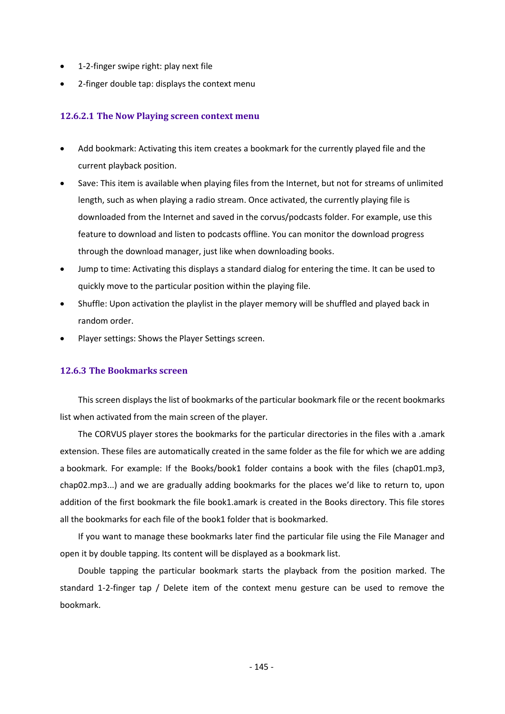- 1-2-finger swipe right: play next file
- 2-finger double tap: displays the context menu

### **12.6.2.1 The Now Playing screen context menu**

- Add bookmark: Activating this item creates a bookmark for the currently played file and the current playback position.
- Save: This item is available when playing files from the Internet, but not for streams of unlimited length, such as when playing a radio stream. Once activated, the currently playing file is downloaded from the Internet and saved in the corvus/podcasts folder. For example, use this feature to download and listen to podcasts offline. You can monitor the download progress through the download manager, just like when downloading books.
- Jump to time: Activating this displays a standard dialog for entering the time. It can be used to quickly move to the particular position within the playing file.
- Shuffle: Upon activation the playlist in the player memory will be shuffled and played back in random order.
- Player settings: Shows the Player Settings screen.

### **12.6.3 The Bookmarks screen**

This screen displays the list of bookmarks of the particular bookmark file or the recent bookmarks list when activated from the main screen of the player.

The CORVUS player stores the bookmarks for the particular directories in the files with a .amark extension. These files are automatically created in the same folder as the file for which we are adding a bookmark. For example: If the Books/book1 folder contains a book with the files (chap01.mp3, chap02.mp3...) and we are gradually adding bookmarks for the places we'd like to return to, upon addition of the first bookmark the file book1.amark is created in the Books directory. This file stores all the bookmarks for each file of the book1 folder that is bookmarked.

If you want to manage these bookmarks later find the particular file using the File Manager and open it by double tapping. Its content will be displayed as a bookmark list.

Double tapping the particular bookmark starts the playback from the position marked. The standard 1-2-finger tap / Delete item of the context menu gesture can be used to remove the bookmark.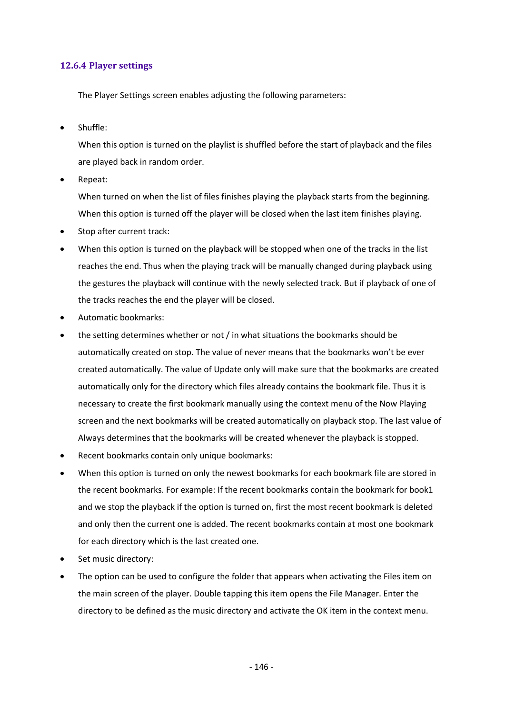## **12.6.4 Player settings**

The Player Settings screen enables adjusting the following parameters:

• Shuffle:

When this option is turned on the playlist is shuffled before the start of playback and the files are played back in random order.

• Repeat:

When turned on when the list of files finishes playing the playback starts from the beginning. When this option is turned off the player will be closed when the last item finishes playing.

- Stop after current track:
- When this option is turned on the playback will be stopped when one of the tracks in the list reaches the end. Thus when the playing track will be manually changed during playback using the gestures the playback will continue with the newly selected track. But if playback of one of the tracks reaches the end the player will be closed.
- Automatic bookmarks:
- the setting determines whether or not / in what situations the bookmarks should be automatically created on stop. The value of never means that the bookmarks won't be ever created automatically. The value of Update only will make sure that the bookmarks are created automatically only for the directory which files already contains the bookmark file. Thus it is necessary to create the first bookmark manually using the context menu of the Now Playing screen and the next bookmarks will be created automatically on playback stop. The last value of Always determines that the bookmarks will be created whenever the playback is stopped.
- Recent bookmarks contain only unique bookmarks:
- When this option is turned on only the newest bookmarks for each bookmark file are stored in the recent bookmarks. For example: If the recent bookmarks contain the bookmark for book1 and we stop the playback if the option is turned on, first the most recent bookmark is deleted and only then the current one is added. The recent bookmarks contain at most one bookmark for each directory which is the last created one.
- Set music directory:
- The option can be used to configure the folder that appears when activating the Files item on the main screen of the player. Double tapping this item opens the File Manager. Enter the directory to be defined as the music directory and activate the OK item in the context menu.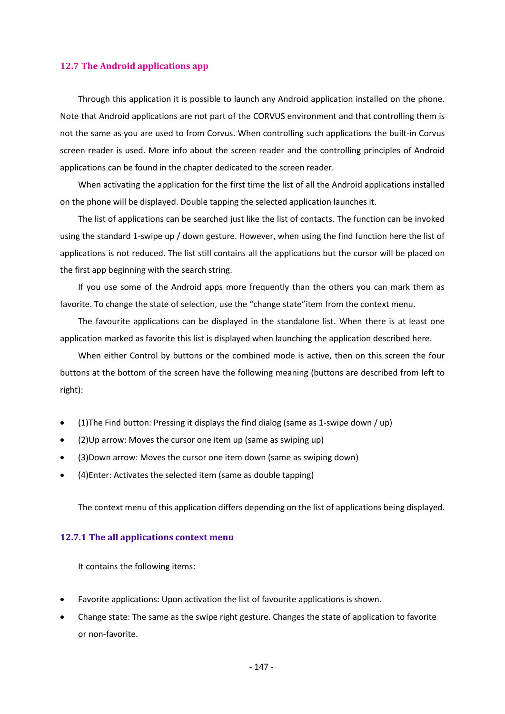### **12.7 The Android applications app**

Through this application it is possible to launch any Android application installed on the phone. Note that Android applications are not part of the CORVUS environment and that controlling them is not the same as you are used to from Corvus. When controlling such applications the built-in Corvus screen reader is used. More info about the screen reader and the controlling principles of Android applications can be found in the chapter dedicated to the screen reader.

When activating the application for the first time the list of all the Android applications installed on the phone will be displayed. Double tapping the selected application launches it.

The list of applications can be searched just like the list of contacts. The function can be invoked using the standard 1-swipe up / down gesture. However, when using the find function here the list of applications is not reduced. The list still contains all the applications but the cursor will be placed on the first app beginning with the search string.

If you use some of the Android apps more frequently than the others you can mark them as favorite. To change the state of selection, use the "change state"item from the context menu.

The favourite applications can be displayed in the standalone list. When there is at least one application marked as favorite this list is displayed when launching the application described here.

When either Control by buttons or the combined mode is active, then on this screen the four buttons at the bottom of the screen have the following meaning (buttons are described from left to right):

- (1)The Find button: Pressing it displays the find dialog (same as 1-swipe down / up)
- (2)Up arrow: Moves the cursor one item up (same as swiping up)
- (3)Down arrow: Moves the cursor one item down (same as swiping down)
- (4)Enter: Activates the selected item (same as double tapping)

The context menu of this application differs depending on the list of applications being displayed.

#### **12.7.1 The all applications context menu**

It contains the following items:

- Favorite applications: Upon activation the list of favourite applications is shown.
- Change state: The same as the swipe right gesture. Changes the state of application to favorite or non-favorite.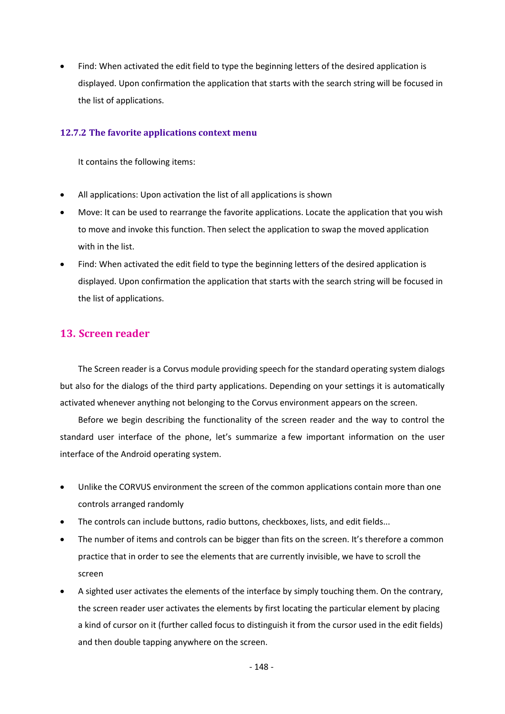• Find: When activated the edit field to type the beginning letters of the desired application is displayed. Upon confirmation the application that starts with the search string will be focused in the list of applications.

### **12.7.2 The favorite applications context menu**

It contains the following items:

- All applications: Upon activation the list of all applications is shown
- Move: It can be used to rearrange the favorite applications. Locate the application that you wish to move and invoke this function. Then select the application to swap the moved application with in the list.
- Find: When activated the edit field to type the beginning letters of the desired application is displayed. Upon confirmation the application that starts with the search string will be focused in the list of applications.

# **13. Screen reader**

The Screen reader is a Corvus module providing speech for the standard operating system dialogs but also for the dialogs of the third party applications. Depending on your settings it is automatically activated whenever anything not belonging to the Corvus environment appears on the screen.

Before we begin describing the functionality of the screen reader and the way to control the standard user interface of the phone, let's summarize a few important information on the user interface of the Android operating system.

- Unlike the CORVUS environment the screen of the common applications contain more than one controls arranged randomly
- The controls can include buttons, radio buttons, checkboxes, lists, and edit fields...
- The number of items and controls can be bigger than fits on the screen. It's therefore a common practice that in order to see the elements that are currently invisible, we have to scroll the screen
- A sighted user activates the elements of the interface by simply touching them. On the contrary, the screen reader user activates the elements by first locating the particular element by placing a kind of cursor on it (further called focus to distinguish it from the cursor used in the edit fields) and then double tapping anywhere on the screen.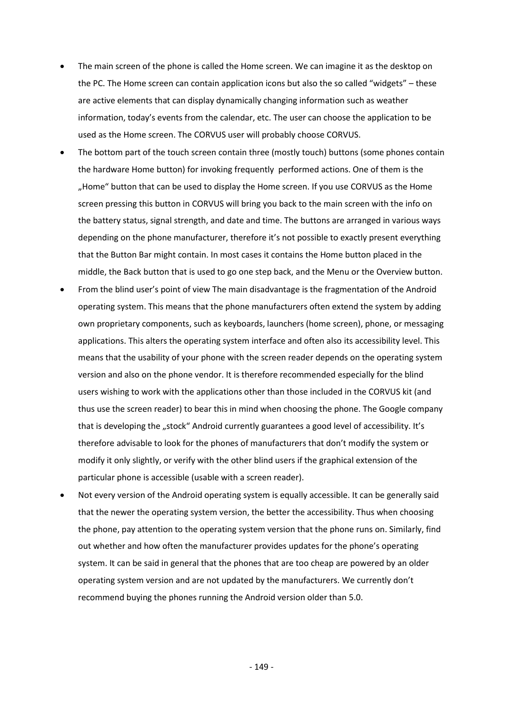- The main screen of the phone is called the Home screen. We can imagine it as the desktop on the PC. The Home screen can contain application icons but also the so called "widgets" – these are active elements that can display dynamically changing information such as weather information, today's events from the calendar, etc. The user can choose the application to be used as the Home screen. The CORVUS user will probably choose CORVUS.
- The bottom part of the touch screen contain three (mostly touch) buttons (some phones contain the hardware Home button) for invoking frequently performed actions. One of them is the "Home" button that can be used to display the Home screen. If you use CORVUS as the Home screen pressing this button in CORVUS will bring you back to the main screen with the info on the battery status, signal strength, and date and time. The buttons are arranged in various ways depending on the phone manufacturer, therefore it's not possible to exactly present everything that the Button Bar might contain. In most cases it contains the Home button placed in the middle, the Back button that is used to go one step back, and the Menu or the Overview button.
- From the blind user's point of view The main disadvantage is the fragmentation of the Android operating system. This means that the phone manufacturers often extend the system by adding own proprietary components, such as keyboards, launchers (home screen), phone, or messaging applications. This alters the operating system interface and often also its accessibility level. This means that the usability of your phone with the screen reader depends on the operating system version and also on the phone vendor. It is therefore recommended especially for the blind users wishing to work with the applications other than those included in the CORVUS kit (and thus use the screen reader) to bear this in mind when choosing the phone. The Google company that is developing the "stock" Android currently guarantees a good level of accessibility. It's therefore advisable to look for the phones of manufacturers that don't modify the system or modify it only slightly, or verify with the other blind users if the graphical extension of the particular phone is accessible (usable with a screen reader).
- Not every version of the Android operating system is equally accessible. It can be generally said that the newer the operating system version, the better the accessibility. Thus when choosing the phone, pay attention to the operating system version that the phone runs on. Similarly, find out whether and how often the manufacturer provides updates for the phone's operating system. It can be said in general that the phones that are too cheap are powered by an older operating system version and are not updated by the manufacturers. We currently don't recommend buying the phones running the Android version older than 5.0.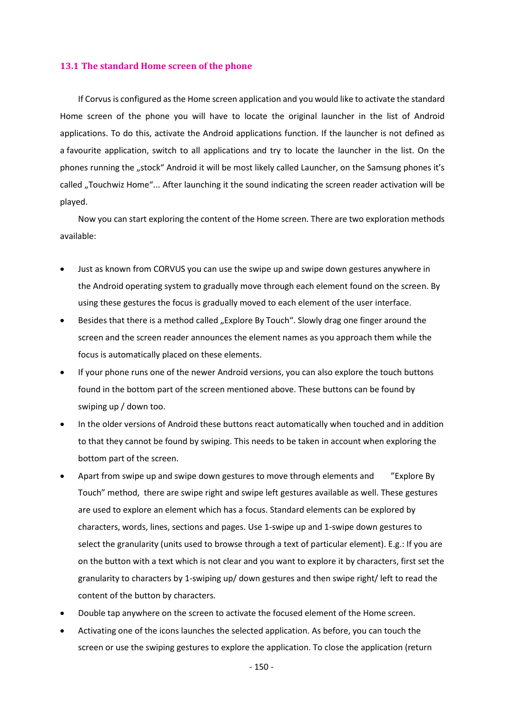### **13.1 The standard Home screen of the phone**

If Corvus is configured as the Home screen application and you would like to activate the standard Home screen of the phone you will have to locate the original launcher in the list of Android applications. To do this, activate the Android applications function. If the launcher is not defined as a favourite application, switch to all applications and try to locate the launcher in the list. On the phones running the "stock" Android it will be most likely called Launcher, on the Samsung phones it's called "Touchwiz Home"... After launching it the sound indicating the screen reader activation will be played.

Now you can start exploring the content of the Home screen. There are two exploration methods available:

- Just as known from CORVUS you can use the swipe up and swipe down gestures anywhere in the Android operating system to gradually move through each element found on the screen. By using these gestures the focus is gradually moved to each element of the user interface.
- Besides that there is a method called "Explore By Touch". Slowly drag one finger around the screen and the screen reader announces the element names as you approach them while the focus is automatically placed on these elements.
- If your phone runs one of the newer Android versions, you can also explore the touch buttons found in the bottom part of the screen mentioned above. These buttons can be found by swiping up / down too.
- In the older versions of Android these buttons react automatically when touched and in addition to that they cannot be found by swiping. This needs to be taken in account when exploring the bottom part of the screen.
- Apart from swipe up and swipe down gestures to move through elements and "Explore By" Touch" method, there are swipe right and swipe left gestures available as well. These gestures are used to explore an element which has a focus. Standard elements can be explored by characters, words, lines, sections and pages. Use 1-swipe up and 1-swipe down gestures to select the granularity (units used to browse through a text of particular element). E.g.: If you are on the button with a text which is not clear and you want to explore it by characters, first set the granularity to characters by 1-swiping up/ down gestures and then swipe right/ left to read the content of the button by characters.
- Double tap anywhere on the screen to activate the focused element of the Home screen.
- Activating one of the icons launches the selected application. As before, you can touch the screen or use the swiping gestures to explore the application. To close the application (return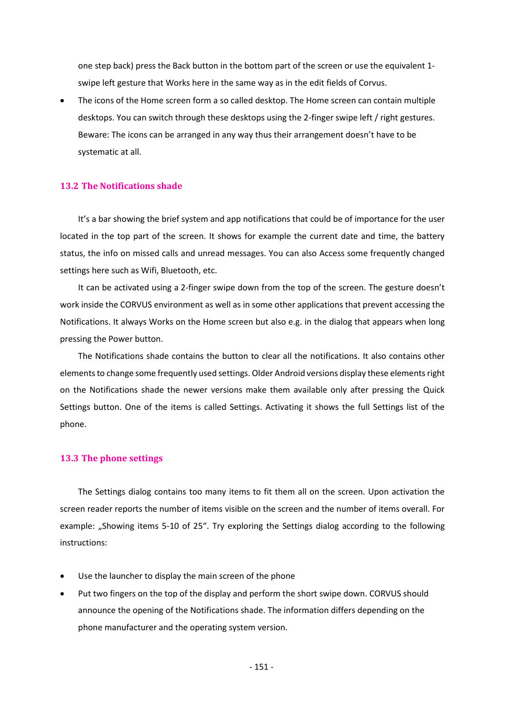one step back) press the Back button in the bottom part of the screen or use the equivalent 1 swipe left gesture that Works here in the same way as in the edit fields of Corvus.

• The icons of the Home screen form a so called desktop. The Home screen can contain multiple desktops. You can switch through these desktops using the 2-finger swipe left / right gestures. Beware: The icons can be arranged in any way thus their arrangement doesn't have to be systematic at all.

### **13.2 The Notifications shade**

It's a bar showing the brief system and app notifications that could be of importance for the user located in the top part of the screen. It shows for example the current date and time, the battery status, the info on missed calls and unread messages. You can also Access some frequently changed settings here such as Wifi, Bluetooth, etc.

It can be activated using a 2-finger swipe down from the top of the screen. The gesture doesn't work inside the CORVUS environment as well as in some other applications that prevent accessing the Notifications. It always Works on the Home screen but also e.g. in the dialog that appears when long pressing the Power button.

The Notifications shade contains the button to clear all the notifications. It also contains other elements to change some frequently used settings. Older Android versions display these elements right on the Notifications shade the newer versions make them available only after pressing the Quick Settings button. One of the items is called Settings. Activating it shows the full Settings list of the phone.

### **13.3 The phone settings**

The Settings dialog contains too many items to fit them all on the screen. Upon activation the screen reader reports the number of items visible on the screen and the number of items overall. For example: "Showing items 5-10 of 25". Try exploring the Settings dialog according to the following instructions:

- Use the launcher to display the main screen of the phone
- Put two fingers on the top of the display and perform the short swipe down. CORVUS should announce the opening of the Notifications shade. The information differs depending on the phone manufacturer and the operating system version.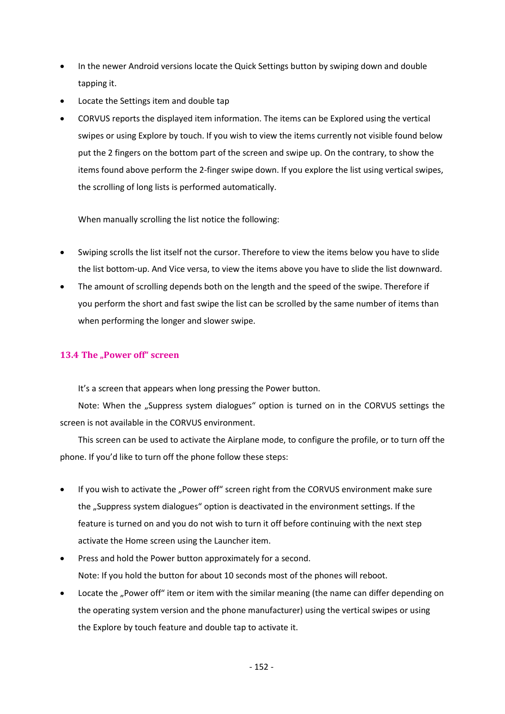- In the newer Android versions locate the Quick Settings button by swiping down and double tapping it.
- Locate the Settings item and double tap
- CORVUS reports the displayed item information. The items can be Explored using the vertical swipes or using Explore by touch. If you wish to view the items currently not visible found below put the 2 fingers on the bottom part of the screen and swipe up. On the contrary, to show the items found above perform the 2-finger swipe down. If you explore the list using vertical swipes, the scrolling of long lists is performed automatically.

When manually scrolling the list notice the following:

- Swiping scrolls the list itself not the cursor. Therefore to view the items below you have to slide the list bottom-up. And Vice versa, to view the items above you have to slide the list downward.
- The amount of scrolling depends both on the length and the speed of the swipe. Therefore if you perform the short and fast swipe the list can be scrolled by the same number of items than when performing the longer and slower swipe.

# **13.4 The "Power off" screen**

It's a screen that appears when long pressing the Power button.

Note: When the "Suppress system dialogues" option is turned on in the CORVUS settings the screen is not available in the CORVUS environment.

This screen can be used to activate the Airplane mode, to configure the profile, or to turn off the phone. If you'd like to turn off the phone follow these steps:

- If you wish to activate the "Power off" screen right from the CORVUS environment make sure the "Suppress system dialogues" option is deactivated in the environment settings. If the feature is turned on and you do not wish to turn it off before continuing with the next step activate the Home screen using the Launcher item.
- Press and hold the Power button approximately for a second. Note: If you hold the button for about 10 seconds most of the phones will reboot.
- Locate the "Power off" item or item with the similar meaning (the name can differ depending on the operating system version and the phone manufacturer) using the vertical swipes or using the Explore by touch feature and double tap to activate it.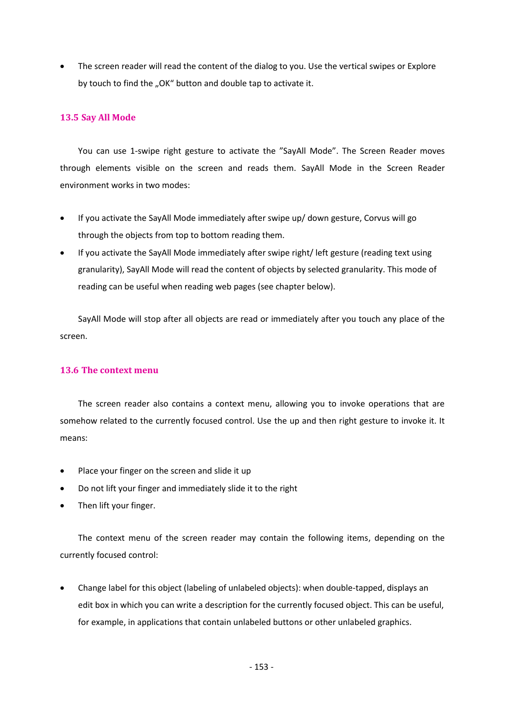• The screen reader will read the content of the dialog to you. Use the vertical swipes or Explore by touch to find the "OK" button and double tap to activate it.

## **13.5 Say All Mode**

You can use 1-swipe right gesture to activate the "SayAll Mode". The Screen Reader moves through elements visible on the screen and reads them. SayAll Mode in the Screen Reader environment works in two modes:

- If you activate the SayAll Mode immediately after swipe up/ down gesture, Corvus will go through the objects from top to bottom reading them.
- If you activate the SayAll Mode immediately after swipe right/ left gesture (reading text using granularity), SayAll Mode will read the content of objects by selected granularity. This mode of reading can be useful when reading web pages (see chapter below).

SayAll Mode will stop after all objects are read or immediately after you touch any place of the screen.

## **13.6 The context menu**

The screen reader also contains a context menu, allowing you to invoke operations that are somehow related to the currently focused control. Use the up and then right gesture to invoke it. It means:

- Place your finger on the screen and slide it up
- Do not lift your finger and immediately slide it to the right
- Then lift your finger.

The context menu of the screen reader may contain the following items, depending on the currently focused control:

• Change label for this object (labeling of unlabeled objects): when double-tapped, displays an edit box in which you can write a description for the currently focused object. This can be useful, for example, in applications that contain unlabeled buttons or other unlabeled graphics.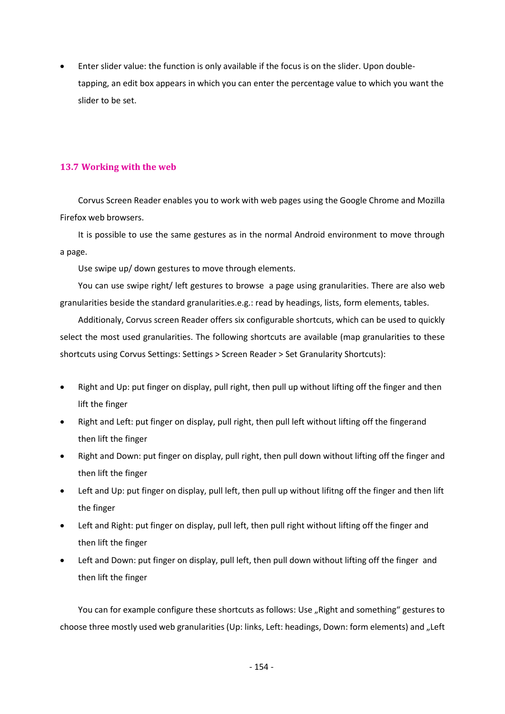• Enter slider value: the function is only available if the focus is on the slider. Upon doubletapping, an edit box appears in which you can enter the percentage value to which you want the slider to be set.

## **13.7 Working with the web**

Corvus Screen Reader enables you to work with web pages using the Google Chrome and Mozilla Firefox web browsers.

It is possible to use the same gestures as in the normal Android environment to move through a page.

Use swipe up/ down gestures to move through elements.

You can use swipe right/ left gestures to browse a page using granularities. There are also web granularities beside the standard granularities.e.g.: read by headings, lists, form elements, tables.

Additionaly, Corvus screen Reader offers six configurable shortcuts, which can be used to quickly select the most used granularities. The following shortcuts are available (map granularities to these shortcuts using Corvus Settings: Settings > Screen Reader > Set Granularity Shortcuts):

- Right and Up: put finger on display, pull right, then pull up without lifting off the finger and then lift the finger
- Right and Left: put finger on display, pull right, then pull left without lifting off the fingerand then lift the finger
- Right and Down: put finger on display, pull right, then pull down without lifting off the finger and then lift the finger
- Left and Up: put finger on display, pull left, then pull up without lifitng off the finger and then lift the finger
- Left and Right: put finger on display, pull left, then pull right without lifting off the finger and then lift the finger
- Left and Down: put finger on display, pull left, then pull down without lifting off the finger and then lift the finger

You can for example configure these shortcuts as follows: Use "Right and something" gestures to choose three mostly used web granularities (Up: links, Left: headings, Down: form elements) and "Left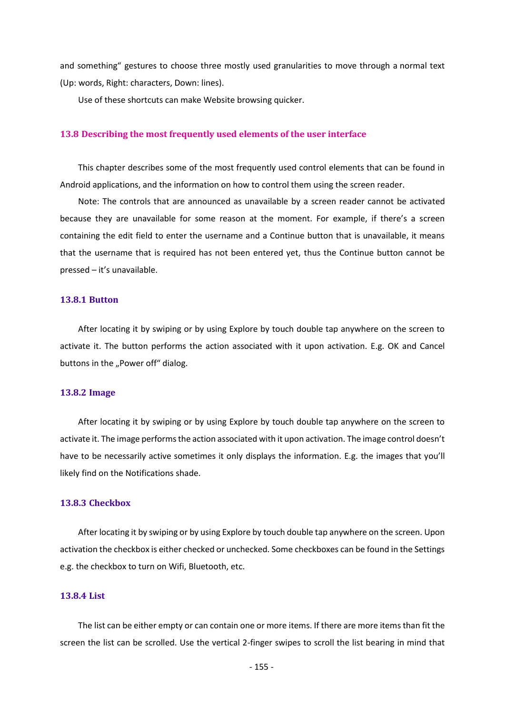and something" gestures to choose three mostly used granularities to move through a normal text (Up: words, Right: characters, Down: lines).

Use of these shortcuts can make Website browsing quicker.

### **13.8 Describing the most frequently used elements of the user interface**

This chapter describes some of the most frequently used control elements that can be found in Android applications, and the information on how to control them using the screen reader.

Note: The controls that are announced as unavailable by a screen reader cannot be activated because they are unavailable for some reason at the moment. For example, if there's a screen containing the edit field to enter the username and a Continue button that is unavailable, it means that the username that is required has not been entered yet, thus the Continue button cannot be pressed – it's unavailable.

#### **13.8.1 Button**

After locating it by swiping or by using Explore by touch double tap anywhere on the screen to activate it. The button performs the action associated with it upon activation. E.g. OK and Cancel buttons in the "Power off" dialog.

#### **13.8.2 Image**

After locating it by swiping or by using Explore by touch double tap anywhere on the screen to activate it. The image performs the action associated with it upon activation. The image control doesn't have to be necessarily active sometimes it only displays the information. E.g. the images that you'll likely find on the Notifications shade.

## **13.8.3 Checkbox**

After locating it by swiping or by using Explore by touch double tap anywhere on the screen. Upon activation the checkbox is either checked or unchecked. Some checkboxes can be found in the Settings e.g. the checkbox to turn on Wifi, Bluetooth, etc.

### **13.8.4 List**

The list can be either empty or can contain one or more items. If there are more items than fit the screen the list can be scrolled. Use the vertical 2-finger swipes to scroll the list bearing in mind that

- 155 -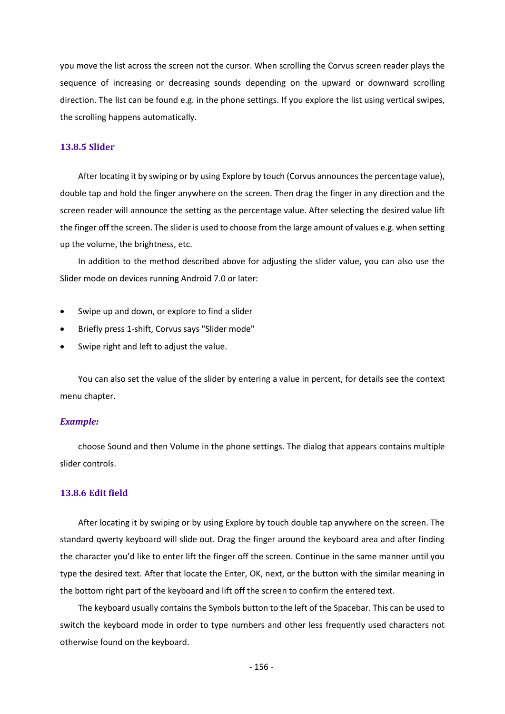you move the list across the screen not the cursor. When scrolling the Corvus screen reader plays the sequence of increasing or decreasing sounds depending on the upward or downward scrolling direction. The list can be found e.g. in the phone settings. If you explore the list using vertical swipes, the scrolling happens automatically.

### **13.8.5 Slider**

After locating it by swiping or by using Explore by touch (Corvus announces the percentage value), double tap and hold the finger anywhere on the screen. Then drag the finger in any direction and the screen reader will announce the setting as the percentage value. After selecting the desired value lift the finger off the screen. The slider is used to choose from the large amount of values e.g. when setting up the volume, the brightness, etc.

In addition to the method described above for adjusting the slider value, you can also use the Slider mode on devices running Android 7.0 or later:

- Swipe up and down, or explore to find a slider
- Briefly press 1-shift, Corvus says "Slider mode"
- Swipe right and left to adjust the value.

You can also set the value of the slider by entering a value in percent, for details see the context menu chapter.

### *Example:*

choose Sound and then Volume in the phone settings. The dialog that appears contains multiple slider controls.

### **13.8.6 Edit field**

After locating it by swiping or by using Explore by touch double tap anywhere on the screen. The standard qwerty keyboard will slide out. Drag the finger around the keyboard area and after finding the character you'd like to enter lift the finger off the screen. Continue in the same manner until you type the desired text. After that locate the Enter, OK, next, or the button with the similar meaning in the bottom right part of the keyboard and lift off the screen to confirm the entered text.

The keyboard usually contains the Symbols button to the left of the Spacebar. This can be used to switch the keyboard mode in order to type numbers and other less frequently used characters not otherwise found on the keyboard.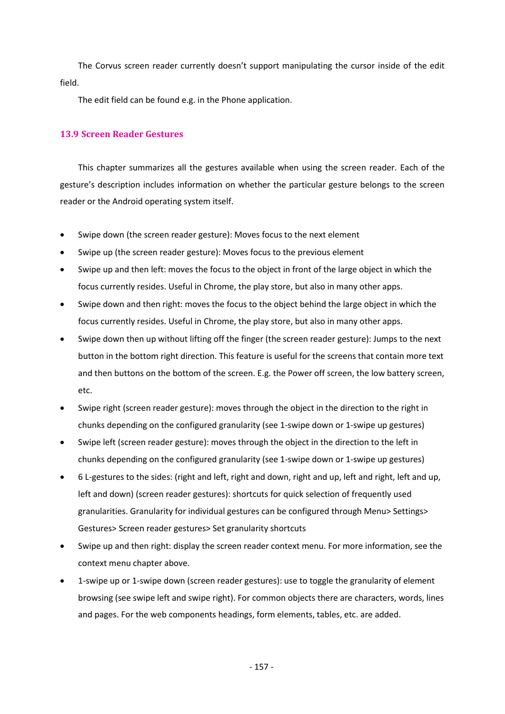The Corvus screen reader currently doesn't support manipulating the cursor inside of the edit field.

The edit field can be found e.g. in the Phone application.

## **13.9 Screen Reader Gestures**

This chapter summarizes all the gestures available when using the screen reader. Each of the gesture's description includes information on whether the particular gesture belongs to the screen reader or the Android operating system itself.

- Swipe down (the screen reader gesture): Moves focus to the next element
- Swipe up (the screen reader gesture): Moves focus to the previous element
- Swipe up and then left: moves the focus to the object in front of the large object in which the focus currently resides. Useful in Chrome, the play store, but also in many other apps.
- Swipe down and then right: moves the focus to the object behind the large object in which the focus currently resides. Useful in Chrome, the play store, but also in many other apps.
- Swipe down then up without lifting off the finger (the screen reader gesture): Jumps to the next button in the bottom right direction. This feature is useful for the screens that contain more text and then buttons on the bottom of the screen. E.g. the Power off screen, the low battery screen, etc.
- Swipe right (screen reader gesture): moves through the object in the direction to the right in chunks depending on the configured granularity (see 1-swipe down or 1-swipe up gestures)
- Swipe left (screen reader gesture): moves through the object in the direction to the left in chunks depending on the configured granularity (see 1-swipe down or 1-swipe up gestures)
- 6 L-gestures to the sides: (right and left, right and down, right and up, left and right, left and up, left and down) (screen reader gestures): shortcuts for quick selection of frequently used granularities. Granularity for individual gestures can be configured through Menu> Settings> Gestures> Screen reader gestures> Set granularity shortcuts
- Swipe up and then right: display the screen reader context menu. For more information, see the context menu chapter above.
- 1-swipe up or 1-swipe down (screen reader gestures): use to toggle the granularity of element browsing (see swipe left and swipe right). For common objects there are characters, words, lines and pages. For the web components headings, form elements, tables, etc. are added.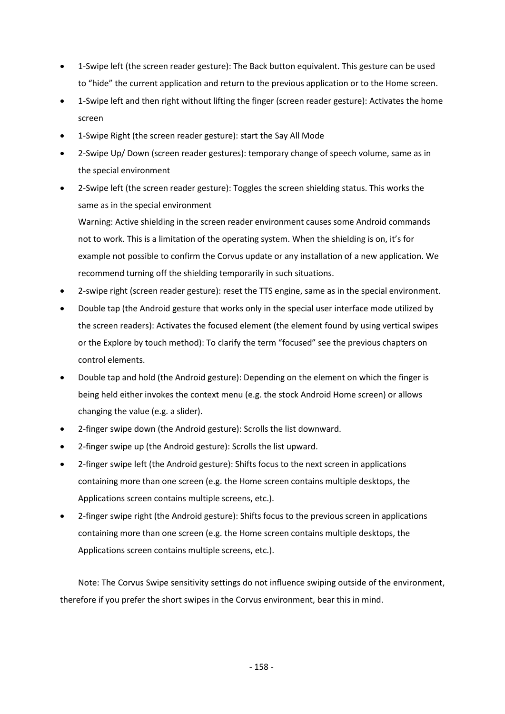- 1-Swipe left (the screen reader gesture): The Back button equivalent. This gesture can be used to "hide" the current application and return to the previous application or to the Home screen.
- 1-Swipe left and then right without lifting the finger (screen reader gesture): Activates the home screen
- 1-Swipe Right (the screen reader gesture): start the Say All Mode
- 2-Swipe Up/ Down (screen reader gestures): temporary change of speech volume, same as in the special environment
- 2-Swipe left (the screen reader gesture): Toggles the screen shielding status. This works the same as in the special environment

Warning: Active shielding in the screen reader environment causes some Android commands not to work. This is a limitation of the operating system. When the shielding is on, it's for example not possible to confirm the Corvus update or any installation of a new application. We recommend turning off the shielding temporarily in such situations.

- 2-swipe right (screen reader gesture): reset the TTS engine, same as in the special environment.
- Double tap (the Android gesture that works only in the special user interface mode utilized by the screen readers): Activates the focused element (the element found by using vertical swipes or the Explore by touch method): To clarify the term "focused" see the previous chapters on control elements.
- Double tap and hold (the Android gesture): Depending on the element on which the finger is being held either invokes the context menu (e.g. the stock Android Home screen) or allows changing the value (e.g. a slider).
- 2-finger swipe down (the Android gesture): Scrolls the list downward.
- 2-finger swipe up (the Android gesture): Scrolls the list upward.
- 2-finger swipe left (the Android gesture): Shifts focus to the next screen in applications containing more than one screen (e.g. the Home screen contains multiple desktops, the Applications screen contains multiple screens, etc.).
- 2-finger swipe right (the Android gesture): Shifts focus to the previous screen in applications containing more than one screen (e.g. the Home screen contains multiple desktops, the Applications screen contains multiple screens, etc.).

Note: The Corvus Swipe sensitivity settings do not influence swiping outside of the environment, therefore if you prefer the short swipes in the Corvus environment, bear this in mind.